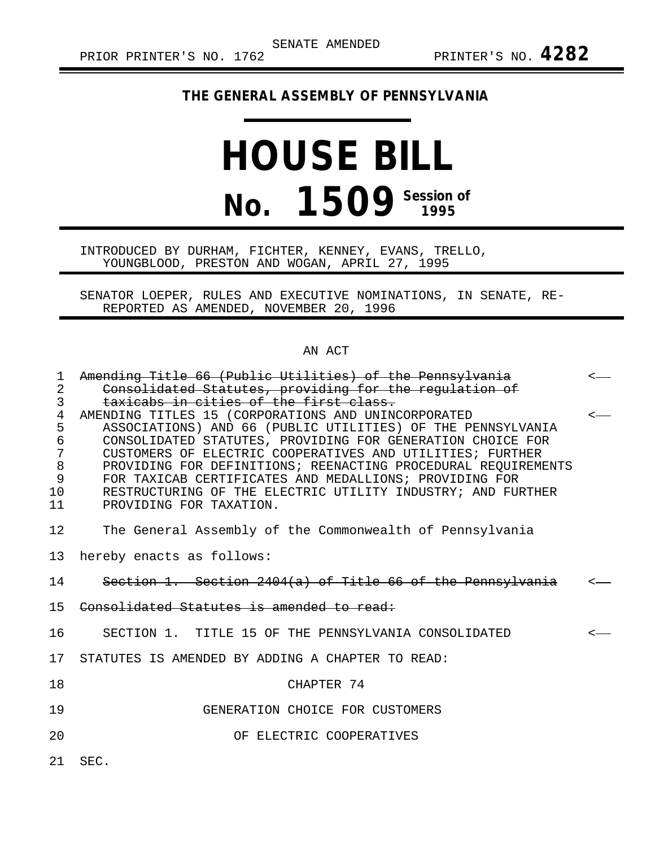## **THE GENERAL ASSEMBLY OF PENNSYLVANIA**

## **HOUSE BILL No. 1509 Session of**

## INTRODUCED BY DURHAM, FICHTER, KENNEY, EVANS, TRELLO, YOUNGBLOOD, PRESTON AND WOGAN, APRIL 27, 1995

SENATOR LOEPER, RULES AND EXECUTIVE NOMINATIONS, IN SENATE, RE-REPORTED AS AMENDED, NOVEMBER 20, 1996

## AN ACT

| $\mathbf{1}$    | Amending Title 66 (Public Utilities) of the Pennsylvania                                                                | $\leftarrow$ |
|-----------------|-------------------------------------------------------------------------------------------------------------------------|--------------|
| $\overline{2}$  | Consolidated Statutes, providing for the regulation of                                                                  |              |
| 3               | taxicabs in cities of the first class.                                                                                  |              |
| $\overline{4}$  | AMENDING TITLES 15 (CORPORATIONS AND UNINCORPORATED                                                                     | $\leftarrow$ |
| 5               | ASSOCIATIONS) AND 66 (PUBLIC UTILITIES) OF THE PENNSYLVANIA                                                             |              |
| $\epsilon$      | CONSOLIDATED STATUTES, PROVIDING FOR GENERATION CHOICE FOR                                                              |              |
| 7               | CUSTOMERS OF ELECTRIC COOPERATIVES AND UTILITIES; FURTHER                                                               |              |
| 8<br>9          | PROVIDING FOR DEFINITIONS; REENACTING PROCEDURAL REQUIREMENTS<br>FOR TAXICAB CERTIFICATES AND MEDALLIONS; PROVIDING FOR |              |
| 10              | RESTRUCTURING OF THE ELECTRIC UTILITY INDUSTRY; AND FURTHER                                                             |              |
| 11              | PROVIDING FOR TAXATION.                                                                                                 |              |
|                 |                                                                                                                         |              |
| 12              | The General Assembly of the Commonwealth of Pennsylvania                                                                |              |
| 13              | hereby enacts as follows:                                                                                               |              |
| 14              | Section 1. Section 2404(a) of Title 66 of the Pennsylvania                                                              | $\leftarrow$ |
| 15 <sub>1</sub> | Consolidated Statutes is amended to read:                                                                               |              |
| 16              | SECTION 1. TITLE 15 OF THE PENNSYLVANIA CONSOLIDATED                                                                    | $\leftarrow$ |
| 17              | STATUTES IS AMENDED BY ADDING A CHAPTER TO READ:                                                                        |              |
| 18              | CHAPTER 74                                                                                                              |              |
| 19              | GENERATION CHOICE FOR CUSTOMERS                                                                                         |              |
| 20              | OF ELECTRIC COOPERATIVES                                                                                                |              |
|                 |                                                                                                                         |              |
| 21              | SEC.                                                                                                                    |              |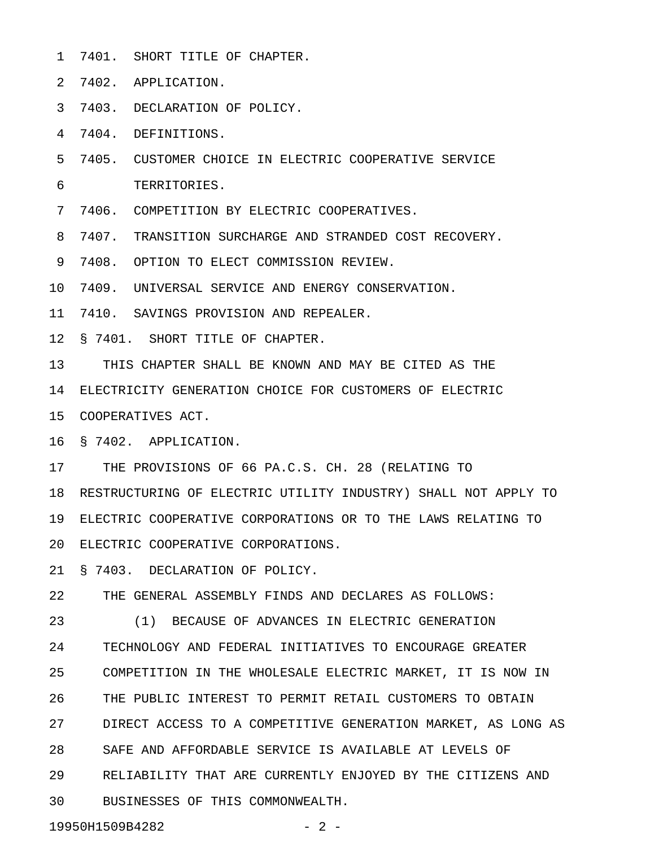- 1 7401. SHORT TITLE OF CHAPTER.
- 2 7402. APPLICATION.
- 3 7403. DECLARATION OF POLICY.

4 7404. DEFINITIONS.

5 7405. CUSTOMER CHOICE IN ELECTRIC COOPERATIVE SERVICE 6 TERRITORIES.

7 7406. COMPETITION BY ELECTRIC COOPERATIVES.

8 7407. TRANSITION SURCHARGE AND STRANDED COST RECOVERY.

9 7408. OPTION TO ELECT COMMISSION REVIEW.

10 7409. UNIVERSAL SERVICE AND ENERGY CONSERVATION.

11 7410. SAVINGS PROVISION AND REPEALER.

12 § 7401. SHORT TITLE OF CHAPTER.

13 THIS CHAPTER SHALL BE KNOWN AND MAY BE CITED AS THE

14 ELECTRICITY GENERATION CHOICE FOR CUSTOMERS OF ELECTRIC

15 COOPERATIVES ACT.

16 § 7402. APPLICATION.

17 THE PROVISIONS OF 66 PA.C.S. CH. 28 (RELATING TO

18 RESTRUCTURING OF ELECTRIC UTILITY INDUSTRY) SHALL NOT APPLY TO 19 ELECTRIC COOPERATIVE CORPORATIONS OR TO THE LAWS RELATING TO 20 ELECTRIC COOPERATIVE CORPORATIONS.

21 § 7403. DECLARATION OF POLICY.

22 THE GENERAL ASSEMBLY FINDS AND DECLARES AS FOLLOWS:

23 (1) BECAUSE OF ADVANCES IN ELECTRIC GENERATION 24 TECHNOLOGY AND FEDERAL INITIATIVES TO ENCOURAGE GREATER 25 COMPETITION IN THE WHOLESALE ELECTRIC MARKET, IT IS NOW IN 26 THE PUBLIC INTEREST TO PERMIT RETAIL CUSTOMERS TO OBTAIN 27 DIRECT ACCESS TO A COMPETITIVE GENERATION MARKET, AS LONG AS 28 SAFE AND AFFORDABLE SERVICE IS AVAILABLE AT LEVELS OF 29 RELIABILITY THAT ARE CURRENTLY ENJOYED BY THE CITIZENS AND 30 BUSINESSES OF THIS COMMONWEALTH.

19950H1509B4282 - 2 -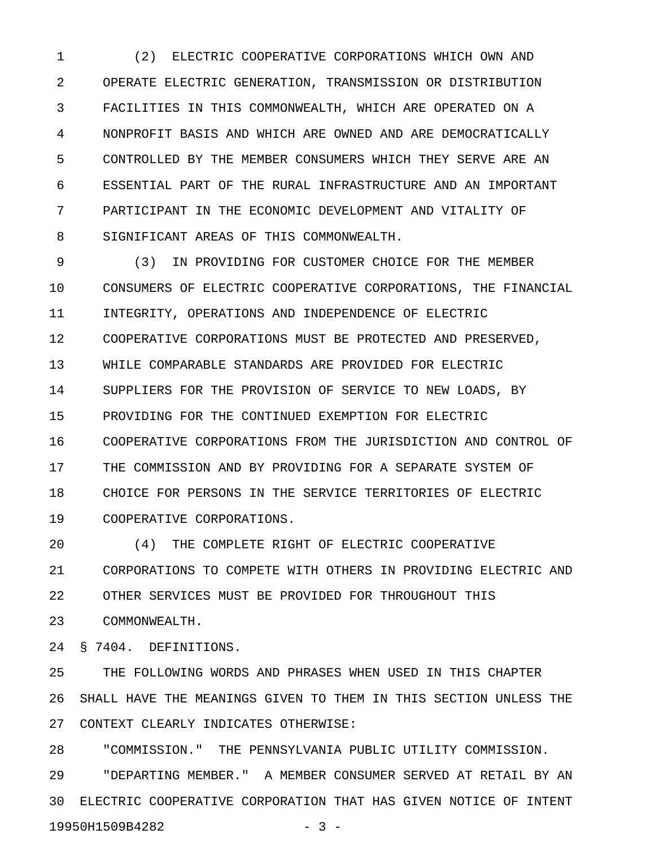1 (2) ELECTRIC COOPERATIVE CORPORATIONS WHICH OWN AND 2 OPERATE ELECTRIC GENERATION, TRANSMISSION OR DISTRIBUTION 3 FACILITIES IN THIS COMMONWEALTH, WHICH ARE OPERATED ON A 4 NONPROFIT BASIS AND WHICH ARE OWNED AND ARE DEMOCRATICALLY 5 CONTROLLED BY THE MEMBER CONSUMERS WHICH THEY SERVE ARE AN 6 ESSENTIAL PART OF THE RURAL INFRASTRUCTURE AND AN IMPORTANT 7 PARTICIPANT IN THE ECONOMIC DEVELOPMENT AND VITALITY OF 8 SIGNIFICANT AREAS OF THIS COMMONWEALTH.

9 (3) IN PROVIDING FOR CUSTOMER CHOICE FOR THE MEMBER 10 CONSUMERS OF ELECTRIC COOPERATIVE CORPORATIONS, THE FINANCIAL 11 INTEGRITY, OPERATIONS AND INDEPENDENCE OF ELECTRIC 12 COOPERATIVE CORPORATIONS MUST BE PROTECTED AND PRESERVED, 13 WHILE COMPARABLE STANDARDS ARE PROVIDED FOR ELECTRIC 14 SUPPLIERS FOR THE PROVISION OF SERVICE TO NEW LOADS, BY 15 PROVIDING FOR THE CONTINUED EXEMPTION FOR ELECTRIC 16 COOPERATIVE CORPORATIONS FROM THE JURISDICTION AND CONTROL OF 17 THE COMMISSION AND BY PROVIDING FOR A SEPARATE SYSTEM OF 18 CHOICE FOR PERSONS IN THE SERVICE TERRITORIES OF ELECTRIC 19 COOPERATIVE CORPORATIONS.

20 (4) THE COMPLETE RIGHT OF ELECTRIC COOPERATIVE 21 CORPORATIONS TO COMPETE WITH OTHERS IN PROVIDING ELECTRIC AND 22 OTHER SERVICES MUST BE PROVIDED FOR THROUGHOUT THIS 23 COMMONWEALTH.

24 § 7404. DEFINITIONS.

25 THE FOLLOWING WORDS AND PHRASES WHEN USED IN THIS CHAPTER 26 SHALL HAVE THE MEANINGS GIVEN TO THEM IN THIS SECTION UNLESS THE 27 CONTEXT CLEARLY INDICATES OTHERWISE:

28 "COMMISSION." THE PENNSYLVANIA PUBLIC UTILITY COMMISSION. 29 "DEPARTING MEMBER." A MEMBER CONSUMER SERVED AT RETAIL BY AN 30 ELECTRIC COOPERATIVE CORPORATION THAT HAS GIVEN NOTICE OF INTENT 19950H1509B4282 - 3 -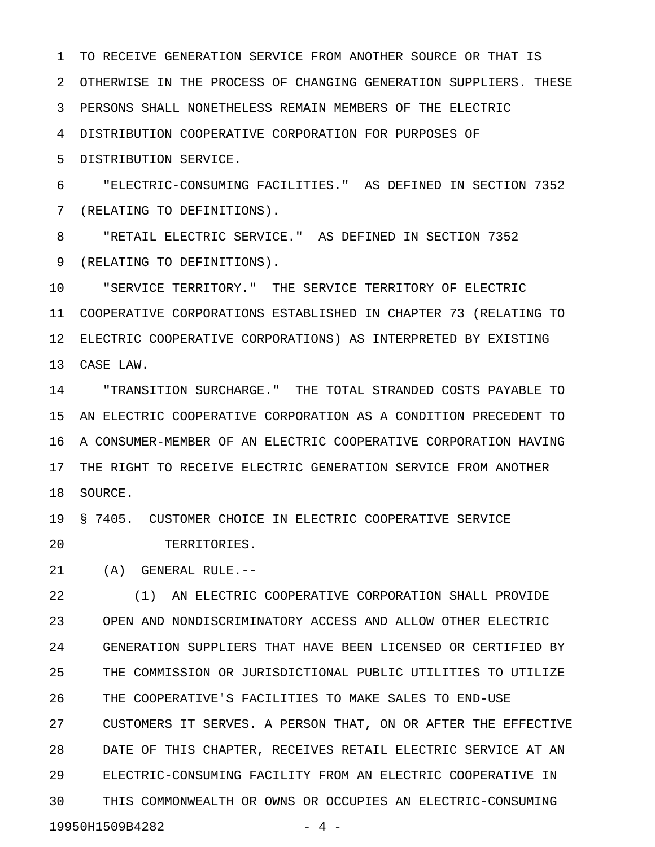1 TO RECEIVE GENERATION SERVICE FROM ANOTHER SOURCE OR THAT IS 2 OTHERWISE IN THE PROCESS OF CHANGING GENERATION SUPPLIERS. THESE 3 PERSONS SHALL NONETHELESS REMAIN MEMBERS OF THE ELECTRIC 4 DISTRIBUTION COOPERATIVE CORPORATION FOR PURPOSES OF

5 DISTRIBUTION SERVICE.

6 "ELECTRIC-CONSUMING FACILITIES." AS DEFINED IN SECTION 7352 7 (RELATING TO DEFINITIONS).

8 "RETAIL ELECTRIC SERVICE." AS DEFINED IN SECTION 7352 9 (RELATING TO DEFINITIONS).

10 "SERVICE TERRITORY." THE SERVICE TERRITORY OF ELECTRIC 11 COOPERATIVE CORPORATIONS ESTABLISHED IN CHAPTER 73 (RELATING TO 12 ELECTRIC COOPERATIVE CORPORATIONS) AS INTERPRETED BY EXISTING 13 CASE LAW.

14 "TRANSITION SURCHARGE." THE TOTAL STRANDED COSTS PAYABLE TO 15 AN ELECTRIC COOPERATIVE CORPORATION AS A CONDITION PRECEDENT TO 16 A CONSUMER-MEMBER OF AN ELECTRIC COOPERATIVE CORPORATION HAVING 17 THE RIGHT TO RECEIVE ELECTRIC GENERATION SERVICE FROM ANOTHER 18 SOURCE.

19 § 7405. CUSTOMER CHOICE IN ELECTRIC COOPERATIVE SERVICE

20 TERRITORIES.

21 (A) GENERAL RULE.--

22 (1) AN ELECTRIC COOPERATIVE CORPORATION SHALL PROVIDE 23 OPEN AND NONDISCRIMINATORY ACCESS AND ALLOW OTHER ELECTRIC 24 GENERATION SUPPLIERS THAT HAVE BEEN LICENSED OR CERTIFIED BY 25 THE COMMISSION OR JURISDICTIONAL PUBLIC UTILITIES TO UTILIZE 26 THE COOPERATIVE'S FACILITIES TO MAKE SALES TO END-USE 27 CUSTOMERS IT SERVES. A PERSON THAT, ON OR AFTER THE EFFECTIVE 28 DATE OF THIS CHAPTER, RECEIVES RETAIL ELECTRIC SERVICE AT AN 29 ELECTRIC-CONSUMING FACILITY FROM AN ELECTRIC COOPERATIVE IN 30 THIS COMMONWEALTH OR OWNS OR OCCUPIES AN ELECTRIC-CONSUMING 19950H1509B4282 - 4 -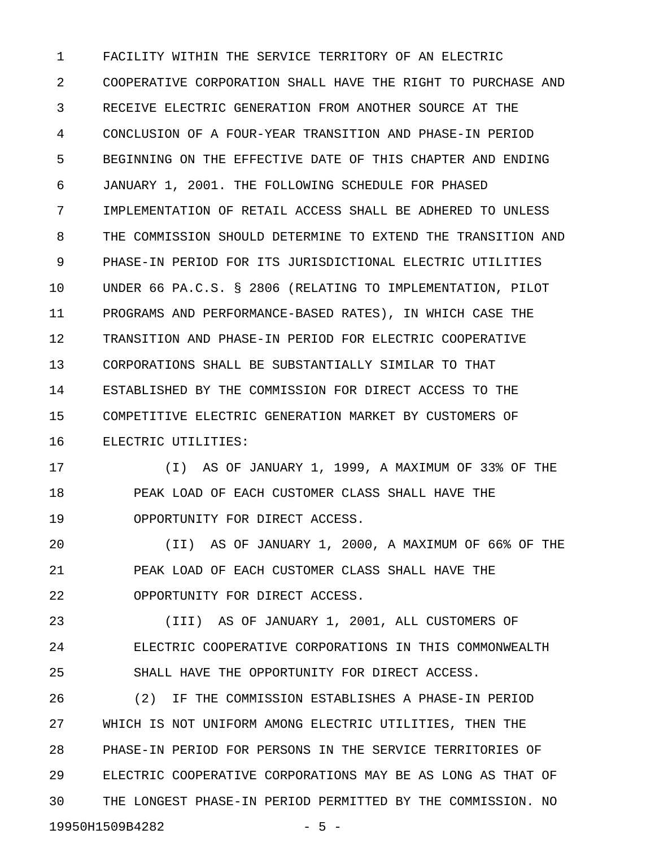1 FACILITY WITHIN THE SERVICE TERRITORY OF AN ELECTRIC 2 COOPERATIVE CORPORATION SHALL HAVE THE RIGHT TO PURCHASE AND 3 RECEIVE ELECTRIC GENERATION FROM ANOTHER SOURCE AT THE 4 CONCLUSION OF A FOUR-YEAR TRANSITION AND PHASE-IN PERIOD 5 BEGINNING ON THE EFFECTIVE DATE OF THIS CHAPTER AND ENDING 6 JANUARY 1, 2001. THE FOLLOWING SCHEDULE FOR PHASED 7 IMPLEMENTATION OF RETAIL ACCESS SHALL BE ADHERED TO UNLESS 8 THE COMMISSION SHOULD DETERMINE TO EXTEND THE TRANSITION AND 9 PHASE-IN PERIOD FOR ITS JURISDICTIONAL ELECTRIC UTILITIES 10 UNDER 66 PA.C.S. § 2806 (RELATING TO IMPLEMENTATION, PILOT 11 PROGRAMS AND PERFORMANCE-BASED RATES), IN WHICH CASE THE 12 TRANSITION AND PHASE-IN PERIOD FOR ELECTRIC COOPERATIVE 13 CORPORATIONS SHALL BE SUBSTANTIALLY SIMILAR TO THAT 14 ESTABLISHED BY THE COMMISSION FOR DIRECT ACCESS TO THE 15 COMPETITIVE ELECTRIC GENERATION MARKET BY CUSTOMERS OF 16 ELECTRIC UTILITIES:

17 (I) AS OF JANUARY 1, 1999, A MAXIMUM OF 33% OF THE 18 PEAK LOAD OF EACH CUSTOMER CLASS SHALL HAVE THE 19 OPPORTUNITY FOR DIRECT ACCESS.

20 (II) AS OF JANUARY 1, 2000, A MAXIMUM OF 66% OF THE 21 PEAK LOAD OF EACH CUSTOMER CLASS SHALL HAVE THE 22 OPPORTUNITY FOR DIRECT ACCESS.

23 (III) AS OF JANUARY 1, 2001, ALL CUSTOMERS OF 24 ELECTRIC COOPERATIVE CORPORATIONS IN THIS COMMONWEALTH 25 SHALL HAVE THE OPPORTUNITY FOR DIRECT ACCESS.

26 (2) IF THE COMMISSION ESTABLISHES A PHASE-IN PERIOD 27 WHICH IS NOT UNIFORM AMONG ELECTRIC UTILITIES, THEN THE 28 PHASE-IN PERIOD FOR PERSONS IN THE SERVICE TERRITORIES OF 29 ELECTRIC COOPERATIVE CORPORATIONS MAY BE AS LONG AS THAT OF 30 THE LONGEST PHASE-IN PERIOD PERMITTED BY THE COMMISSION. NO 19950H1509B4282 - 5 -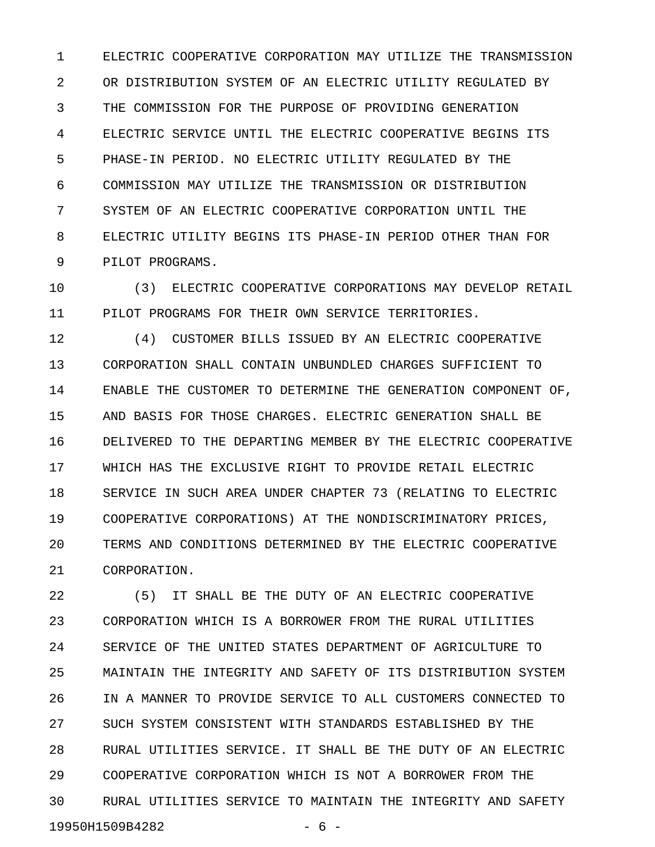1 ELECTRIC COOPERATIVE CORPORATION MAY UTILIZE THE TRANSMISSION 2 OR DISTRIBUTION SYSTEM OF AN ELECTRIC UTILITY REGULATED BY 3 THE COMMISSION FOR THE PURPOSE OF PROVIDING GENERATION 4 ELECTRIC SERVICE UNTIL THE ELECTRIC COOPERATIVE BEGINS ITS 5 PHASE-IN PERIOD. NO ELECTRIC UTILITY REGULATED BY THE 6 COMMISSION MAY UTILIZE THE TRANSMISSION OR DISTRIBUTION 7 SYSTEM OF AN ELECTRIC COOPERATIVE CORPORATION UNTIL THE 8 ELECTRIC UTILITY BEGINS ITS PHASE-IN PERIOD OTHER THAN FOR 9 PILOT PROGRAMS.

10 (3) ELECTRIC COOPERATIVE CORPORATIONS MAY DEVELOP RETAIL 11 PILOT PROGRAMS FOR THEIR OWN SERVICE TERRITORIES.

12 (4) CUSTOMER BILLS ISSUED BY AN ELECTRIC COOPERATIVE 13 CORPORATION SHALL CONTAIN UNBUNDLED CHARGES SUFFICIENT TO 14 ENABLE THE CUSTOMER TO DETERMINE THE GENERATION COMPONENT OF, 15 AND BASIS FOR THOSE CHARGES. ELECTRIC GENERATION SHALL BE 16 DELIVERED TO THE DEPARTING MEMBER BY THE ELECTRIC COOPERATIVE 17 WHICH HAS THE EXCLUSIVE RIGHT TO PROVIDE RETAIL ELECTRIC 18 SERVICE IN SUCH AREA UNDER CHAPTER 73 (RELATING TO ELECTRIC 19 COOPERATIVE CORPORATIONS) AT THE NONDISCRIMINATORY PRICES, 20 TERMS AND CONDITIONS DETERMINED BY THE ELECTRIC COOPERATIVE 21 CORPORATION.

22 (5) IT SHALL BE THE DUTY OF AN ELECTRIC COOPERATIVE 23 CORPORATION WHICH IS A BORROWER FROM THE RURAL UTILITIES 24 SERVICE OF THE UNITED STATES DEPARTMENT OF AGRICULTURE TO 25 MAINTAIN THE INTEGRITY AND SAFETY OF ITS DISTRIBUTION SYSTEM 26 IN A MANNER TO PROVIDE SERVICE TO ALL CUSTOMERS CONNECTED TO 27 SUCH SYSTEM CONSISTENT WITH STANDARDS ESTABLISHED BY THE 28 RURAL UTILITIES SERVICE. IT SHALL BE THE DUTY OF AN ELECTRIC 29 COOPERATIVE CORPORATION WHICH IS NOT A BORROWER FROM THE 30 RURAL UTILITIES SERVICE TO MAINTAIN THE INTEGRITY AND SAFETY 19950H1509B4282 - 6 -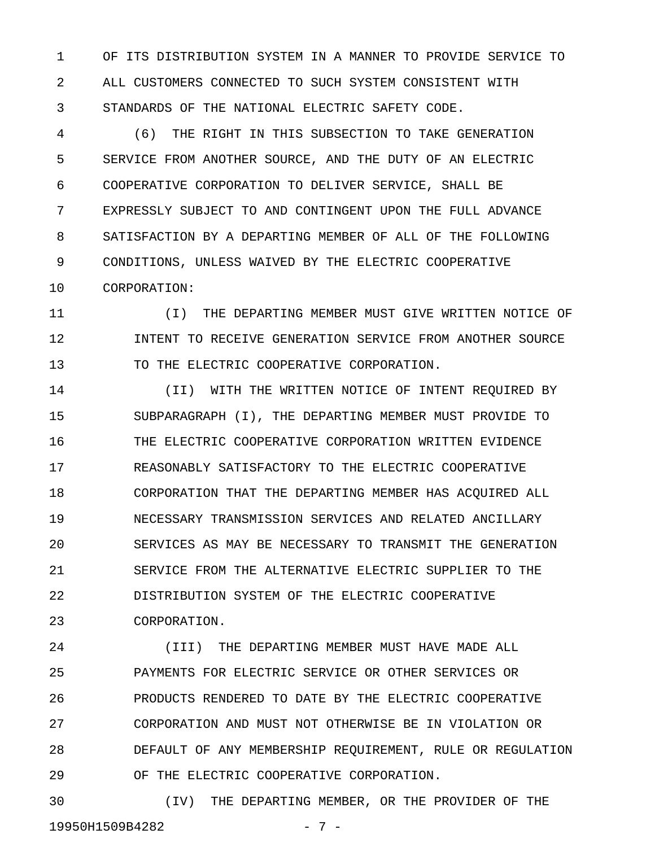1 OF ITS DISTRIBUTION SYSTEM IN A MANNER TO PROVIDE SERVICE TO 2 ALL CUSTOMERS CONNECTED TO SUCH SYSTEM CONSISTENT WITH 3 STANDARDS OF THE NATIONAL ELECTRIC SAFETY CODE.

4 (6) THE RIGHT IN THIS SUBSECTION TO TAKE GENERATION 5 SERVICE FROM ANOTHER SOURCE, AND THE DUTY OF AN ELECTRIC 6 COOPERATIVE CORPORATION TO DELIVER SERVICE, SHALL BE 7 EXPRESSLY SUBJECT TO AND CONTINGENT UPON THE FULL ADVANCE 8 SATISFACTION BY A DEPARTING MEMBER OF ALL OF THE FOLLOWING 9 CONDITIONS, UNLESS WAIVED BY THE ELECTRIC COOPERATIVE 10 CORPORATION:

11 (I) THE DEPARTING MEMBER MUST GIVE WRITTEN NOTICE OF 12 INTENT TO RECEIVE GENERATION SERVICE FROM ANOTHER SOURCE 13 TO THE ELECTRIC COOPERATIVE CORPORATION.

14 (II) WITH THE WRITTEN NOTICE OF INTENT REQUIRED BY 15 SUBPARAGRAPH (I), THE DEPARTING MEMBER MUST PROVIDE TO 16 THE ELECTRIC COOPERATIVE CORPORATION WRITTEN EVIDENCE 17 REASONABLY SATISFACTORY TO THE ELECTRIC COOPERATIVE 18 CORPORATION THAT THE DEPARTING MEMBER HAS ACQUIRED ALL 19 NECESSARY TRANSMISSION SERVICES AND RELATED ANCILLARY 20 SERVICES AS MAY BE NECESSARY TO TRANSMIT THE GENERATION 21 SERVICE FROM THE ALTERNATIVE ELECTRIC SUPPLIER TO THE 22 DISTRIBUTION SYSTEM OF THE ELECTRIC COOPERATIVE 23 CORPORATION.

24 (III) THE DEPARTING MEMBER MUST HAVE MADE ALL 25 PAYMENTS FOR ELECTRIC SERVICE OR OTHER SERVICES OR 26 PRODUCTS RENDERED TO DATE BY THE ELECTRIC COOPERATIVE 27 CORPORATION AND MUST NOT OTHERWISE BE IN VIOLATION OR 28 DEFAULT OF ANY MEMBERSHIP REQUIREMENT, RULE OR REGULATION 29 OF THE ELECTRIC COOPERATIVE CORPORATION.

30 (IV) THE DEPARTING MEMBER, OR THE PROVIDER OF THE 19950H1509B4282 - 7 -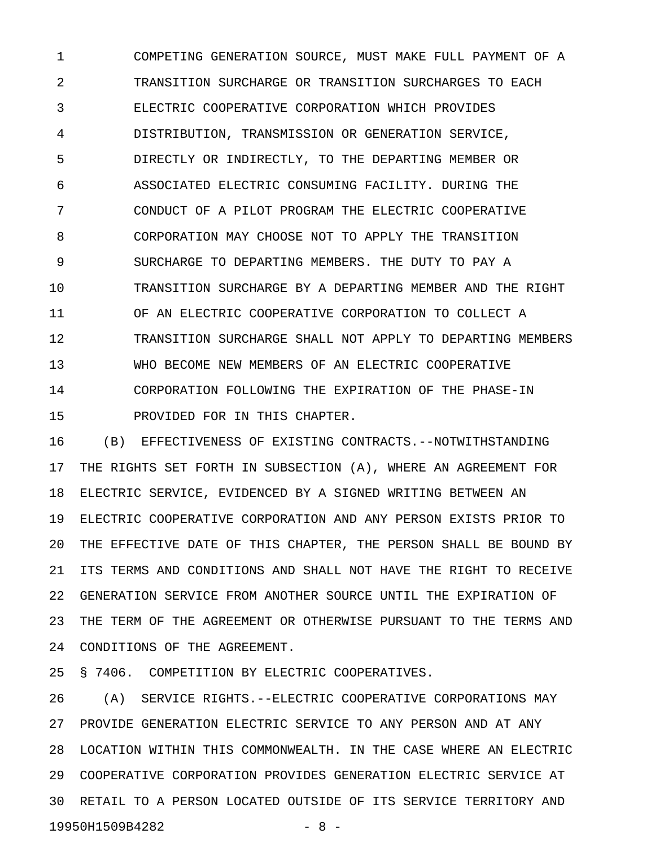1 COMPETING GENERATION SOURCE, MUST MAKE FULL PAYMENT OF A 2 TRANSITION SURCHARGE OR TRANSITION SURCHARGES TO EACH 3 ELECTRIC COOPERATIVE CORPORATION WHICH PROVIDES 4 DISTRIBUTION, TRANSMISSION OR GENERATION SERVICE, 5 DIRECTLY OR INDIRECTLY, TO THE DEPARTING MEMBER OR 6 ASSOCIATED ELECTRIC CONSUMING FACILITY. DURING THE 7 CONDUCT OF A PILOT PROGRAM THE ELECTRIC COOPERATIVE 8 CORPORATION MAY CHOOSE NOT TO APPLY THE TRANSITION 9 SURCHARGE TO DEPARTING MEMBERS. THE DUTY TO PAY A 10 TRANSITION SURCHARGE BY A DEPARTING MEMBER AND THE RIGHT 11 OF AN ELECTRIC COOPERATIVE CORPORATION TO COLLECT A 12 TRANSITION SURCHARGE SHALL NOT APPLY TO DEPARTING MEMBERS 13 WHO BECOME NEW MEMBERS OF AN ELECTRIC COOPERATIVE 14 CORPORATION FOLLOWING THE EXPIRATION OF THE PHASE-IN 15 PROVIDED FOR IN THIS CHAPTER.

16 (B) EFFECTIVENESS OF EXISTING CONTRACTS.--NOTWITHSTANDING 17 THE RIGHTS SET FORTH IN SUBSECTION (A), WHERE AN AGREEMENT FOR 18 ELECTRIC SERVICE, EVIDENCED BY A SIGNED WRITING BETWEEN AN 19 ELECTRIC COOPERATIVE CORPORATION AND ANY PERSON EXISTS PRIOR TO 20 THE EFFECTIVE DATE OF THIS CHAPTER, THE PERSON SHALL BE BOUND BY 21 ITS TERMS AND CONDITIONS AND SHALL NOT HAVE THE RIGHT TO RECEIVE 22 GENERATION SERVICE FROM ANOTHER SOURCE UNTIL THE EXPIRATION OF 23 THE TERM OF THE AGREEMENT OR OTHERWISE PURSUANT TO THE TERMS AND 24 CONDITIONS OF THE AGREEMENT.

25 § 7406. COMPETITION BY ELECTRIC COOPERATIVES.

26 (A) SERVICE RIGHTS.--ELECTRIC COOPERATIVE CORPORATIONS MAY 27 PROVIDE GENERATION ELECTRIC SERVICE TO ANY PERSON AND AT ANY 28 LOCATION WITHIN THIS COMMONWEALTH. IN THE CASE WHERE AN ELECTRIC 29 COOPERATIVE CORPORATION PROVIDES GENERATION ELECTRIC SERVICE AT 30 RETAIL TO A PERSON LOCATED OUTSIDE OF ITS SERVICE TERRITORY AND 19950H1509B4282 - 8 -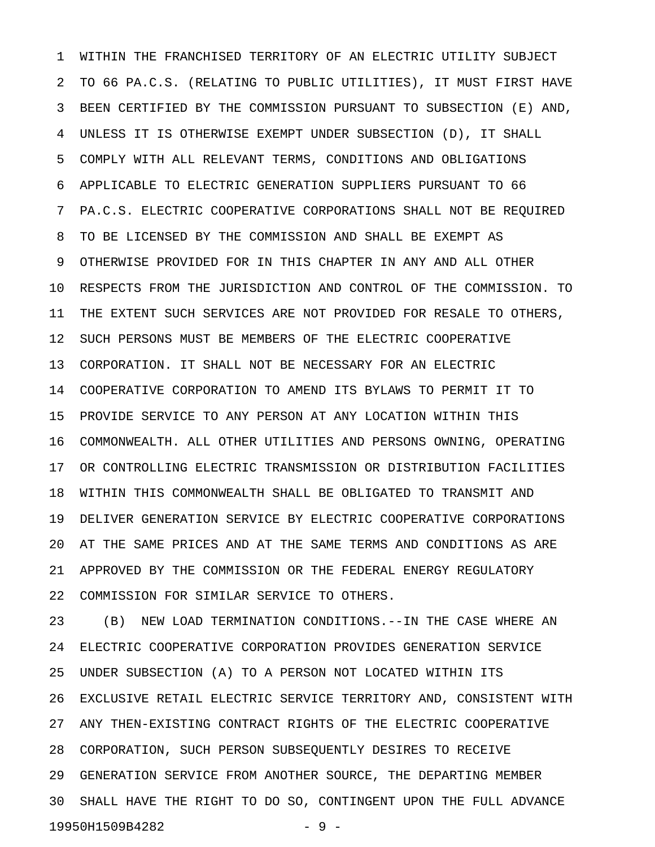1 WITHIN THE FRANCHISED TERRITORY OF AN ELECTRIC UTILITY SUBJECT 2 TO 66 PA.C.S. (RELATING TO PUBLIC UTILITIES), IT MUST FIRST HAVE 3 BEEN CERTIFIED BY THE COMMISSION PURSUANT TO SUBSECTION (E) AND, 4 UNLESS IT IS OTHERWISE EXEMPT UNDER SUBSECTION (D), IT SHALL 5 COMPLY WITH ALL RELEVANT TERMS, CONDITIONS AND OBLIGATIONS 6 APPLICABLE TO ELECTRIC GENERATION SUPPLIERS PURSUANT TO 66 7 PA.C.S. ELECTRIC COOPERATIVE CORPORATIONS SHALL NOT BE REQUIRED 8 TO BE LICENSED BY THE COMMISSION AND SHALL BE EXEMPT AS 9 OTHERWISE PROVIDED FOR IN THIS CHAPTER IN ANY AND ALL OTHER 10 RESPECTS FROM THE JURISDICTION AND CONTROL OF THE COMMISSION. TO 11 THE EXTENT SUCH SERVICES ARE NOT PROVIDED FOR RESALE TO OTHERS, 12 SUCH PERSONS MUST BE MEMBERS OF THE ELECTRIC COOPERATIVE 13 CORPORATION. IT SHALL NOT BE NECESSARY FOR AN ELECTRIC 14 COOPERATIVE CORPORATION TO AMEND ITS BYLAWS TO PERMIT IT TO 15 PROVIDE SERVICE TO ANY PERSON AT ANY LOCATION WITHIN THIS 16 COMMONWEALTH. ALL OTHER UTILITIES AND PERSONS OWNING, OPERATING 17 OR CONTROLLING ELECTRIC TRANSMISSION OR DISTRIBUTION FACILITIES 18 WITHIN THIS COMMONWEALTH SHALL BE OBLIGATED TO TRANSMIT AND 19 DELIVER GENERATION SERVICE BY ELECTRIC COOPERATIVE CORPORATIONS 20 AT THE SAME PRICES AND AT THE SAME TERMS AND CONDITIONS AS ARE 21 APPROVED BY THE COMMISSION OR THE FEDERAL ENERGY REGULATORY 22 COMMISSION FOR SIMILAR SERVICE TO OTHERS.

23 (B) NEW LOAD TERMINATION CONDITIONS.--IN THE CASE WHERE AN 24 ELECTRIC COOPERATIVE CORPORATION PROVIDES GENERATION SERVICE 25 UNDER SUBSECTION (A) TO A PERSON NOT LOCATED WITHIN ITS 26 EXCLUSIVE RETAIL ELECTRIC SERVICE TERRITORY AND, CONSISTENT WITH 27 ANY THEN-EXISTING CONTRACT RIGHTS OF THE ELECTRIC COOPERATIVE 28 CORPORATION, SUCH PERSON SUBSEQUENTLY DESIRES TO RECEIVE 29 GENERATION SERVICE FROM ANOTHER SOURCE, THE DEPARTING MEMBER 30 SHALL HAVE THE RIGHT TO DO SO, CONTINGENT UPON THE FULL ADVANCE 19950H1509B4282 - 9 -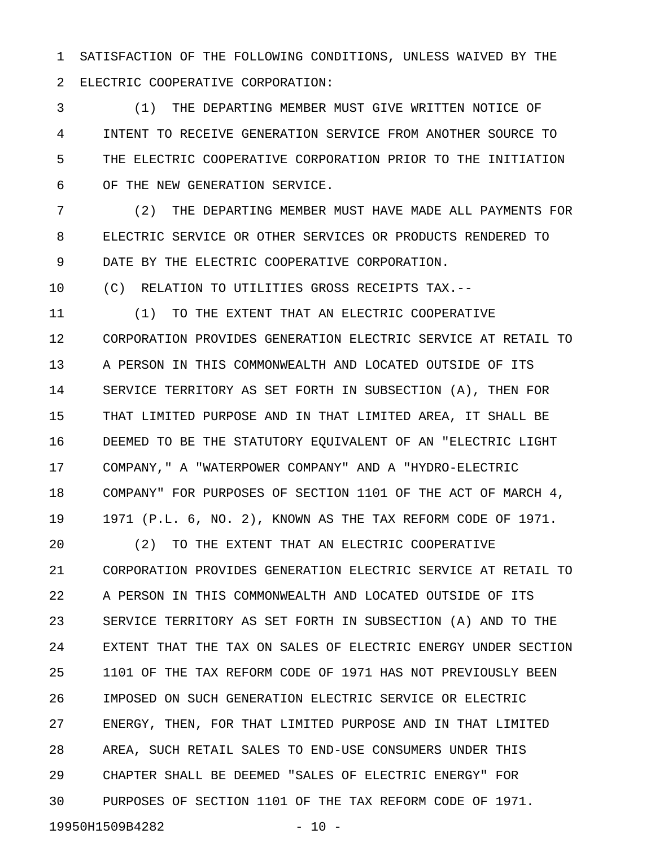1 SATISFACTION OF THE FOLLOWING CONDITIONS, UNLESS WAIVED BY THE 2 ELECTRIC COOPERATIVE CORPORATION:

3 (1) THE DEPARTING MEMBER MUST GIVE WRITTEN NOTICE OF 4 INTENT TO RECEIVE GENERATION SERVICE FROM ANOTHER SOURCE TO 5 THE ELECTRIC COOPERATIVE CORPORATION PRIOR TO THE INITIATION 6 OF THE NEW GENERATION SERVICE.

7 (2) THE DEPARTING MEMBER MUST HAVE MADE ALL PAYMENTS FOR 8 ELECTRIC SERVICE OR OTHER SERVICES OR PRODUCTS RENDERED TO 9 DATE BY THE ELECTRIC COOPERATIVE CORPORATION.

10 (C) RELATION TO UTILITIES GROSS RECEIPTS TAX.--

11 (1) TO THE EXTENT THAT AN ELECTRIC COOPERATIVE 12 CORPORATION PROVIDES GENERATION ELECTRIC SERVICE AT RETAIL TO 13 A PERSON IN THIS COMMONWEALTH AND LOCATED OUTSIDE OF ITS 14 SERVICE TERRITORY AS SET FORTH IN SUBSECTION (A), THEN FOR 15 THAT LIMITED PURPOSE AND IN THAT LIMITED AREA, IT SHALL BE 16 DEEMED TO BE THE STATUTORY EQUIVALENT OF AN "ELECTRIC LIGHT 17 COMPANY," A "WATERPOWER COMPANY" AND A "HYDRO-ELECTRIC 18 COMPANY" FOR PURPOSES OF SECTION 1101 OF THE ACT OF MARCH 4, 19 1971 (P.L. 6, NO. 2), KNOWN AS THE TAX REFORM CODE OF 1971.

20 (2) TO THE EXTENT THAT AN ELECTRIC COOPERATIVE 21 CORPORATION PROVIDES GENERATION ELECTRIC SERVICE AT RETAIL TO 22 A PERSON IN THIS COMMONWEALTH AND LOCATED OUTSIDE OF ITS 23 SERVICE TERRITORY AS SET FORTH IN SUBSECTION (A) AND TO THE 24 EXTENT THAT THE TAX ON SALES OF ELECTRIC ENERGY UNDER SECTION 25 1101 OF THE TAX REFORM CODE OF 1971 HAS NOT PREVIOUSLY BEEN 26 IMPOSED ON SUCH GENERATION ELECTRIC SERVICE OR ELECTRIC 27 ENERGY, THEN, FOR THAT LIMITED PURPOSE AND IN THAT LIMITED 28 AREA, SUCH RETAIL SALES TO END-USE CONSUMERS UNDER THIS 29 CHAPTER SHALL BE DEEMED "SALES OF ELECTRIC ENERGY" FOR 30 PURPOSES OF SECTION 1101 OF THE TAX REFORM CODE OF 1971. 19950H1509B4282 - 10 -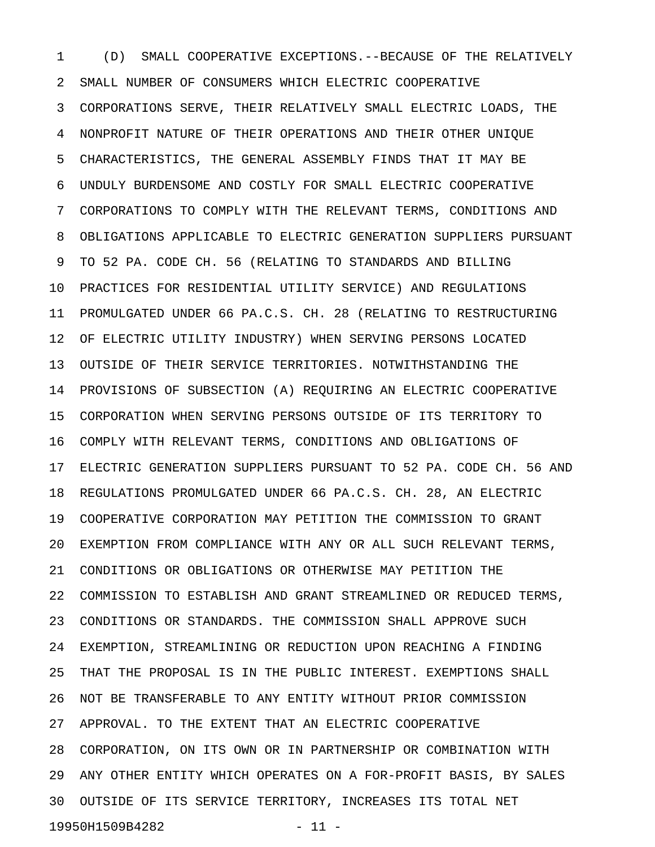1 (D) SMALL COOPERATIVE EXCEPTIONS.--BECAUSE OF THE RELATIVELY 2 SMALL NUMBER OF CONSUMERS WHICH ELECTRIC COOPERATIVE 3 CORPORATIONS SERVE, THEIR RELATIVELY SMALL ELECTRIC LOADS, THE 4 NONPROFIT NATURE OF THEIR OPERATIONS AND THEIR OTHER UNIQUE 5 CHARACTERISTICS, THE GENERAL ASSEMBLY FINDS THAT IT MAY BE 6 UNDULY BURDENSOME AND COSTLY FOR SMALL ELECTRIC COOPERATIVE 7 CORPORATIONS TO COMPLY WITH THE RELEVANT TERMS, CONDITIONS AND 8 OBLIGATIONS APPLICABLE TO ELECTRIC GENERATION SUPPLIERS PURSUANT 9 TO 52 PA. CODE CH. 56 (RELATING TO STANDARDS AND BILLING 10 PRACTICES FOR RESIDENTIAL UTILITY SERVICE) AND REGULATIONS 11 PROMULGATED UNDER 66 PA.C.S. CH. 28 (RELATING TO RESTRUCTURING 12 OF ELECTRIC UTILITY INDUSTRY) WHEN SERVING PERSONS LOCATED 13 OUTSIDE OF THEIR SERVICE TERRITORIES. NOTWITHSTANDING THE 14 PROVISIONS OF SUBSECTION (A) REQUIRING AN ELECTRIC COOPERATIVE 15 CORPORATION WHEN SERVING PERSONS OUTSIDE OF ITS TERRITORY TO 16 COMPLY WITH RELEVANT TERMS, CONDITIONS AND OBLIGATIONS OF 17 ELECTRIC GENERATION SUPPLIERS PURSUANT TO 52 PA. CODE CH. 56 AND 18 REGULATIONS PROMULGATED UNDER 66 PA.C.S. CH. 28, AN ELECTRIC 19 COOPERATIVE CORPORATION MAY PETITION THE COMMISSION TO GRANT 20 EXEMPTION FROM COMPLIANCE WITH ANY OR ALL SUCH RELEVANT TERMS, 21 CONDITIONS OR OBLIGATIONS OR OTHERWISE MAY PETITION THE 22 COMMISSION TO ESTABLISH AND GRANT STREAMLINED OR REDUCED TERMS, 23 CONDITIONS OR STANDARDS. THE COMMISSION SHALL APPROVE SUCH 24 EXEMPTION, STREAMLINING OR REDUCTION UPON REACHING A FINDING 25 THAT THE PROPOSAL IS IN THE PUBLIC INTEREST. EXEMPTIONS SHALL 26 NOT BE TRANSFERABLE TO ANY ENTITY WITHOUT PRIOR COMMISSION 27 APPROVAL. TO THE EXTENT THAT AN ELECTRIC COOPERATIVE 28 CORPORATION, ON ITS OWN OR IN PARTNERSHIP OR COMBINATION WITH 29 ANY OTHER ENTITY WHICH OPERATES ON A FOR-PROFIT BASIS, BY SALES 30 OUTSIDE OF ITS SERVICE TERRITORY, INCREASES ITS TOTAL NET 19950H1509B4282 - 11 -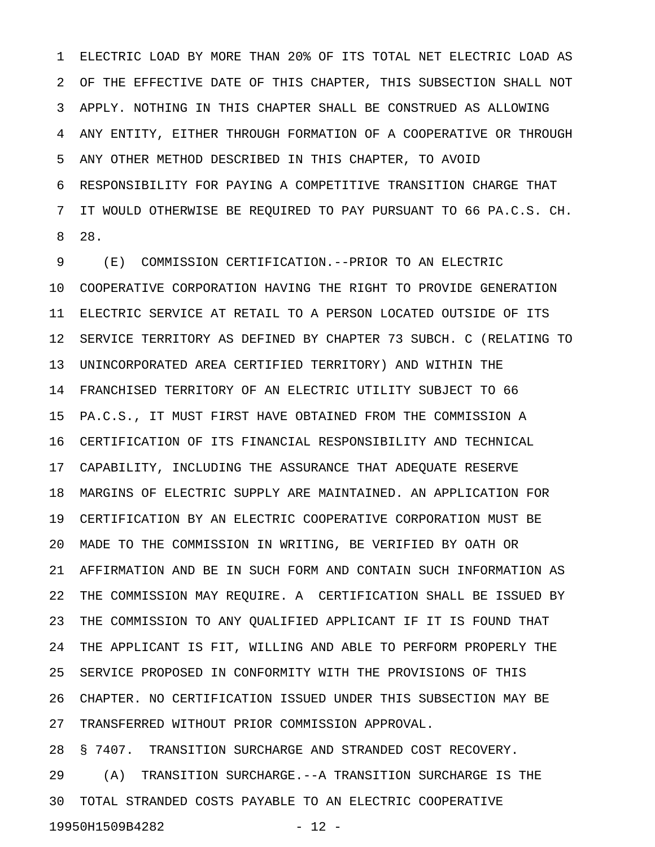1 ELECTRIC LOAD BY MORE THAN 20% OF ITS TOTAL NET ELECTRIC LOAD AS 2 OF THE EFFECTIVE DATE OF THIS CHAPTER, THIS SUBSECTION SHALL NOT 3 APPLY. NOTHING IN THIS CHAPTER SHALL BE CONSTRUED AS ALLOWING 4 ANY ENTITY, EITHER THROUGH FORMATION OF A COOPERATIVE OR THROUGH 5 ANY OTHER METHOD DESCRIBED IN THIS CHAPTER, TO AVOID 6 RESPONSIBILITY FOR PAYING A COMPETITIVE TRANSITION CHARGE THAT 7 IT WOULD OTHERWISE BE REQUIRED TO PAY PURSUANT TO 66 PA.C.S. CH. 8 28.

9 (E) COMMISSION CERTIFICATION.--PRIOR TO AN ELECTRIC 10 COOPERATIVE CORPORATION HAVING THE RIGHT TO PROVIDE GENERATION 11 ELECTRIC SERVICE AT RETAIL TO A PERSON LOCATED OUTSIDE OF ITS 12 SERVICE TERRITORY AS DEFINED BY CHAPTER 73 SUBCH. C (RELATING TO 13 UNINCORPORATED AREA CERTIFIED TERRITORY) AND WITHIN THE 14 FRANCHISED TERRITORY OF AN ELECTRIC UTILITY SUBJECT TO 66 15 PA.C.S., IT MUST FIRST HAVE OBTAINED FROM THE COMMISSION A 16 CERTIFICATION OF ITS FINANCIAL RESPONSIBILITY AND TECHNICAL 17 CAPABILITY, INCLUDING THE ASSURANCE THAT ADEQUATE RESERVE 18 MARGINS OF ELECTRIC SUPPLY ARE MAINTAINED. AN APPLICATION FOR 19 CERTIFICATION BY AN ELECTRIC COOPERATIVE CORPORATION MUST BE 20 MADE TO THE COMMISSION IN WRITING, BE VERIFIED BY OATH OR 21 AFFIRMATION AND BE IN SUCH FORM AND CONTAIN SUCH INFORMATION AS 22 THE COMMISSION MAY REQUIRE. A CERTIFICATION SHALL BE ISSUED BY 23 THE COMMISSION TO ANY QUALIFIED APPLICANT IF IT IS FOUND THAT 24 THE APPLICANT IS FIT, WILLING AND ABLE TO PERFORM PROPERLY THE 25 SERVICE PROPOSED IN CONFORMITY WITH THE PROVISIONS OF THIS 26 CHAPTER. NO CERTIFICATION ISSUED UNDER THIS SUBSECTION MAY BE 27 TRANSFERRED WITHOUT PRIOR COMMISSION APPROVAL. 28 § 7407. TRANSITION SURCHARGE AND STRANDED COST RECOVERY.

29 (A) TRANSITION SURCHARGE.--A TRANSITION SURCHARGE IS THE 30 TOTAL STRANDED COSTS PAYABLE TO AN ELECTRIC COOPERATIVE 19950H1509B4282 - 12 -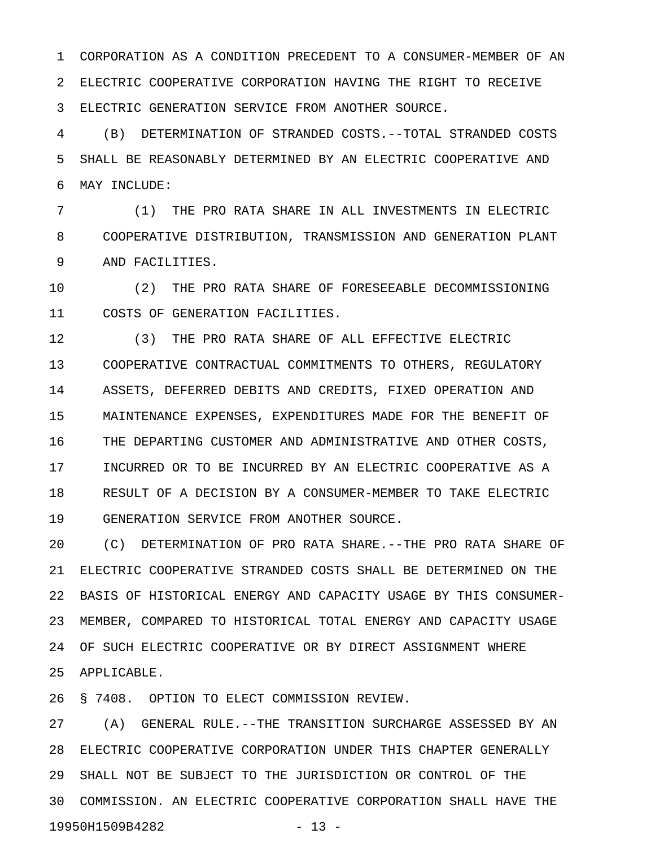1 CORPORATION AS A CONDITION PRECEDENT TO A CONSUMER-MEMBER OF AN 2 ELECTRIC COOPERATIVE CORPORATION HAVING THE RIGHT TO RECEIVE 3 ELECTRIC GENERATION SERVICE FROM ANOTHER SOURCE.

4 (B) DETERMINATION OF STRANDED COSTS.--TOTAL STRANDED COSTS 5 SHALL BE REASONABLY DETERMINED BY AN ELECTRIC COOPERATIVE AND 6 MAY INCLUDE:

7 (1) THE PRO RATA SHARE IN ALL INVESTMENTS IN ELECTRIC 8 COOPERATIVE DISTRIBUTION, TRANSMISSION AND GENERATION PLANT 9 AND FACILITIES.

10 (2) THE PRO RATA SHARE OF FORESEEABLE DECOMMISSIONING 11 COSTS OF GENERATION FACILITIES.

12 (3) THE PRO RATA SHARE OF ALL EFFECTIVE ELECTRIC 13 COOPERATIVE CONTRACTUAL COMMITMENTS TO OTHERS, REGULATORY 14 ASSETS, DEFERRED DEBITS AND CREDITS, FIXED OPERATION AND 15 MAINTENANCE EXPENSES, EXPENDITURES MADE FOR THE BENEFIT OF 16 THE DEPARTING CUSTOMER AND ADMINISTRATIVE AND OTHER COSTS, 17 INCURRED OR TO BE INCURRED BY AN ELECTRIC COOPERATIVE AS A 18 RESULT OF A DECISION BY A CONSUMER-MEMBER TO TAKE ELECTRIC 19 GENERATION SERVICE FROM ANOTHER SOURCE.

20 (C) DETERMINATION OF PRO RATA SHARE.--THE PRO RATA SHARE OF 21 ELECTRIC COOPERATIVE STRANDED COSTS SHALL BE DETERMINED ON THE 22 BASIS OF HISTORICAL ENERGY AND CAPACITY USAGE BY THIS CONSUMER-23 MEMBER, COMPARED TO HISTORICAL TOTAL ENERGY AND CAPACITY USAGE 24 OF SUCH ELECTRIC COOPERATIVE OR BY DIRECT ASSIGNMENT WHERE 25 APPLICABLE.

26 § 7408. OPTION TO ELECT COMMISSION REVIEW.

27 (A) GENERAL RULE.--THE TRANSITION SURCHARGE ASSESSED BY AN 28 ELECTRIC COOPERATIVE CORPORATION UNDER THIS CHAPTER GENERALLY 29 SHALL NOT BE SUBJECT TO THE JURISDICTION OR CONTROL OF THE 30 COMMISSION. AN ELECTRIC COOPERATIVE CORPORATION SHALL HAVE THE 19950H1509B4282 - 13 -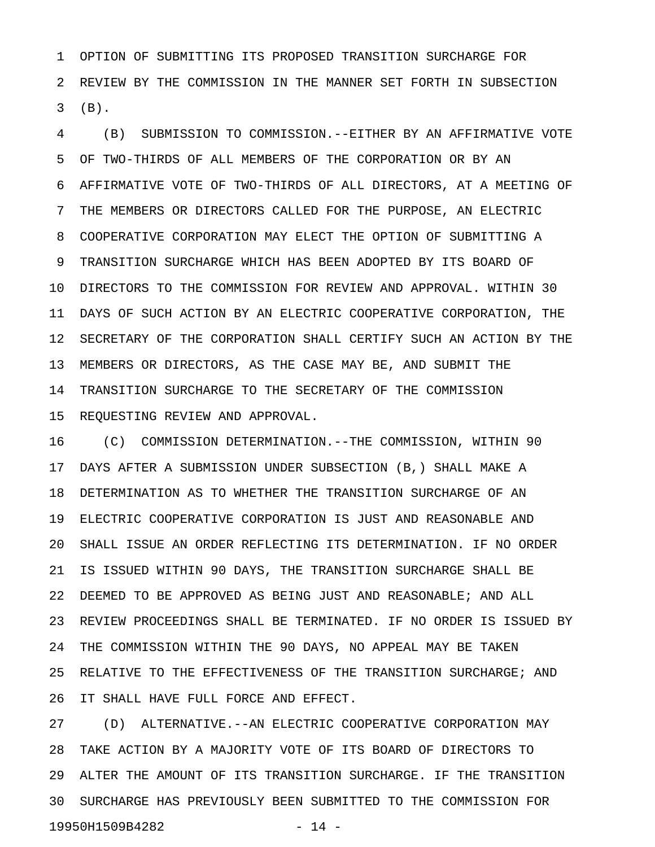1 OPTION OF SUBMITTING ITS PROPOSED TRANSITION SURCHARGE FOR 2 REVIEW BY THE COMMISSION IN THE MANNER SET FORTH IN SUBSECTION 3 (B).

4 (B) SUBMISSION TO COMMISSION.--EITHER BY AN AFFIRMATIVE VOTE 5 OF TWO-THIRDS OF ALL MEMBERS OF THE CORPORATION OR BY AN 6 AFFIRMATIVE VOTE OF TWO-THIRDS OF ALL DIRECTORS, AT A MEETING OF 7 THE MEMBERS OR DIRECTORS CALLED FOR THE PURPOSE, AN ELECTRIC 8 COOPERATIVE CORPORATION MAY ELECT THE OPTION OF SUBMITTING A 9 TRANSITION SURCHARGE WHICH HAS BEEN ADOPTED BY ITS BOARD OF 10 DIRECTORS TO THE COMMISSION FOR REVIEW AND APPROVAL. WITHIN 30 11 DAYS OF SUCH ACTION BY AN ELECTRIC COOPERATIVE CORPORATION, THE 12 SECRETARY OF THE CORPORATION SHALL CERTIFY SUCH AN ACTION BY THE 13 MEMBERS OR DIRECTORS, AS THE CASE MAY BE, AND SUBMIT THE 14 TRANSITION SURCHARGE TO THE SECRETARY OF THE COMMISSION 15 REQUESTING REVIEW AND APPROVAL.

16 (C) COMMISSION DETERMINATION.--THE COMMISSION, WITHIN 90 17 DAYS AFTER A SUBMISSION UNDER SUBSECTION (B,) SHALL MAKE A 18 DETERMINATION AS TO WHETHER THE TRANSITION SURCHARGE OF AN 19 ELECTRIC COOPERATIVE CORPORATION IS JUST AND REASONABLE AND 20 SHALL ISSUE AN ORDER REFLECTING ITS DETERMINATION. IF NO ORDER 21 IS ISSUED WITHIN 90 DAYS, THE TRANSITION SURCHARGE SHALL BE 22 DEEMED TO BE APPROVED AS BEING JUST AND REASONABLE; AND ALL 23 REVIEW PROCEEDINGS SHALL BE TERMINATED. IF NO ORDER IS ISSUED BY 24 THE COMMISSION WITHIN THE 90 DAYS, NO APPEAL MAY BE TAKEN 25 RELATIVE TO THE EFFECTIVENESS OF THE TRANSITION SURCHARGE; AND 26 IT SHALL HAVE FULL FORCE AND EFFECT.

27 (D) ALTERNATIVE.--AN ELECTRIC COOPERATIVE CORPORATION MAY 28 TAKE ACTION BY A MAJORITY VOTE OF ITS BOARD OF DIRECTORS TO 29 ALTER THE AMOUNT OF ITS TRANSITION SURCHARGE. IF THE TRANSITION 30 SURCHARGE HAS PREVIOUSLY BEEN SUBMITTED TO THE COMMISSION FOR 19950H1509B4282 - 14 -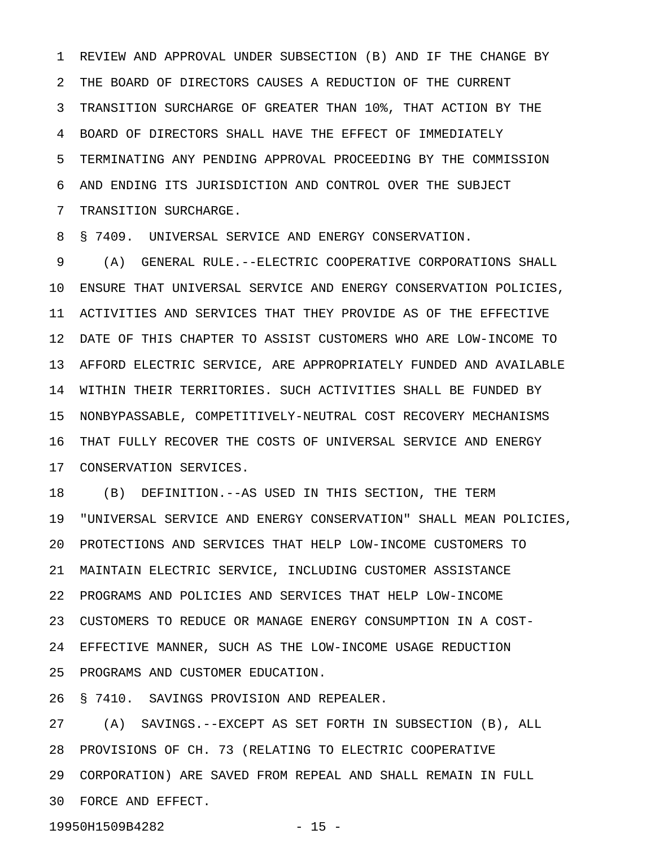1 REVIEW AND APPROVAL UNDER SUBSECTION (B) AND IF THE CHANGE BY 2 THE BOARD OF DIRECTORS CAUSES A REDUCTION OF THE CURRENT 3 TRANSITION SURCHARGE OF GREATER THAN 10%, THAT ACTION BY THE 4 BOARD OF DIRECTORS SHALL HAVE THE EFFECT OF IMMEDIATELY 5 TERMINATING ANY PENDING APPROVAL PROCEEDING BY THE COMMISSION 6 AND ENDING ITS JURISDICTION AND CONTROL OVER THE SUBJECT 7 TRANSITION SURCHARGE.

8 § 7409. UNIVERSAL SERVICE AND ENERGY CONSERVATION.

9 (A) GENERAL RULE.--ELECTRIC COOPERATIVE CORPORATIONS SHALL 10 ENSURE THAT UNIVERSAL SERVICE AND ENERGY CONSERVATION POLICIES, 11 ACTIVITIES AND SERVICES THAT THEY PROVIDE AS OF THE EFFECTIVE 12 DATE OF THIS CHAPTER TO ASSIST CUSTOMERS WHO ARE LOW-INCOME TO 13 AFFORD ELECTRIC SERVICE, ARE APPROPRIATELY FUNDED AND AVAILABLE 14 WITHIN THEIR TERRITORIES. SUCH ACTIVITIES SHALL BE FUNDED BY 15 NONBYPASSABLE, COMPETITIVELY-NEUTRAL COST RECOVERY MECHANISMS 16 THAT FULLY RECOVER THE COSTS OF UNIVERSAL SERVICE AND ENERGY 17 CONSERVATION SERVICES.

18 (B) DEFINITION.--AS USED IN THIS SECTION, THE TERM 19 "UNIVERSAL SERVICE AND ENERGY CONSERVATION" SHALL MEAN POLICIES, 20 PROTECTIONS AND SERVICES THAT HELP LOW-INCOME CUSTOMERS TO 21 MAINTAIN ELECTRIC SERVICE, INCLUDING CUSTOMER ASSISTANCE 22 PROGRAMS AND POLICIES AND SERVICES THAT HELP LOW-INCOME 23 CUSTOMERS TO REDUCE OR MANAGE ENERGY CONSUMPTION IN A COST-24 EFFECTIVE MANNER, SUCH AS THE LOW-INCOME USAGE REDUCTION 25 PROGRAMS AND CUSTOMER EDUCATION.

26 § 7410. SAVINGS PROVISION AND REPEALER.

27 (A) SAVINGS.--EXCEPT AS SET FORTH IN SUBSECTION (B), ALL 28 PROVISIONS OF CH. 73 (RELATING TO ELECTRIC COOPERATIVE 29 CORPORATION) ARE SAVED FROM REPEAL AND SHALL REMAIN IN FULL 30 FORCE AND EFFECT.

19950H1509B4282 - 15 -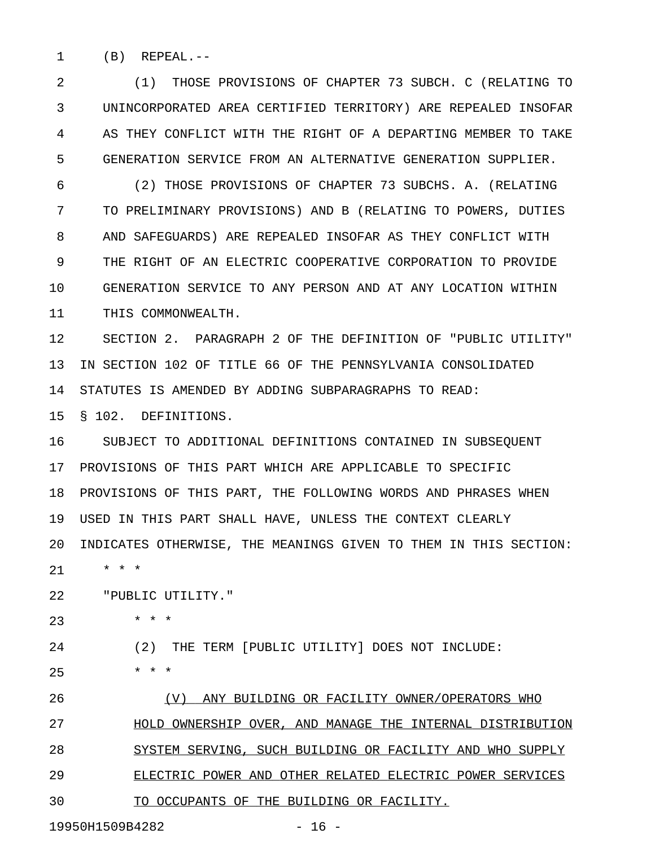1 (B) REPEAL.--

2 (1) THOSE PROVISIONS OF CHAPTER 73 SUBCH. C (RELATING TO 3 UNINCORPORATED AREA CERTIFIED TERRITORY) ARE REPEALED INSOFAR 4 AS THEY CONFLICT WITH THE RIGHT OF A DEPARTING MEMBER TO TAKE 5 GENERATION SERVICE FROM AN ALTERNATIVE GENERATION SUPPLIER.

6 (2) THOSE PROVISIONS OF CHAPTER 73 SUBCHS. A. (RELATING 7 TO PRELIMINARY PROVISIONS) AND B (RELATING TO POWERS, DUTIES 8 AND SAFEGUARDS) ARE REPEALED INSOFAR AS THEY CONFLICT WITH 9 THE RIGHT OF AN ELECTRIC COOPERATIVE CORPORATION TO PROVIDE 10 GENERATION SERVICE TO ANY PERSON AND AT ANY LOCATION WITHIN 11 THIS COMMONWEALTH.

12 SECTION 2. PARAGRAPH 2 OF THE DEFINITION OF "PUBLIC UTILITY" 13 IN SECTION 102 OF TITLE 66 OF THE PENNSYLVANIA CONSOLIDATED 14 STATUTES IS AMENDED BY ADDING SUBPARAGRAPHS TO READ:

15 § 102. DEFINITIONS.

16 SUBJECT TO ADDITIONAL DEFINITIONS CONTAINED IN SUBSEQUENT 17 PROVISIONS OF THIS PART WHICH ARE APPLICABLE TO SPECIFIC 18 PROVISIONS OF THIS PART, THE FOLLOWING WORDS AND PHRASES WHEN 19 USED IN THIS PART SHALL HAVE, UNLESS THE CONTEXT CLEARLY 20 INDICATES OTHERWISE, THE MEANINGS GIVEN TO THEM IN THIS SECTION:

21 \* \* \*

22 "PUBLIC UTILITY."

23 \* \* \*

24 (2) THE TERM [PUBLIC UTILITY] DOES NOT INCLUDE:

 $25$  \* \* \*

26 (V) ANY BUILDING OR FACILITY OWNER/OPERATORS WHO 27 HOLD OWNERSHIP OVER, AND MANAGE THE INTERNAL DISTRIBUTION 28 SYSTEM SERVING, SUCH BUILDING OR FACILITY AND WHO SUPPLY 29 ELECTRIC POWER AND OTHER RELATED ELECTRIC POWER SERVICES 30 TO OCCUPANTS OF THE BUILDING OR FACILITY.

19950H1509B4282 - 16 -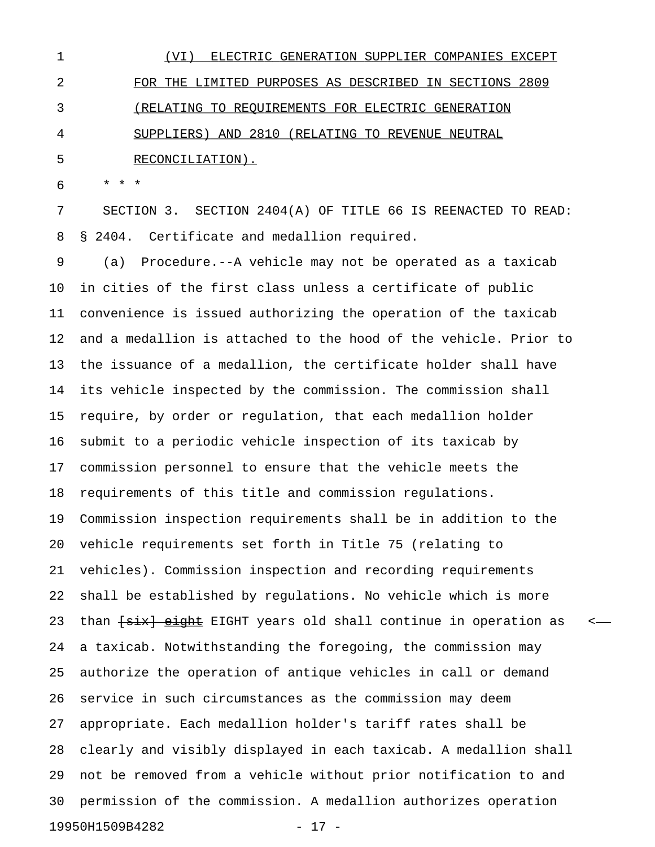1 (VI) ELECTRIC GENERATION SUPPLIER COMPANIES EXCEPT 2 FOR THE LIMITED PURPOSES AS DESCRIBED IN SECTIONS 2809 3 (RELATING TO REQUIREMENTS FOR ELECTRIC GENERATION 4 SUPPLIERS) AND 2810 (RELATING TO REVENUE NEUTRAL 5 RECONCILIATION).

6 \* \* \*

7 SECTION 3. SECTION 2404(A) OF TITLE 66 IS REENACTED TO READ: 8 § 2404. Certificate and medallion required.

9 (a) Procedure.--A vehicle may not be operated as a taxicab 10 in cities of the first class unless a certificate of public 11 convenience is issued authorizing the operation of the taxicab 12 and a medallion is attached to the hood of the vehicle. Prior to 13 the issuance of a medallion, the certificate holder shall have 14 its vehicle inspected by the commission. The commission shall 15 require, by order or regulation, that each medallion holder 16 submit to a periodic vehicle inspection of its taxicab by 17 commission personnel to ensure that the vehicle meets the 18 requirements of this title and commission regulations. 19 Commission inspection requirements shall be in addition to the 20 vehicle requirements set forth in Title 75 (relating to 21 vehicles). Commission inspection and recording requirements 22 shall be established by regulations. No vehicle which is more 23 than <del>[six] eight</del> EIGHT years old shall continue in operation as <-24 a taxicab. Notwithstanding the foregoing, the commission may 25 authorize the operation of antique vehicles in call or demand 26 service in such circumstances as the commission may deem 27 appropriate. Each medallion holder's tariff rates shall be 28 clearly and visibly displayed in each taxicab. A medallion shall 29 not be removed from a vehicle without prior notification to and 30 permission of the commission. A medallion authorizes operation 19950H1509B4282 - 17 -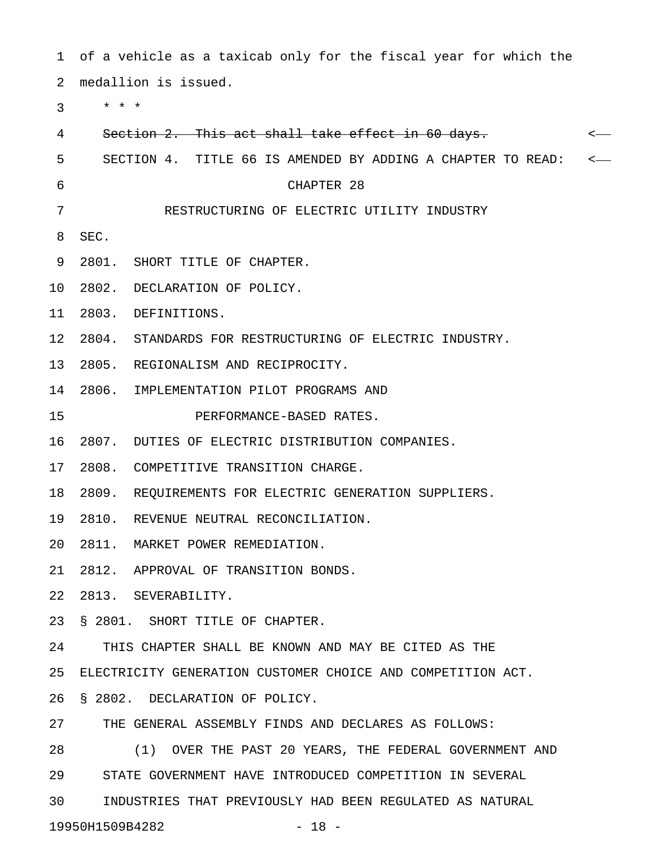1 of a vehicle as a taxicab only for the fiscal year for which the 2 medallion is issued.

3 \* \* \*

| 4  | Section 2. This act shall take effect in 60 days.           |  |
|----|-------------------------------------------------------------|--|
| 5  | SECTION 4. TITLE 66 IS AMENDED BY ADDING A CHAPTER TO READ: |  |
| 6  | CHAPTER 28                                                  |  |
| 7  | RESTRUCTURING OF ELECTRIC UTILITY INDUSTRY                  |  |
| 8  | SEC.                                                        |  |
| 9  | 2801. SHORT TITLE OF CHAPTER.                               |  |
| 10 | 2802. DECLARATION OF POLICY.                                |  |
| 11 | 2803. DEFINITIONS.                                          |  |
| 12 | 2804. STANDARDS FOR RESTRUCTURING OF ELECTRIC INDUSTRY.     |  |
| 13 | 2805. REGIONALISM AND RECIPROCITY.                          |  |
| 14 | 2806. IMPLEMENTATION PILOT PROGRAMS AND                     |  |
| 15 | PERFORMANCE-BASED RATES.                                    |  |
| 16 | 2807. DUTIES OF ELECTRIC DISTRIBUTION COMPANIES.            |  |
| 17 | 2808. COMPETITIVE TRANSITION CHARGE.                        |  |
| 18 | 2809. REQUIREMENTS FOR ELECTRIC GENERATION SUPPLIERS.       |  |
| 19 | 2810. REVENUE NEUTRAL RECONCILIATION.                       |  |
| 20 | 2811. MARKET POWER REMEDIATION.                             |  |
| 21 | 2812. APPROVAL OF TRANSITION BONDS.                         |  |
| 22 | 2813. SEVERABILITY                                          |  |
| 23 | § 2801. SHORT TITLE OF CHAPTER.                             |  |
| 24 | THIS CHAPTER SHALL BE KNOWN AND MAY BE CITED AS THE         |  |
| 25 | ELECTRICITY GENERATION CUSTOMER CHOICE AND COMPETITION ACT. |  |
| 26 | § 2802. DECLARATION OF POLICY.                              |  |
| 27 | THE GENERAL ASSEMBLY FINDS AND DECLARES AS FOLLOWS:         |  |
| 28 | (1) OVER THE PAST 20 YEARS, THE FEDERAL GOVERNMENT AND      |  |
| 29 | STATE GOVERNMENT HAVE INTRODUCED COMPETITION IN SEVERAL     |  |
| 30 | INDUSTRIES THAT PREVIOUSLY HAD BEEN REGULATED AS NATURAL    |  |
|    | 19950H1509B4282<br>$-18 -$                                  |  |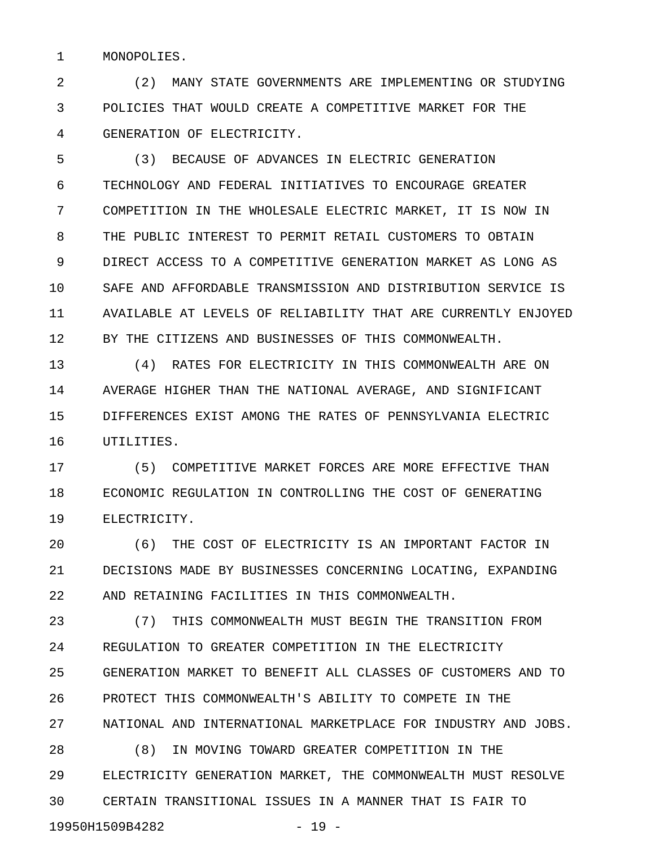1 MONOPOLIES.

2 (2) MANY STATE GOVERNMENTS ARE IMPLEMENTING OR STUDYING 3 POLICIES THAT WOULD CREATE A COMPETITIVE MARKET FOR THE 4 GENERATION OF ELECTRICITY.

5 (3) BECAUSE OF ADVANCES IN ELECTRIC GENERATION 6 TECHNOLOGY AND FEDERAL INITIATIVES TO ENCOURAGE GREATER 7 COMPETITION IN THE WHOLESALE ELECTRIC MARKET, IT IS NOW IN 8 THE PUBLIC INTEREST TO PERMIT RETAIL CUSTOMERS TO OBTAIN 9 DIRECT ACCESS TO A COMPETITIVE GENERATION MARKET AS LONG AS 10 SAFE AND AFFORDABLE TRANSMISSION AND DISTRIBUTION SERVICE IS 11 AVAILABLE AT LEVELS OF RELIABILITY THAT ARE CURRENTLY ENJOYED 12 BY THE CITIZENS AND BUSINESSES OF THIS COMMONWEALTH.

13 (4) RATES FOR ELECTRICITY IN THIS COMMONWEALTH ARE ON 14 AVERAGE HIGHER THAN THE NATIONAL AVERAGE, AND SIGNIFICANT 15 DIFFERENCES EXIST AMONG THE RATES OF PENNSYLVANIA ELECTRIC 16 UTILITIES.

17 (5) COMPETITIVE MARKET FORCES ARE MORE EFFECTIVE THAN 18 ECONOMIC REGULATION IN CONTROLLING THE COST OF GENERATING 19 ELECTRICITY.

20 (6) THE COST OF ELECTRICITY IS AN IMPORTANT FACTOR IN 21 DECISIONS MADE BY BUSINESSES CONCERNING LOCATING, EXPANDING 22 AND RETAINING FACILITIES IN THIS COMMONWEALTH.

23 (7) THIS COMMONWEALTH MUST BEGIN THE TRANSITION FROM 24 REGULATION TO GREATER COMPETITION IN THE ELECTRICITY 25 GENERATION MARKET TO BENEFIT ALL CLASSES OF CUSTOMERS AND TO 26 PROTECT THIS COMMONWEALTH'S ABILITY TO COMPETE IN THE 27 NATIONAL AND INTERNATIONAL MARKETPLACE FOR INDUSTRY AND JOBS. 28 (8) IN MOVING TOWARD GREATER COMPETITION IN THE 29 ELECTRICITY GENERATION MARKET, THE COMMONWEALTH MUST RESOLVE 30 CERTAIN TRANSITIONAL ISSUES IN A MANNER THAT IS FAIR TO

19950H1509B4282 - 19 -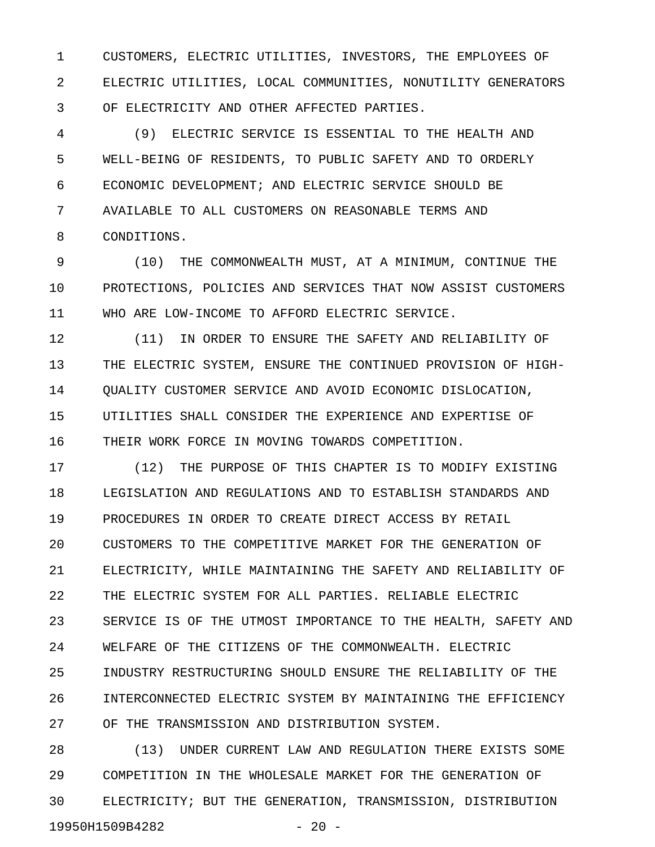1 CUSTOMERS, ELECTRIC UTILITIES, INVESTORS, THE EMPLOYEES OF 2 ELECTRIC UTILITIES, LOCAL COMMUNITIES, NONUTILITY GENERATORS 3 OF ELECTRICITY AND OTHER AFFECTED PARTIES.

4 (9) ELECTRIC SERVICE IS ESSENTIAL TO THE HEALTH AND 5 WELL-BEING OF RESIDENTS, TO PUBLIC SAFETY AND TO ORDERLY 6 ECONOMIC DEVELOPMENT; AND ELECTRIC SERVICE SHOULD BE 7 AVAILABLE TO ALL CUSTOMERS ON REASONABLE TERMS AND 8 CONDITIONS.

9 (10) THE COMMONWEALTH MUST, AT A MINIMUM, CONTINUE THE 10 PROTECTIONS, POLICIES AND SERVICES THAT NOW ASSIST CUSTOMERS 11 WHO ARE LOW-INCOME TO AFFORD ELECTRIC SERVICE.

12 (11) IN ORDER TO ENSURE THE SAFETY AND RELIABILITY OF 13 THE ELECTRIC SYSTEM, ENSURE THE CONTINUED PROVISION OF HIGH-14 QUALITY CUSTOMER SERVICE AND AVOID ECONOMIC DISLOCATION, 15 UTILITIES SHALL CONSIDER THE EXPERIENCE AND EXPERTISE OF 16 THEIR WORK FORCE IN MOVING TOWARDS COMPETITION.

17 (12) THE PURPOSE OF THIS CHAPTER IS TO MODIFY EXISTING 18 LEGISLATION AND REGULATIONS AND TO ESTABLISH STANDARDS AND 19 PROCEDURES IN ORDER TO CREATE DIRECT ACCESS BY RETAIL 20 CUSTOMERS TO THE COMPETITIVE MARKET FOR THE GENERATION OF 21 ELECTRICITY, WHILE MAINTAINING THE SAFETY AND RELIABILITY OF 22 THE ELECTRIC SYSTEM FOR ALL PARTIES. RELIABLE ELECTRIC 23 SERVICE IS OF THE UTMOST IMPORTANCE TO THE HEALTH, SAFETY AND 24 WELFARE OF THE CITIZENS OF THE COMMONWEALTH. ELECTRIC 25 INDUSTRY RESTRUCTURING SHOULD ENSURE THE RELIABILITY OF THE 26 INTERCONNECTED ELECTRIC SYSTEM BY MAINTAINING THE EFFICIENCY 27 OF THE TRANSMISSION AND DISTRIBUTION SYSTEM.

28 (13) UNDER CURRENT LAW AND REGULATION THERE EXISTS SOME 29 COMPETITION IN THE WHOLESALE MARKET FOR THE GENERATION OF 30 ELECTRICITY; BUT THE GENERATION, TRANSMISSION, DISTRIBUTION 19950H1509B4282 - 20 -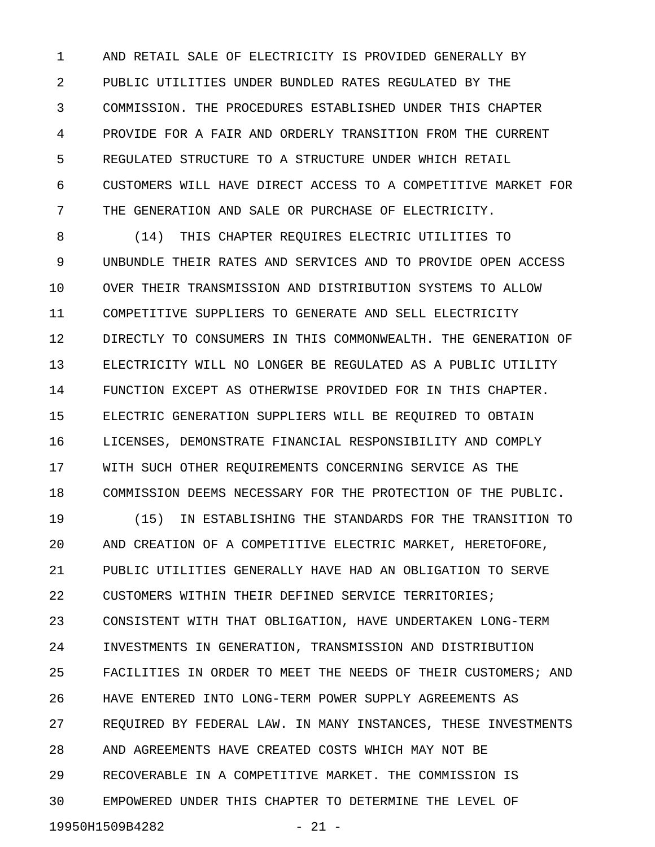1 AND RETAIL SALE OF ELECTRICITY IS PROVIDED GENERALLY BY 2 PUBLIC UTILITIES UNDER BUNDLED RATES REGULATED BY THE 3 COMMISSION. THE PROCEDURES ESTABLISHED UNDER THIS CHAPTER 4 PROVIDE FOR A FAIR AND ORDERLY TRANSITION FROM THE CURRENT 5 REGULATED STRUCTURE TO A STRUCTURE UNDER WHICH RETAIL 6 CUSTOMERS WILL HAVE DIRECT ACCESS TO A COMPETITIVE MARKET FOR 7 THE GENERATION AND SALE OR PURCHASE OF ELECTRICITY.

8 (14) THIS CHAPTER REQUIRES ELECTRIC UTILITIES TO 9 UNBUNDLE THEIR RATES AND SERVICES AND TO PROVIDE OPEN ACCESS 10 OVER THEIR TRANSMISSION AND DISTRIBUTION SYSTEMS TO ALLOW 11 COMPETITIVE SUPPLIERS TO GENERATE AND SELL ELECTRICITY 12 DIRECTLY TO CONSUMERS IN THIS COMMONWEALTH. THE GENERATION OF 13 ELECTRICITY WILL NO LONGER BE REGULATED AS A PUBLIC UTILITY 14 FUNCTION EXCEPT AS OTHERWISE PROVIDED FOR IN THIS CHAPTER. 15 ELECTRIC GENERATION SUPPLIERS WILL BE REQUIRED TO OBTAIN 16 LICENSES, DEMONSTRATE FINANCIAL RESPONSIBILITY AND COMPLY 17 WITH SUCH OTHER REQUIREMENTS CONCERNING SERVICE AS THE 18 COMMISSION DEEMS NECESSARY FOR THE PROTECTION OF THE PUBLIC.

19 (15) IN ESTABLISHING THE STANDARDS FOR THE TRANSITION TO 20 AND CREATION OF A COMPETITIVE ELECTRIC MARKET, HERETOFORE, 21 PUBLIC UTILITIES GENERALLY HAVE HAD AN OBLIGATION TO SERVE 22 CUSTOMERS WITHIN THEIR DEFINED SERVICE TERRITORIES; 23 CONSISTENT WITH THAT OBLIGATION, HAVE UNDERTAKEN LONG-TERM 24 INVESTMENTS IN GENERATION, TRANSMISSION AND DISTRIBUTION 25 FACILITIES IN ORDER TO MEET THE NEEDS OF THEIR CUSTOMERS; AND 26 HAVE ENTERED INTO LONG-TERM POWER SUPPLY AGREEMENTS AS 27 REQUIRED BY FEDERAL LAW. IN MANY INSTANCES, THESE INVESTMENTS 28 AND AGREEMENTS HAVE CREATED COSTS WHICH MAY NOT BE 29 RECOVERABLE IN A COMPETITIVE MARKET. THE COMMISSION IS 30 EMPOWERED UNDER THIS CHAPTER TO DETERMINE THE LEVEL OF 19950H1509B4282 - 21 -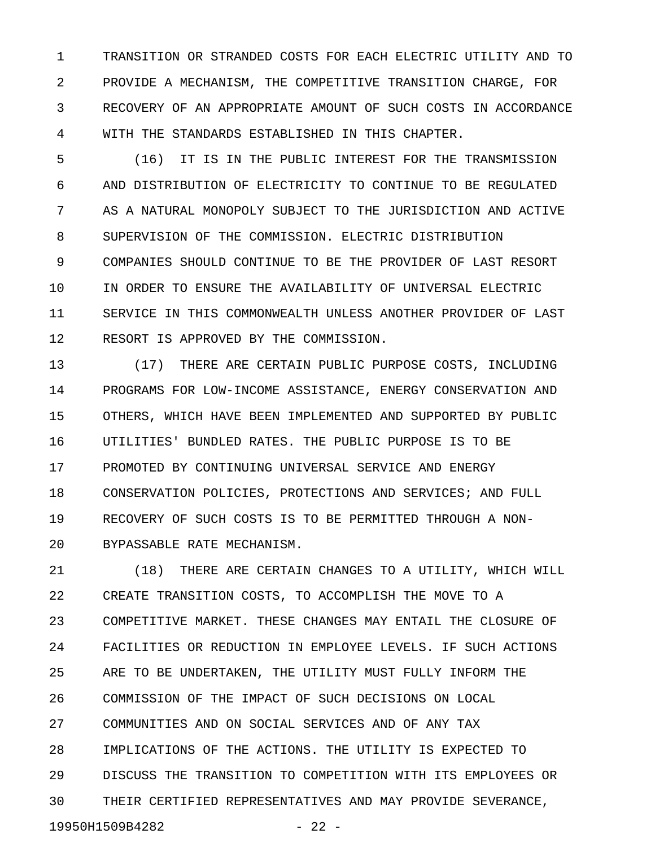1 TRANSITION OR STRANDED COSTS FOR EACH ELECTRIC UTILITY AND TO 2 PROVIDE A MECHANISM, THE COMPETITIVE TRANSITION CHARGE, FOR 3 RECOVERY OF AN APPROPRIATE AMOUNT OF SUCH COSTS IN ACCORDANCE 4 WITH THE STANDARDS ESTABLISHED IN THIS CHAPTER.

5 (16) IT IS IN THE PUBLIC INTEREST FOR THE TRANSMISSION 6 AND DISTRIBUTION OF ELECTRICITY TO CONTINUE TO BE REGULATED 7 AS A NATURAL MONOPOLY SUBJECT TO THE JURISDICTION AND ACTIVE 8 SUPERVISION OF THE COMMISSION. ELECTRIC DISTRIBUTION 9 COMPANIES SHOULD CONTINUE TO BE THE PROVIDER OF LAST RESORT 10 IN ORDER TO ENSURE THE AVAILABILITY OF UNIVERSAL ELECTRIC 11 SERVICE IN THIS COMMONWEALTH UNLESS ANOTHER PROVIDER OF LAST 12 RESORT IS APPROVED BY THE COMMISSION.

13 (17) THERE ARE CERTAIN PUBLIC PURPOSE COSTS, INCLUDING 14 PROGRAMS FOR LOW-INCOME ASSISTANCE, ENERGY CONSERVATION AND 15 OTHERS, WHICH HAVE BEEN IMPLEMENTED AND SUPPORTED BY PUBLIC 16 UTILITIES' BUNDLED RATES. THE PUBLIC PURPOSE IS TO BE 17 PROMOTED BY CONTINUING UNIVERSAL SERVICE AND ENERGY 18 CONSERVATION POLICIES, PROTECTIONS AND SERVICES; AND FULL 19 RECOVERY OF SUCH COSTS IS TO BE PERMITTED THROUGH A NON-20 BYPASSABLE RATE MECHANISM.

21 (18) THERE ARE CERTAIN CHANGES TO A UTILITY, WHICH WILL 22 CREATE TRANSITION COSTS, TO ACCOMPLISH THE MOVE TO A 23 COMPETITIVE MARKET. THESE CHANGES MAY ENTAIL THE CLOSURE OF 24 FACILITIES OR REDUCTION IN EMPLOYEE LEVELS. IF SUCH ACTIONS 25 ARE TO BE UNDERTAKEN, THE UTILITY MUST FULLY INFORM THE 26 COMMISSION OF THE IMPACT OF SUCH DECISIONS ON LOCAL 27 COMMUNITIES AND ON SOCIAL SERVICES AND OF ANY TAX 28 IMPLICATIONS OF THE ACTIONS. THE UTILITY IS EXPECTED TO 29 DISCUSS THE TRANSITION TO COMPETITION WITH ITS EMPLOYEES OR 30 THEIR CERTIFIED REPRESENTATIVES AND MAY PROVIDE SEVERANCE, 19950H1509B4282 - 22 -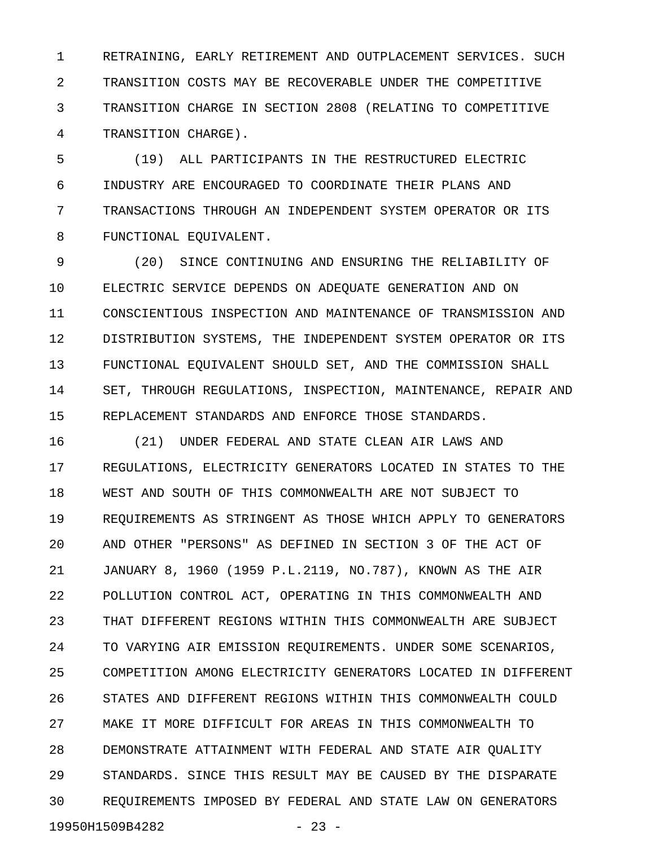1 RETRAINING, EARLY RETIREMENT AND OUTPLACEMENT SERVICES. SUCH 2 TRANSITION COSTS MAY BE RECOVERABLE UNDER THE COMPETITIVE 3 TRANSITION CHARGE IN SECTION 2808 (RELATING TO COMPETITIVE 4 TRANSITION CHARGE).

5 (19) ALL PARTICIPANTS IN THE RESTRUCTURED ELECTRIC 6 INDUSTRY ARE ENCOURAGED TO COORDINATE THEIR PLANS AND 7 TRANSACTIONS THROUGH AN INDEPENDENT SYSTEM OPERATOR OR ITS 8 FUNCTIONAL EQUIVALENT.

9 (20) SINCE CONTINUING AND ENSURING THE RELIABILITY OF 10 ELECTRIC SERVICE DEPENDS ON ADEQUATE GENERATION AND ON 11 CONSCIENTIOUS INSPECTION AND MAINTENANCE OF TRANSMISSION AND 12 DISTRIBUTION SYSTEMS, THE INDEPENDENT SYSTEM OPERATOR OR ITS 13 FUNCTIONAL EQUIVALENT SHOULD SET, AND THE COMMISSION SHALL 14 SET, THROUGH REGULATIONS, INSPECTION, MAINTENANCE, REPAIR AND 15 REPLACEMENT STANDARDS AND ENFORCE THOSE STANDARDS.

16 (21) UNDER FEDERAL AND STATE CLEAN AIR LAWS AND 17 REGULATIONS, ELECTRICITY GENERATORS LOCATED IN STATES TO THE 18 WEST AND SOUTH OF THIS COMMONWEALTH ARE NOT SUBJECT TO 19 REQUIREMENTS AS STRINGENT AS THOSE WHICH APPLY TO GENERATORS 20 AND OTHER "PERSONS" AS DEFINED IN SECTION 3 OF THE ACT OF 21 JANUARY 8, 1960 (1959 P.L.2119, NO.787), KNOWN AS THE AIR 22 POLLUTION CONTROL ACT, OPERATING IN THIS COMMONWEALTH AND 23 THAT DIFFERENT REGIONS WITHIN THIS COMMONWEALTH ARE SUBJECT 24 TO VARYING AIR EMISSION REQUIREMENTS. UNDER SOME SCENARIOS, 25 COMPETITION AMONG ELECTRICITY GENERATORS LOCATED IN DIFFERENT 26 STATES AND DIFFERENT REGIONS WITHIN THIS COMMONWEALTH COULD 27 MAKE IT MORE DIFFICULT FOR AREAS IN THIS COMMONWEALTH TO 28 DEMONSTRATE ATTAINMENT WITH FEDERAL AND STATE AIR QUALITY 29 STANDARDS. SINCE THIS RESULT MAY BE CAUSED BY THE DISPARATE 30 REQUIREMENTS IMPOSED BY FEDERAL AND STATE LAW ON GENERATORS 19950H1509B4282 - 23 -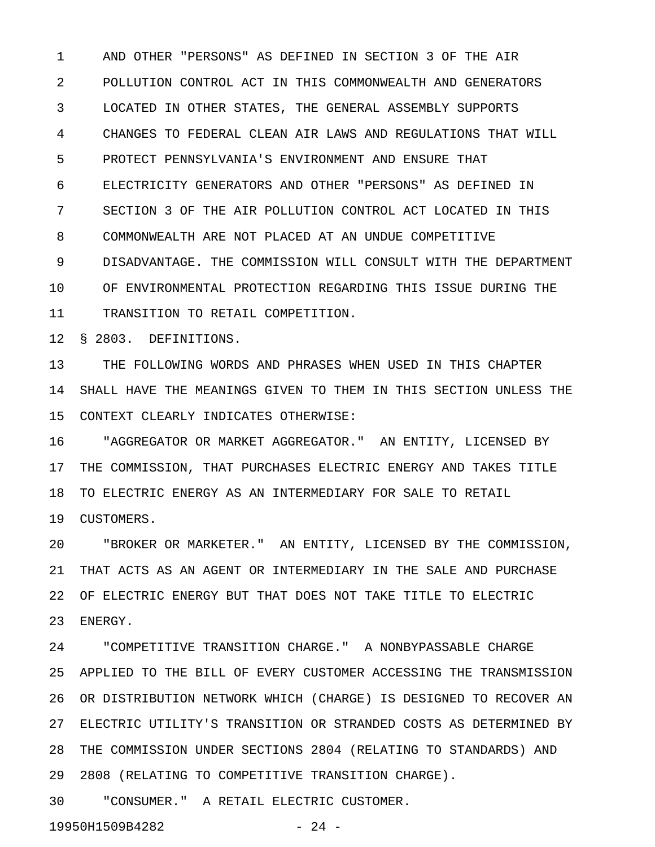1 AND OTHER "PERSONS" AS DEFINED IN SECTION 3 OF THE AIR 2 POLLUTION CONTROL ACT IN THIS COMMONWEALTH AND GENERATORS 3 LOCATED IN OTHER STATES, THE GENERAL ASSEMBLY SUPPORTS 4 CHANGES TO FEDERAL CLEAN AIR LAWS AND REGULATIONS THAT WILL 5 PROTECT PENNSYLVANIA'S ENVIRONMENT AND ENSURE THAT 6 ELECTRICITY GENERATORS AND OTHER "PERSONS" AS DEFINED IN 7 SECTION 3 OF THE AIR POLLUTION CONTROL ACT LOCATED IN THIS 8 COMMONWEALTH ARE NOT PLACED AT AN UNDUE COMPETITIVE 9 DISADVANTAGE. THE COMMISSION WILL CONSULT WITH THE DEPARTMENT 10 OF ENVIRONMENTAL PROTECTION REGARDING THIS ISSUE DURING THE 11 TRANSITION TO RETAIL COMPETITION.

12 § 2803. DEFINITIONS.

13 THE FOLLOWING WORDS AND PHRASES WHEN USED IN THIS CHAPTER 14 SHALL HAVE THE MEANINGS GIVEN TO THEM IN THIS SECTION UNLESS THE 15 CONTEXT CLEARLY INDICATES OTHERWISE:

16 "AGGREGATOR OR MARKET AGGREGATOR." AN ENTITY, LICENSED BY 17 THE COMMISSION, THAT PURCHASES ELECTRIC ENERGY AND TAKES TITLE 18 TO ELECTRIC ENERGY AS AN INTERMEDIARY FOR SALE TO RETAIL 19 CUSTOMERS.

20 "BROKER OR MARKETER." AN ENTITY, LICENSED BY THE COMMISSION, 21 THAT ACTS AS AN AGENT OR INTERMEDIARY IN THE SALE AND PURCHASE 22 OF ELECTRIC ENERGY BUT THAT DOES NOT TAKE TITLE TO ELECTRIC 23 ENERGY.

24 "COMPETITIVE TRANSITION CHARGE." A NONBYPASSABLE CHARGE 25 APPLIED TO THE BILL OF EVERY CUSTOMER ACCESSING THE TRANSMISSION 26 OR DISTRIBUTION NETWORK WHICH (CHARGE) IS DESIGNED TO RECOVER AN 27 ELECTRIC UTILITY'S TRANSITION OR STRANDED COSTS AS DETERMINED BY 28 THE COMMISSION UNDER SECTIONS 2804 (RELATING TO STANDARDS) AND 29 2808 (RELATING TO COMPETITIVE TRANSITION CHARGE).

30 "CONSUMER." A RETAIL ELECTRIC CUSTOMER.

19950H1509B4282 - 24 -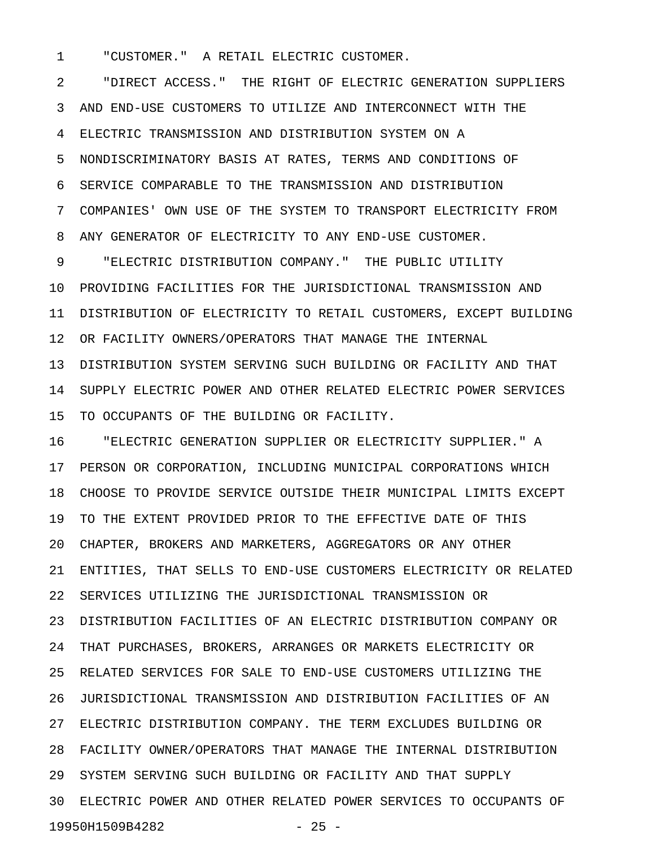1 "CUSTOMER." A RETAIL ELECTRIC CUSTOMER.

2 "DIRECT ACCESS." THE RIGHT OF ELECTRIC GENERATION SUPPLIERS 3 AND END-USE CUSTOMERS TO UTILIZE AND INTERCONNECT WITH THE 4 ELECTRIC TRANSMISSION AND DISTRIBUTION SYSTEM ON A 5 NONDISCRIMINATORY BASIS AT RATES, TERMS AND CONDITIONS OF 6 SERVICE COMPARABLE TO THE TRANSMISSION AND DISTRIBUTION 7 COMPANIES' OWN USE OF THE SYSTEM TO TRANSPORT ELECTRICITY FROM 8 ANY GENERATOR OF ELECTRICITY TO ANY END-USE CUSTOMER.

9 "ELECTRIC DISTRIBUTION COMPANY." THE PUBLIC UTILITY 10 PROVIDING FACILITIES FOR THE JURISDICTIONAL TRANSMISSION AND 11 DISTRIBUTION OF ELECTRICITY TO RETAIL CUSTOMERS, EXCEPT BUILDING 12 OR FACILITY OWNERS/OPERATORS THAT MANAGE THE INTERNAL 13 DISTRIBUTION SYSTEM SERVING SUCH BUILDING OR FACILITY AND THAT 14 SUPPLY ELECTRIC POWER AND OTHER RELATED ELECTRIC POWER SERVICES 15 TO OCCUPANTS OF THE BUILDING OR FACILITY.

16 "ELECTRIC GENERATION SUPPLIER OR ELECTRICITY SUPPLIER." A 17 PERSON OR CORPORATION, INCLUDING MUNICIPAL CORPORATIONS WHICH 18 CHOOSE TO PROVIDE SERVICE OUTSIDE THEIR MUNICIPAL LIMITS EXCEPT 19 TO THE EXTENT PROVIDED PRIOR TO THE EFFECTIVE DATE OF THIS 20 CHAPTER, BROKERS AND MARKETERS, AGGREGATORS OR ANY OTHER 21 ENTITIES, THAT SELLS TO END-USE CUSTOMERS ELECTRICITY OR RELATED 22 SERVICES UTILIZING THE JURISDICTIONAL TRANSMISSION OR 23 DISTRIBUTION FACILITIES OF AN ELECTRIC DISTRIBUTION COMPANY OR 24 THAT PURCHASES, BROKERS, ARRANGES OR MARKETS ELECTRICITY OR 25 RELATED SERVICES FOR SALE TO END-USE CUSTOMERS UTILIZING THE 26 JURISDICTIONAL TRANSMISSION AND DISTRIBUTION FACILITIES OF AN 27 ELECTRIC DISTRIBUTION COMPANY. THE TERM EXCLUDES BUILDING OR 28 FACILITY OWNER/OPERATORS THAT MANAGE THE INTERNAL DISTRIBUTION 29 SYSTEM SERVING SUCH BUILDING OR FACILITY AND THAT SUPPLY 30 ELECTRIC POWER AND OTHER RELATED POWER SERVICES TO OCCUPANTS OF 19950H1509B4282 - 25 -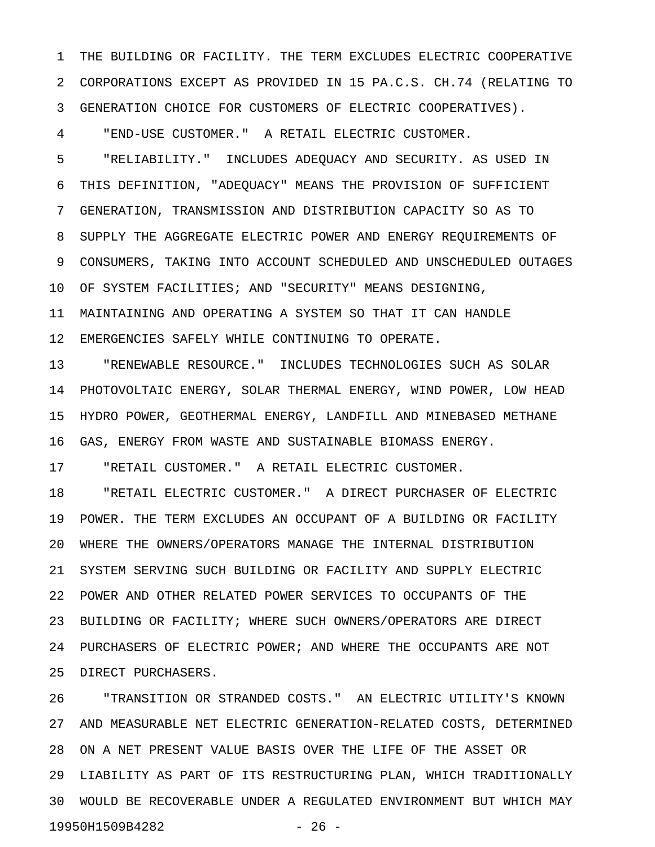1 THE BUILDING OR FACILITY. THE TERM EXCLUDES ELECTRIC COOPERATIVE 2 CORPORATIONS EXCEPT AS PROVIDED IN 15 PA.C.S. CH.74 (RELATING TO 3 GENERATION CHOICE FOR CUSTOMERS OF ELECTRIC COOPERATIVES).

4 "END-USE CUSTOMER." A RETAIL ELECTRIC CUSTOMER.

5 "RELIABILITY." INCLUDES ADEQUACY AND SECURITY. AS USED IN 6 THIS DEFINITION, "ADEQUACY" MEANS THE PROVISION OF SUFFICIENT 7 GENERATION, TRANSMISSION AND DISTRIBUTION CAPACITY SO AS TO 8 SUPPLY THE AGGREGATE ELECTRIC POWER AND ENERGY REQUIREMENTS OF 9 CONSUMERS, TAKING INTO ACCOUNT SCHEDULED AND UNSCHEDULED OUTAGES 10 OF SYSTEM FACILITIES; AND "SECURITY" MEANS DESIGNING, 11 MAINTAINING AND OPERATING A SYSTEM SO THAT IT CAN HANDLE

12 EMERGENCIES SAFELY WHILE CONTINUING TO OPERATE.

13 "RENEWABLE RESOURCE." INCLUDES TECHNOLOGIES SUCH AS SOLAR 14 PHOTOVOLTAIC ENERGY, SOLAR THERMAL ENERGY, WIND POWER, LOW HEAD 15 HYDRO POWER, GEOTHERMAL ENERGY, LANDFILL AND MINEBASED METHANE 16 GAS, ENERGY FROM WASTE AND SUSTAINABLE BIOMASS ENERGY.

17 "RETAIL CUSTOMER." A RETAIL ELECTRIC CUSTOMER.

18 "RETAIL ELECTRIC CUSTOMER." A DIRECT PURCHASER OF ELECTRIC 19 POWER. THE TERM EXCLUDES AN OCCUPANT OF A BUILDING OR FACILITY 20 WHERE THE OWNERS/OPERATORS MANAGE THE INTERNAL DISTRIBUTION 21 SYSTEM SERVING SUCH BUILDING OR FACILITY AND SUPPLY ELECTRIC 22 POWER AND OTHER RELATED POWER SERVICES TO OCCUPANTS OF THE 23 BUILDING OR FACILITY; WHERE SUCH OWNERS/OPERATORS ARE DIRECT 24 PURCHASERS OF ELECTRIC POWER; AND WHERE THE OCCUPANTS ARE NOT 25 DIRECT PURCHASERS.

26 "TRANSITION OR STRANDED COSTS." AN ELECTRIC UTILITY'S KNOWN 27 AND MEASURABLE NET ELECTRIC GENERATION-RELATED COSTS, DETERMINED 28 ON A NET PRESENT VALUE BASIS OVER THE LIFE OF THE ASSET OR 29 LIABILITY AS PART OF ITS RESTRUCTURING PLAN, WHICH TRADITIONALLY 30 WOULD BE RECOVERABLE UNDER A REGULATED ENVIRONMENT BUT WHICH MAY 19950H1509B4282 - 26 -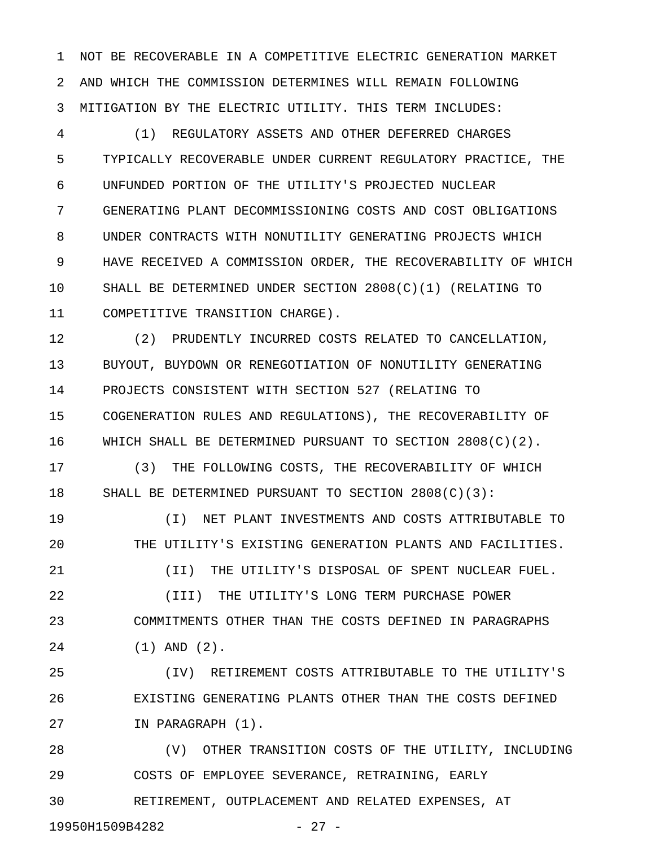1 NOT BE RECOVERABLE IN A COMPETITIVE ELECTRIC GENERATION MARKET 2 AND WHICH THE COMMISSION DETERMINES WILL REMAIN FOLLOWING 3 MITIGATION BY THE ELECTRIC UTILITY. THIS TERM INCLUDES:

4 (1) REGULATORY ASSETS AND OTHER DEFERRED CHARGES 5 TYPICALLY RECOVERABLE UNDER CURRENT REGULATORY PRACTICE, THE 6 UNFUNDED PORTION OF THE UTILITY'S PROJECTED NUCLEAR 7 GENERATING PLANT DECOMMISSIONING COSTS AND COST OBLIGATIONS 8 UNDER CONTRACTS WITH NONUTILITY GENERATING PROJECTS WHICH 9 HAVE RECEIVED A COMMISSION ORDER, THE RECOVERABILITY OF WHICH 10 SHALL BE DETERMINED UNDER SECTION 2808(C)(1) (RELATING TO 11 COMPETITIVE TRANSITION CHARGE).

12 (2) PRUDENTLY INCURRED COSTS RELATED TO CANCELLATION, 13 BUYOUT, BUYDOWN OR RENEGOTIATION OF NONUTILITY GENERATING 14 PROJECTS CONSISTENT WITH SECTION 527 (RELATING TO 15 COGENERATION RULES AND REGULATIONS), THE RECOVERABILITY OF 16 WHICH SHALL BE DETERMINED PURSUANT TO SECTION 2808(C)(2).

17 (3) THE FOLLOWING COSTS, THE RECOVERABILITY OF WHICH 18 SHALL BE DETERMINED PURSUANT TO SECTION 2808(C)(3):

19 (I) NET PLANT INVESTMENTS AND COSTS ATTRIBUTABLE TO 20 THE UTILITY'S EXISTING GENERATION PLANTS AND FACILITIES. 21 (II) THE UTILITY'S DISPOSAL OF SPENT NUCLEAR FUEL. 22 (III) THE UTILITY'S LONG TERM PURCHASE POWER

23 COMMITMENTS OTHER THAN THE COSTS DEFINED IN PARAGRAPHS 24 (1) AND (2).

25 (IV) RETIREMENT COSTS ATTRIBUTABLE TO THE UTILITY'S 26 EXISTING GENERATING PLANTS OTHER THAN THE COSTS DEFINED 27 IN PARAGRAPH (1).

28 (V) OTHER TRANSITION COSTS OF THE UTILITY, INCLUDING 29 COSTS OF EMPLOYEE SEVERANCE, RETRAINING, EARLY 30 RETIREMENT, OUTPLACEMENT AND RELATED EXPENSES, AT

19950H1509B4282 - 27 -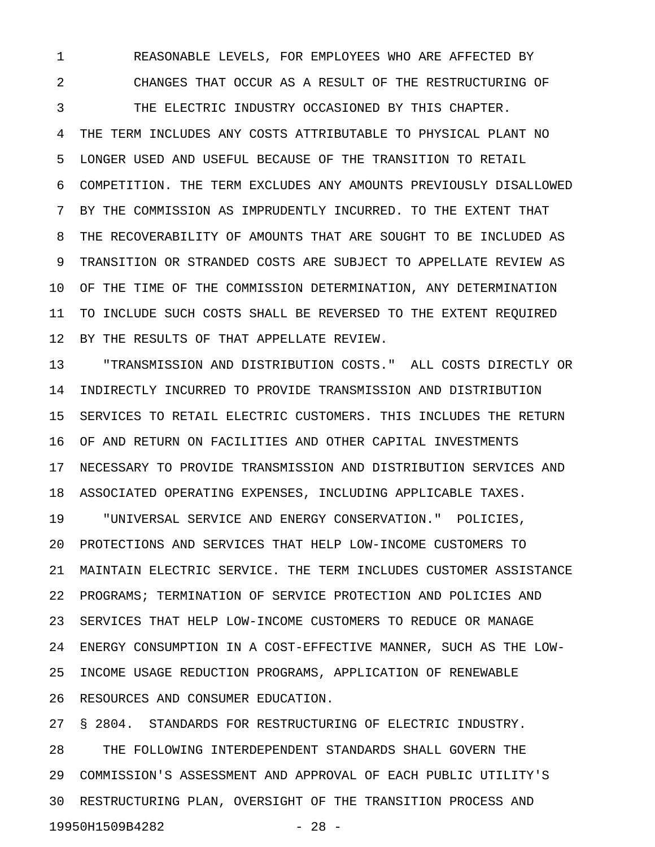1 REASONABLE LEVELS, FOR EMPLOYEES WHO ARE AFFECTED BY 2 CHANGES THAT OCCUR AS A RESULT OF THE RESTRUCTURING OF

3 THE ELECTRIC INDUSTRY OCCASIONED BY THIS CHAPTER. 4 THE TERM INCLUDES ANY COSTS ATTRIBUTABLE TO PHYSICAL PLANT NO 5 LONGER USED AND USEFUL BECAUSE OF THE TRANSITION TO RETAIL 6 COMPETITION. THE TERM EXCLUDES ANY AMOUNTS PREVIOUSLY DISALLOWED 7 BY THE COMMISSION AS IMPRUDENTLY INCURRED. TO THE EXTENT THAT 8 THE RECOVERABILITY OF AMOUNTS THAT ARE SOUGHT TO BE INCLUDED AS 9 TRANSITION OR STRANDED COSTS ARE SUBJECT TO APPELLATE REVIEW AS 10 OF THE TIME OF THE COMMISSION DETERMINATION, ANY DETERMINATION 11 TO INCLUDE SUCH COSTS SHALL BE REVERSED TO THE EXTENT REQUIRED 12 BY THE RESULTS OF THAT APPELLATE REVIEW.

13 "TRANSMISSION AND DISTRIBUTION COSTS." ALL COSTS DIRECTLY OR 14 INDIRECTLY INCURRED TO PROVIDE TRANSMISSION AND DISTRIBUTION 15 SERVICES TO RETAIL ELECTRIC CUSTOMERS. THIS INCLUDES THE RETURN 16 OF AND RETURN ON FACILITIES AND OTHER CAPITAL INVESTMENTS 17 NECESSARY TO PROVIDE TRANSMISSION AND DISTRIBUTION SERVICES AND 18 ASSOCIATED OPERATING EXPENSES, INCLUDING APPLICABLE TAXES.

19 "UNIVERSAL SERVICE AND ENERGY CONSERVATION." POLICIES, 20 PROTECTIONS AND SERVICES THAT HELP LOW-INCOME CUSTOMERS TO 21 MAINTAIN ELECTRIC SERVICE. THE TERM INCLUDES CUSTOMER ASSISTANCE 22 PROGRAMS; TERMINATION OF SERVICE PROTECTION AND POLICIES AND 23 SERVICES THAT HELP LOW-INCOME CUSTOMERS TO REDUCE OR MANAGE 24 ENERGY CONSUMPTION IN A COST-EFFECTIVE MANNER, SUCH AS THE LOW-25 INCOME USAGE REDUCTION PROGRAMS, APPLICATION OF RENEWABLE 26 RESOURCES AND CONSUMER EDUCATION.

27 § 2804. STANDARDS FOR RESTRUCTURING OF ELECTRIC INDUSTRY. 28 THE FOLLOWING INTERDEPENDENT STANDARDS SHALL GOVERN THE 29 COMMISSION'S ASSESSMENT AND APPROVAL OF EACH PUBLIC UTILITY'S 30 RESTRUCTURING PLAN, OVERSIGHT OF THE TRANSITION PROCESS AND 19950H1509B4282 - 28 -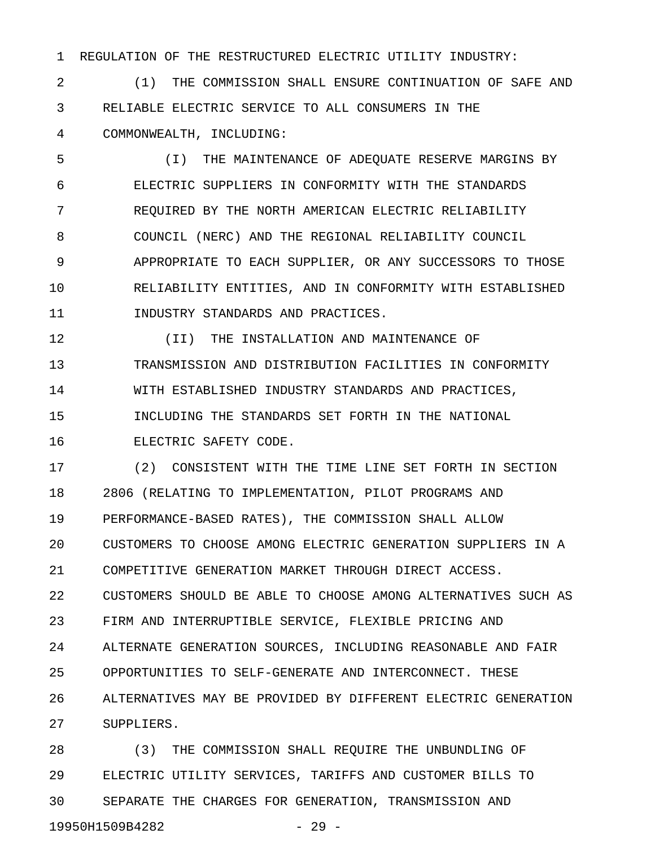1 REGULATION OF THE RESTRUCTURED ELECTRIC UTILITY INDUSTRY:

2 (1) THE COMMISSION SHALL ENSURE CONTINUATION OF SAFE AND 3 RELIABLE ELECTRIC SERVICE TO ALL CONSUMERS IN THE 4 COMMONWEALTH, INCLUDING:

5 (I) THE MAINTENANCE OF ADEQUATE RESERVE MARGINS BY 6 ELECTRIC SUPPLIERS IN CONFORMITY WITH THE STANDARDS 7 REQUIRED BY THE NORTH AMERICAN ELECTRIC RELIABILITY 8 COUNCIL (NERC) AND THE REGIONAL RELIABILITY COUNCIL 9 APPROPRIATE TO EACH SUPPLIER, OR ANY SUCCESSORS TO THOSE 10 RELIABILITY ENTITIES, AND IN CONFORMITY WITH ESTABLISHED 11 INDUSTRY STANDARDS AND PRACTICES.

12 (II) THE INSTALLATION AND MAINTENANCE OF 13 TRANSMISSION AND DISTRIBUTION FACILITIES IN CONFORMITY 14 WITH ESTABLISHED INDUSTRY STANDARDS AND PRACTICES, 15 INCLUDING THE STANDARDS SET FORTH IN THE NATIONAL 16 ELECTRIC SAFETY CODE.

17 (2) CONSISTENT WITH THE TIME LINE SET FORTH IN SECTION 18 2806 (RELATING TO IMPLEMENTATION, PILOT PROGRAMS AND 19 PERFORMANCE-BASED RATES), THE COMMISSION SHALL ALLOW 20 CUSTOMERS TO CHOOSE AMONG ELECTRIC GENERATION SUPPLIERS IN A 21 COMPETITIVE GENERATION MARKET THROUGH DIRECT ACCESS. 22 CUSTOMERS SHOULD BE ABLE TO CHOOSE AMONG ALTERNATIVES SUCH AS 23 FIRM AND INTERRUPTIBLE SERVICE, FLEXIBLE PRICING AND 24 ALTERNATE GENERATION SOURCES, INCLUDING REASONABLE AND FAIR 25 OPPORTUNITIES TO SELF-GENERATE AND INTERCONNECT. THESE 26 ALTERNATIVES MAY BE PROVIDED BY DIFFERENT ELECTRIC GENERATION 27 SUPPLIERS.

28 (3) THE COMMISSION SHALL REQUIRE THE UNBUNDLING OF 29 ELECTRIC UTILITY SERVICES, TARIFFS AND CUSTOMER BILLS TO 30 SEPARATE THE CHARGES FOR GENERATION, TRANSMISSION AND 19950H1509B4282 - 29 -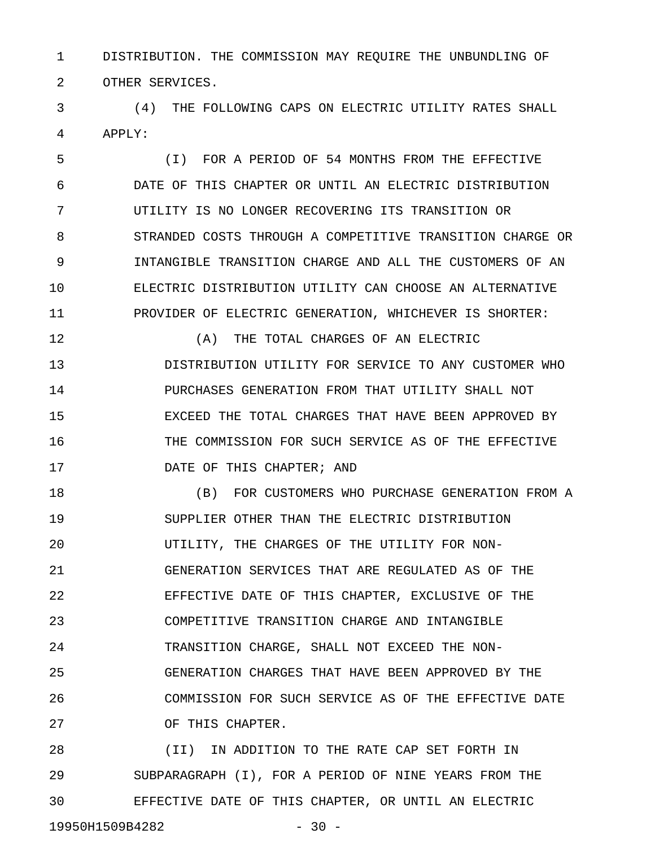1 DISTRIBUTION. THE COMMISSION MAY REQUIRE THE UNBUNDLING OF 2 OTHER SERVICES.

3 (4) THE FOLLOWING CAPS ON ELECTRIC UTILITY RATES SHALL 4 APPLY:

5 (I) FOR A PERIOD OF 54 MONTHS FROM THE EFFECTIVE 6 DATE OF THIS CHAPTER OR UNTIL AN ELECTRIC DISTRIBUTION 7 UTILITY IS NO LONGER RECOVERING ITS TRANSITION OR 8 STRANDED COSTS THROUGH A COMPETITIVE TRANSITION CHARGE OR 9 INTANGIBLE TRANSITION CHARGE AND ALL THE CUSTOMERS OF AN 10 ELECTRIC DISTRIBUTION UTILITY CAN CHOOSE AN ALTERNATIVE 11 PROVIDER OF ELECTRIC GENERATION, WHICHEVER IS SHORTER:

12 (A) THE TOTAL CHARGES OF AN ELECTRIC 13 DISTRIBUTION UTILITY FOR SERVICE TO ANY CUSTOMER WHO 14 PURCHASES GENERATION FROM THAT UTILITY SHALL NOT 15 EXCEED THE TOTAL CHARGES THAT HAVE BEEN APPROVED BY 16 THE COMMISSION FOR SUCH SERVICE AS OF THE EFFECTIVE 17 DATE OF THIS CHAPTER; AND

18 (B) FOR CUSTOMERS WHO PURCHASE GENERATION FROM A 19 SUPPLIER OTHER THAN THE ELECTRIC DISTRIBUTION 20 UTILITY, THE CHARGES OF THE UTILITY FOR NON-21 GENERATION SERVICES THAT ARE REGULATED AS OF THE 22 EFFECTIVE DATE OF THIS CHAPTER, EXCLUSIVE OF THE 23 COMPETITIVE TRANSITION CHARGE AND INTANGIBLE 24 TRANSITION CHARGE, SHALL NOT EXCEED THE NON-25 GENERATION CHARGES THAT HAVE BEEN APPROVED BY THE 26 COMMISSION FOR SUCH SERVICE AS OF THE EFFECTIVE DATE 27 OF THIS CHAPTER.

28 (II) IN ADDITION TO THE RATE CAP SET FORTH IN 29 SUBPARAGRAPH (I), FOR A PERIOD OF NINE YEARS FROM THE 30 EFFECTIVE DATE OF THIS CHAPTER, OR UNTIL AN ELECTRIC 19950H1509B4282 - 30 -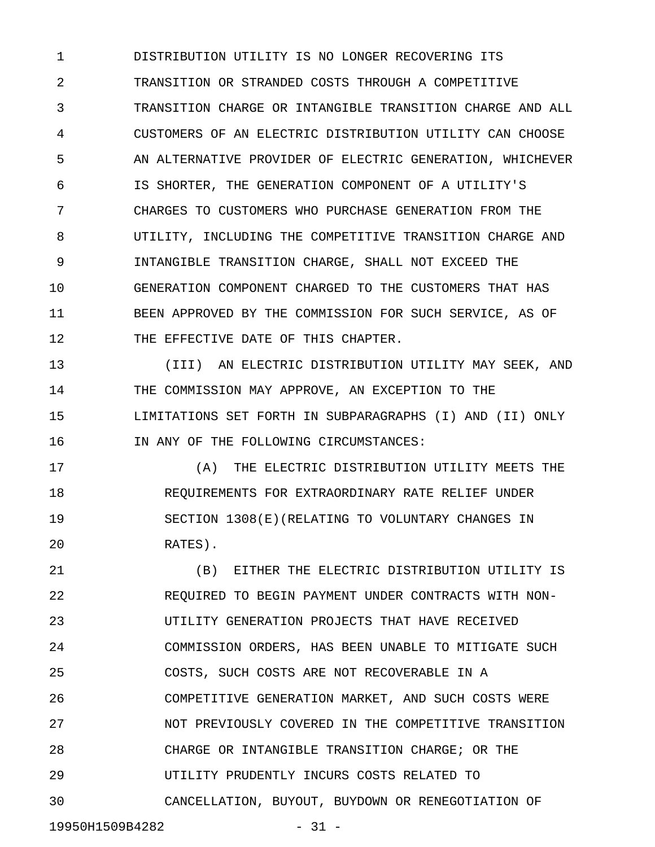1 DISTRIBUTION UTILITY IS NO LONGER RECOVERING ITS 2 TRANSITION OR STRANDED COSTS THROUGH A COMPETITIVE 3 TRANSITION CHARGE OR INTANGIBLE TRANSITION CHARGE AND ALL 4 CUSTOMERS OF AN ELECTRIC DISTRIBUTION UTILITY CAN CHOOSE 5 AN ALTERNATIVE PROVIDER OF ELECTRIC GENERATION, WHICHEVER 6 IS SHORTER, THE GENERATION COMPONENT OF A UTILITY'S 7 CHARGES TO CUSTOMERS WHO PURCHASE GENERATION FROM THE 8 UTILITY, INCLUDING THE COMPETITIVE TRANSITION CHARGE AND 9 INTANGIBLE TRANSITION CHARGE, SHALL NOT EXCEED THE 10 GENERATION COMPONENT CHARGED TO THE CUSTOMERS THAT HAS 11 BEEN APPROVED BY THE COMMISSION FOR SUCH SERVICE, AS OF 12 THE EFFECTIVE DATE OF THIS CHAPTER.

13 (III) AN ELECTRIC DISTRIBUTION UTILITY MAY SEEK, AND 14 THE COMMISSION MAY APPROVE, AN EXCEPTION TO THE 15 LIMITATIONS SET FORTH IN SUBPARAGRAPHS (I) AND (II) ONLY 16 IN ANY OF THE FOLLOWING CIRCUMSTANCES:

17 (A) THE ELECTRIC DISTRIBUTION UTILITY MEETS THE 18 REQUIREMENTS FOR EXTRAORDINARY RATE RELIEF UNDER 19 SECTION 1308(E)(RELATING TO VOLUNTARY CHANGES IN 20 RATES).

21 (B) EITHER THE ELECTRIC DISTRIBUTION UTILITY IS 22 REQUIRED TO BEGIN PAYMENT UNDER CONTRACTS WITH NON-23 UTILITY GENERATION PROJECTS THAT HAVE RECEIVED 24 COMMISSION ORDERS, HAS BEEN UNABLE TO MITIGATE SUCH 25 COSTS, SUCH COSTS ARE NOT RECOVERABLE IN A 26 COMPETITIVE GENERATION MARKET, AND SUCH COSTS WERE 27 NOT PREVIOUSLY COVERED IN THE COMPETITIVE TRANSITION 28 CHARGE OR INTANGIBLE TRANSITION CHARGE; OR THE 29 UTILITY PRUDENTLY INCURS COSTS RELATED TO 30 CANCELLATION, BUYOUT, BUYDOWN OR RENEGOTIATION OF

19950H1509B4282 - 31 -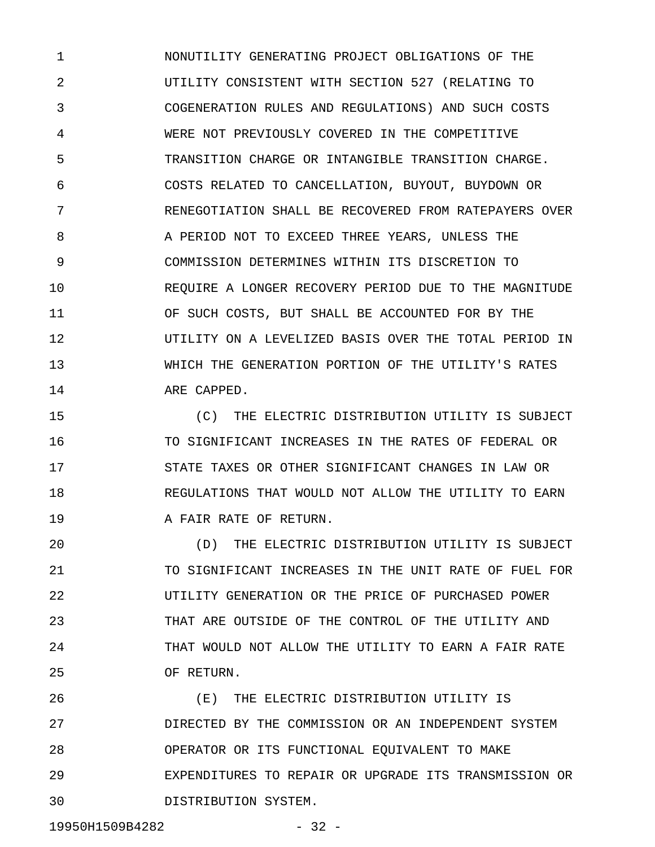1 NONUTILITY GENERATING PROJECT OBLIGATIONS OF THE 2 UTILITY CONSISTENT WITH SECTION 527 (RELATING TO 3 COGENERATION RULES AND REGULATIONS) AND SUCH COSTS 4 WERE NOT PREVIOUSLY COVERED IN THE COMPETITIVE 5 TRANSITION CHARGE OR INTANGIBLE TRANSITION CHARGE. 6 COSTS RELATED TO CANCELLATION, BUYOUT, BUYDOWN OR 7 RENEGOTIATION SHALL BE RECOVERED FROM RATEPAYERS OVER 8 A PERIOD NOT TO EXCEED THREE YEARS, UNLESS THE 9 COMMISSION DETERMINES WITHIN ITS DISCRETION TO 10 REQUIRE A LONGER RECOVERY PERIOD DUE TO THE MAGNITUDE 11 OF SUCH COSTS, BUT SHALL BE ACCOUNTED FOR BY THE 12 UTILITY ON A LEVELIZED BASIS OVER THE TOTAL PERIOD IN 13 WHICH THE GENERATION PORTION OF THE UTILITY'S RATES 14 ARE CAPPED.

15 (C) THE ELECTRIC DISTRIBUTION UTILITY IS SUBJECT 16 TO SIGNIFICANT INCREASES IN THE RATES OF FEDERAL OR 17 STATE TAXES OR OTHER SIGNIFICANT CHANGES IN LAW OR 18 REGULATIONS THAT WOULD NOT ALLOW THE UTILITY TO EARN 19 **A FAIR RATE OF RETURN.** 

20 (D) THE ELECTRIC DISTRIBUTION UTILITY IS SUBJECT 21 TO SIGNIFICANT INCREASES IN THE UNIT RATE OF FUEL FOR 22 UTILITY GENERATION OR THE PRICE OF PURCHASED POWER 23 THAT ARE OUTSIDE OF THE CONTROL OF THE UTILITY AND 24 THAT WOULD NOT ALLOW THE UTILITY TO EARN A FAIR RATE 25 OF RETURN.

26 (E) THE ELECTRIC DISTRIBUTION UTILITY IS 27 DIRECTED BY THE COMMISSION OR AN INDEPENDENT SYSTEM 28 OPERATOR OR ITS FUNCTIONAL EQUIVALENT TO MAKE 29 EXPENDITURES TO REPAIR OR UPGRADE ITS TRANSMISSION OR 30 DISTRIBUTION SYSTEM.

19950H1509B4282 - 32 -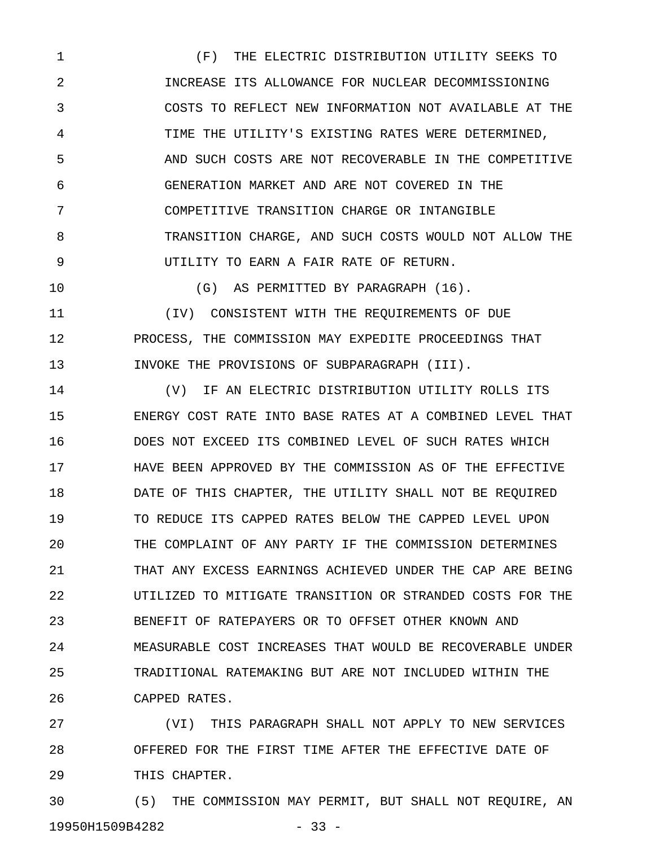1 (F) THE ELECTRIC DISTRIBUTION UTILITY SEEKS TO 2 INCREASE ITS ALLOWANCE FOR NUCLEAR DECOMMISSIONING 3 COSTS TO REFLECT NEW INFORMATION NOT AVAILABLE AT THE 4 TIME THE UTILITY'S EXISTING RATES WERE DETERMINED, 5 AND SUCH COSTS ARE NOT RECOVERABLE IN THE COMPETITIVE 6 GENERATION MARKET AND ARE NOT COVERED IN THE 7 COMPETITIVE TRANSITION CHARGE OR INTANGIBLE 8 TRANSITION CHARGE, AND SUCH COSTS WOULD NOT ALLOW THE 9 UTILITY TO EARN A FAIR RATE OF RETURN.

10 (G) AS PERMITTED BY PARAGRAPH (16). 11 (IV) CONSISTENT WITH THE REQUIREMENTS OF DUE 12 PROCESS, THE COMMISSION MAY EXPEDITE PROCEEDINGS THAT 13 INVOKE THE PROVISIONS OF SUBPARAGRAPH (III).

14 (V) IF AN ELECTRIC DISTRIBUTION UTILITY ROLLS ITS 15 ENERGY COST RATE INTO BASE RATES AT A COMBINED LEVEL THAT 16 DOES NOT EXCEED ITS COMBINED LEVEL OF SUCH RATES WHICH 17 HAVE BEEN APPROVED BY THE COMMISSION AS OF THE EFFECTIVE 18 DATE OF THIS CHAPTER, THE UTILITY SHALL NOT BE REQUIRED 19 TO REDUCE ITS CAPPED RATES BELOW THE CAPPED LEVEL UPON 20 THE COMPLAINT OF ANY PARTY IF THE COMMISSION DETERMINES 21 THAT ANY EXCESS EARNINGS ACHIEVED UNDER THE CAP ARE BEING 22 UTILIZED TO MITIGATE TRANSITION OR STRANDED COSTS FOR THE 23 BENEFIT OF RATEPAYERS OR TO OFFSET OTHER KNOWN AND 24 MEASURABLE COST INCREASES THAT WOULD BE RECOVERABLE UNDER 25 TRADITIONAL RATEMAKING BUT ARE NOT INCLUDED WITHIN THE 26 CAPPED RATES.

27 (VI) THIS PARAGRAPH SHALL NOT APPLY TO NEW SERVICES 28 OFFERED FOR THE FIRST TIME AFTER THE EFFECTIVE DATE OF 29 THIS CHAPTER.

30 (5) THE COMMISSION MAY PERMIT, BUT SHALL NOT REQUIRE, AN 19950H1509B4282 - 33 -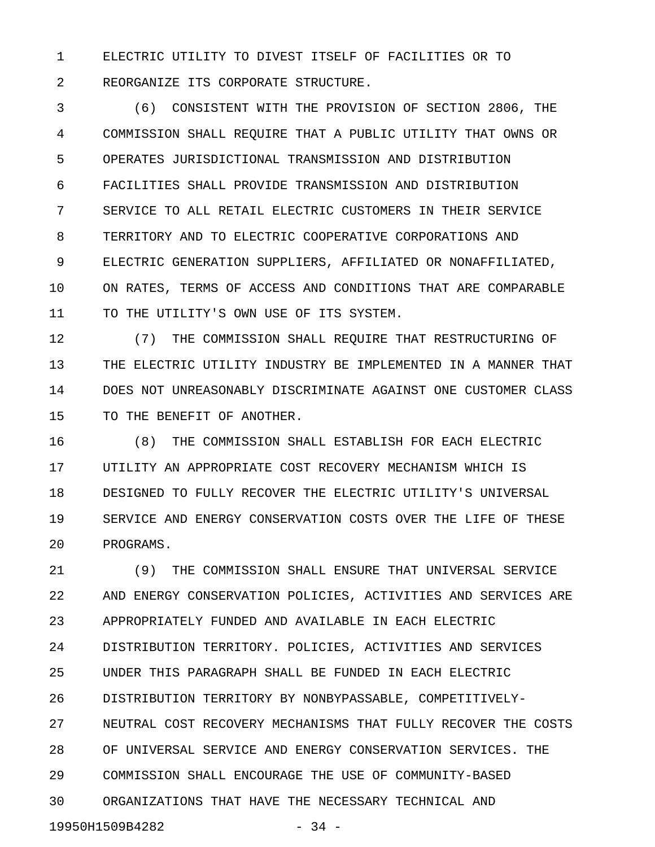1 ELECTRIC UTILITY TO DIVEST ITSELF OF FACILITIES OR TO 2 REORGANIZE ITS CORPORATE STRUCTURE.

3 (6) CONSISTENT WITH THE PROVISION OF SECTION 2806, THE 4 COMMISSION SHALL REQUIRE THAT A PUBLIC UTILITY THAT OWNS OR 5 OPERATES JURISDICTIONAL TRANSMISSION AND DISTRIBUTION 6 FACILITIES SHALL PROVIDE TRANSMISSION AND DISTRIBUTION 7 SERVICE TO ALL RETAIL ELECTRIC CUSTOMERS IN THEIR SERVICE 8 TERRITORY AND TO ELECTRIC COOPERATIVE CORPORATIONS AND 9 ELECTRIC GENERATION SUPPLIERS, AFFILIATED OR NONAFFILIATED, 10 ON RATES, TERMS OF ACCESS AND CONDITIONS THAT ARE COMPARABLE 11 TO THE UTILITY'S OWN USE OF ITS SYSTEM.

12 (7) THE COMMISSION SHALL REQUIRE THAT RESTRUCTURING OF 13 THE ELECTRIC UTILITY INDUSTRY BE IMPLEMENTED IN A MANNER THAT 14 DOES NOT UNREASONABLY DISCRIMINATE AGAINST ONE CUSTOMER CLASS 15 TO THE BENEFIT OF ANOTHER.

16 (8) THE COMMISSION SHALL ESTABLISH FOR EACH ELECTRIC 17 UTILITY AN APPROPRIATE COST RECOVERY MECHANISM WHICH IS 18 DESIGNED TO FULLY RECOVER THE ELECTRIC UTILITY'S UNIVERSAL 19 SERVICE AND ENERGY CONSERVATION COSTS OVER THE LIFE OF THESE 20 PROGRAMS.

21 (9) THE COMMISSION SHALL ENSURE THAT UNIVERSAL SERVICE 22 AND ENERGY CONSERVATION POLICIES, ACTIVITIES AND SERVICES ARE 23 APPROPRIATELY FUNDED AND AVAILABLE IN EACH ELECTRIC 24 DISTRIBUTION TERRITORY. POLICIES, ACTIVITIES AND SERVICES 25 UNDER THIS PARAGRAPH SHALL BE FUNDED IN EACH ELECTRIC 26 DISTRIBUTION TERRITORY BY NONBYPASSABLE, COMPETITIVELY-27 NEUTRAL COST RECOVERY MECHANISMS THAT FULLY RECOVER THE COSTS 28 OF UNIVERSAL SERVICE AND ENERGY CONSERVATION SERVICES. THE 29 COMMISSION SHALL ENCOURAGE THE USE OF COMMUNITY-BASED 30 ORGANIZATIONS THAT HAVE THE NECESSARY TECHNICAL AND 19950H1509B4282 - 34 -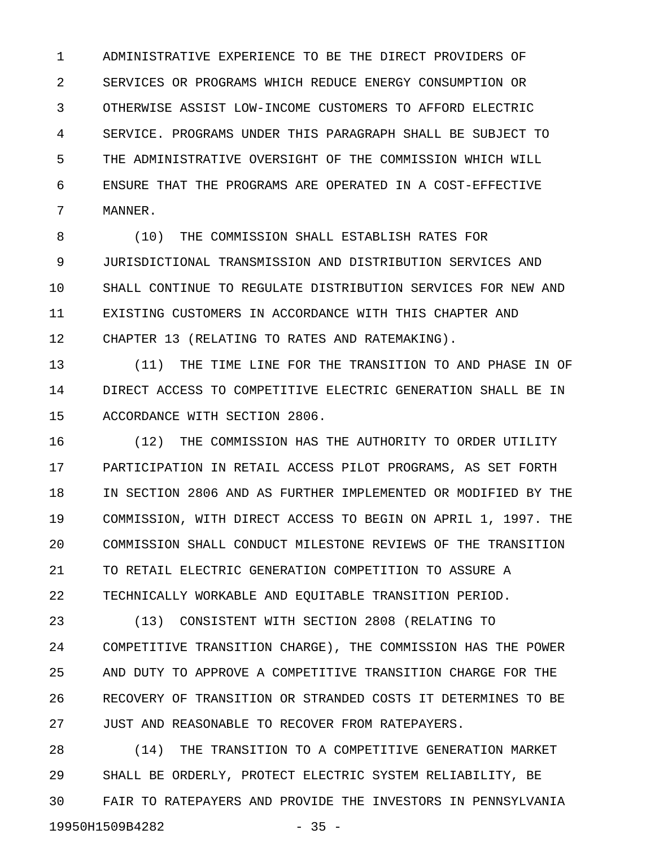1 ADMINISTRATIVE EXPERIENCE TO BE THE DIRECT PROVIDERS OF 2 SERVICES OR PROGRAMS WHICH REDUCE ENERGY CONSUMPTION OR 3 OTHERWISE ASSIST LOW-INCOME CUSTOMERS TO AFFORD ELECTRIC 4 SERVICE. PROGRAMS UNDER THIS PARAGRAPH SHALL BE SUBJECT TO 5 THE ADMINISTRATIVE OVERSIGHT OF THE COMMISSION WHICH WILL 6 ENSURE THAT THE PROGRAMS ARE OPERATED IN A COST-EFFECTIVE 7 MANNER.

8 (10) THE COMMISSION SHALL ESTABLISH RATES FOR 9 JURISDICTIONAL TRANSMISSION AND DISTRIBUTION SERVICES AND 10 SHALL CONTINUE TO REGULATE DISTRIBUTION SERVICES FOR NEW AND 11 EXISTING CUSTOMERS IN ACCORDANCE WITH THIS CHAPTER AND 12 CHAPTER 13 (RELATING TO RATES AND RATEMAKING).

13 (11) THE TIME LINE FOR THE TRANSITION TO AND PHASE IN OF 14 DIRECT ACCESS TO COMPETITIVE ELECTRIC GENERATION SHALL BE IN 15 ACCORDANCE WITH SECTION 2806.

16 (12) THE COMMISSION HAS THE AUTHORITY TO ORDER UTILITY 17 PARTICIPATION IN RETAIL ACCESS PILOT PROGRAMS, AS SET FORTH 18 IN SECTION 2806 AND AS FURTHER IMPLEMENTED OR MODIFIED BY THE 19 COMMISSION, WITH DIRECT ACCESS TO BEGIN ON APRIL 1, 1997. THE 20 COMMISSION SHALL CONDUCT MILESTONE REVIEWS OF THE TRANSITION 21 TO RETAIL ELECTRIC GENERATION COMPETITION TO ASSURE A 22 TECHNICALLY WORKABLE AND EQUITABLE TRANSITION PERIOD.

23 (13) CONSISTENT WITH SECTION 2808 (RELATING TO 24 COMPETITIVE TRANSITION CHARGE), THE COMMISSION HAS THE POWER 25 AND DUTY TO APPROVE A COMPETITIVE TRANSITION CHARGE FOR THE 26 RECOVERY OF TRANSITION OR STRANDED COSTS IT DETERMINES TO BE 27 JUST AND REASONABLE TO RECOVER FROM RATEPAYERS.

28 (14) THE TRANSITION TO A COMPETITIVE GENERATION MARKET 29 SHALL BE ORDERLY, PROTECT ELECTRIC SYSTEM RELIABILITY, BE 30 FAIR TO RATEPAYERS AND PROVIDE THE INVESTORS IN PENNSYLVANIA 19950H1509B4282 - 35 -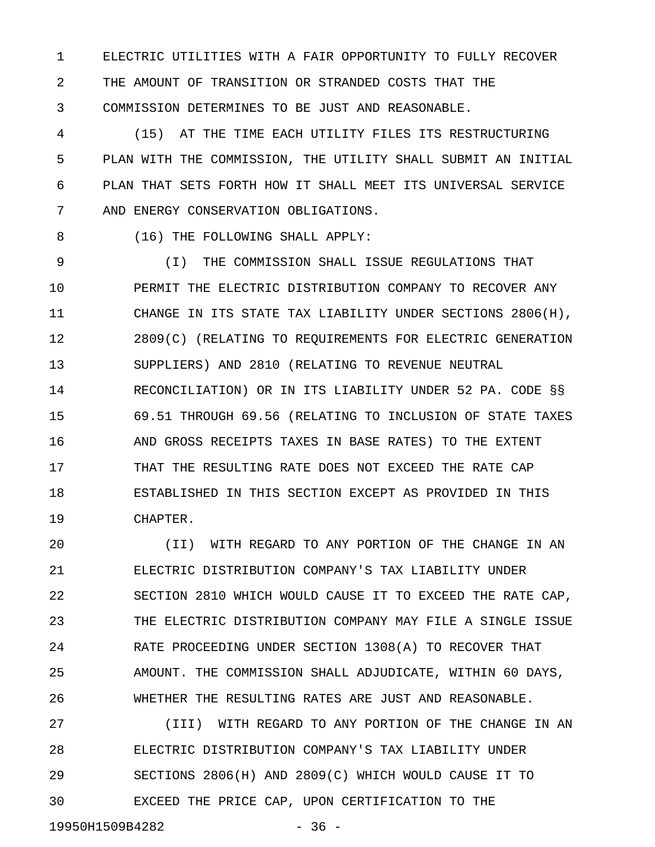1 ELECTRIC UTILITIES WITH A FAIR OPPORTUNITY TO FULLY RECOVER 2 THE AMOUNT OF TRANSITION OR STRANDED COSTS THAT THE 3 COMMISSION DETERMINES TO BE JUST AND REASONABLE.

4 (15) AT THE TIME EACH UTILITY FILES ITS RESTRUCTURING 5 PLAN WITH THE COMMISSION, THE UTILITY SHALL SUBMIT AN INITIAL 6 PLAN THAT SETS FORTH HOW IT SHALL MEET ITS UNIVERSAL SERVICE 7 AND ENERGY CONSERVATION OBLIGATIONS.

8 (16) THE FOLLOWING SHALL APPLY:

9 (I) THE COMMISSION SHALL ISSUE REGULATIONS THAT 10 PERMIT THE ELECTRIC DISTRIBUTION COMPANY TO RECOVER ANY 11 CHANGE IN ITS STATE TAX LIABILITY UNDER SECTIONS 2806(H), 12 2809(C) (RELATING TO REQUIREMENTS FOR ELECTRIC GENERATION 13 SUPPLIERS) AND 2810 (RELATING TO REVENUE NEUTRAL 14 RECONCILIATION) OR IN ITS LIABILITY UNDER 52 PA. CODE §§ 15 69.51 THROUGH 69.56 (RELATING TO INCLUSION OF STATE TAXES 16 AND GROSS RECEIPTS TAXES IN BASE RATES) TO THE EXTENT 17 THAT THE RESULTING RATE DOES NOT EXCEED THE RATE CAP 18 ESTABLISHED IN THIS SECTION EXCEPT AS PROVIDED IN THIS 19 CHAPTER.

20 (II) WITH REGARD TO ANY PORTION OF THE CHANGE IN AN 21 ELECTRIC DISTRIBUTION COMPANY'S TAX LIABILITY UNDER 22 SECTION 2810 WHICH WOULD CAUSE IT TO EXCEED THE RATE CAP, 23 THE ELECTRIC DISTRIBUTION COMPANY MAY FILE A SINGLE ISSUE 24 RATE PROCEEDING UNDER SECTION 1308(A) TO RECOVER THAT 25 AMOUNT. THE COMMISSION SHALL ADJUDICATE, WITHIN 60 DAYS, 26 WHETHER THE RESULTING RATES ARE JUST AND REASONABLE.

27 (III) WITH REGARD TO ANY PORTION OF THE CHANGE IN AN 28 ELECTRIC DISTRIBUTION COMPANY'S TAX LIABILITY UNDER 29 SECTIONS 2806(H) AND 2809(C) WHICH WOULD CAUSE IT TO 30 EXCEED THE PRICE CAP, UPON CERTIFICATION TO THE

19950H1509B4282 - 36 -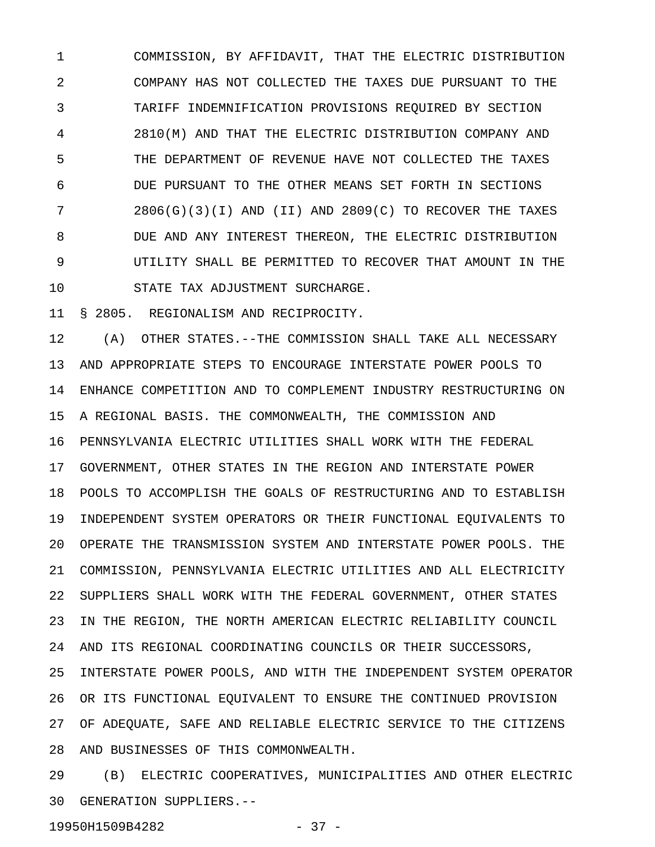1 COMMISSION, BY AFFIDAVIT, THAT THE ELECTRIC DISTRIBUTION 2 COMPANY HAS NOT COLLECTED THE TAXES DUE PURSUANT TO THE 3 TARIFF INDEMNIFICATION PROVISIONS REQUIRED BY SECTION 4 2810(M) AND THAT THE ELECTRIC DISTRIBUTION COMPANY AND 5 THE DEPARTMENT OF REVENUE HAVE NOT COLLECTED THE TAXES 6 DUE PURSUANT TO THE OTHER MEANS SET FORTH IN SECTIONS 7 2806(G)(3)(I) AND (II) AND 2809(C) TO RECOVER THE TAXES 8 DUE AND ANY INTEREST THEREON, THE ELECTRIC DISTRIBUTION 9 UTILITY SHALL BE PERMITTED TO RECOVER THAT AMOUNT IN THE 10 STATE TAX ADJUSTMENT SURCHARGE.

11 § 2805. REGIONALISM AND RECIPROCITY.

12 (A) OTHER STATES.--THE COMMISSION SHALL TAKE ALL NECESSARY 13 AND APPROPRIATE STEPS TO ENCOURAGE INTERSTATE POWER POOLS TO 14 ENHANCE COMPETITION AND TO COMPLEMENT INDUSTRY RESTRUCTURING ON 15 A REGIONAL BASIS. THE COMMONWEALTH, THE COMMISSION AND 16 PENNSYLVANIA ELECTRIC UTILITIES SHALL WORK WITH THE FEDERAL 17 GOVERNMENT, OTHER STATES IN THE REGION AND INTERSTATE POWER 18 POOLS TO ACCOMPLISH THE GOALS OF RESTRUCTURING AND TO ESTABLISH 19 INDEPENDENT SYSTEM OPERATORS OR THEIR FUNCTIONAL EQUIVALENTS TO 20 OPERATE THE TRANSMISSION SYSTEM AND INTERSTATE POWER POOLS. THE 21 COMMISSION, PENNSYLVANIA ELECTRIC UTILITIES AND ALL ELECTRICITY 22 SUPPLIERS SHALL WORK WITH THE FEDERAL GOVERNMENT, OTHER STATES 23 IN THE REGION, THE NORTH AMERICAN ELECTRIC RELIABILITY COUNCIL 24 AND ITS REGIONAL COORDINATING COUNCILS OR THEIR SUCCESSORS, 25 INTERSTATE POWER POOLS, AND WITH THE INDEPENDENT SYSTEM OPERATOR 26 OR ITS FUNCTIONAL EQUIVALENT TO ENSURE THE CONTINUED PROVISION 27 OF ADEQUATE, SAFE AND RELIABLE ELECTRIC SERVICE TO THE CITIZENS 28 AND BUSINESSES OF THIS COMMONWEALTH.

29 (B) ELECTRIC COOPERATIVES, MUNICIPALITIES AND OTHER ELECTRIC 30 GENERATION SUPPLIERS.--

19950H1509B4282 - 37 -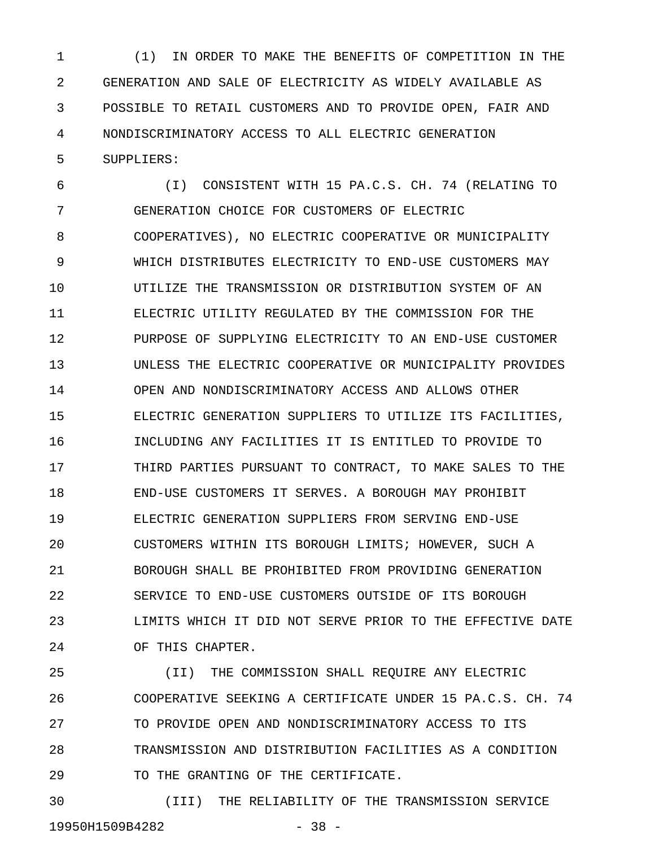1 (1) IN ORDER TO MAKE THE BENEFITS OF COMPETITION IN THE 2 GENERATION AND SALE OF ELECTRICITY AS WIDELY AVAILABLE AS 3 POSSIBLE TO RETAIL CUSTOMERS AND TO PROVIDE OPEN, FAIR AND 4 NONDISCRIMINATORY ACCESS TO ALL ELECTRIC GENERATION 5 SUPPLIERS:

6 (I) CONSISTENT WITH 15 PA.C.S. CH. 74 (RELATING TO 7 GENERATION CHOICE FOR CUSTOMERS OF ELECTRIC 8 COOPERATIVES), NO ELECTRIC COOPERATIVE OR MUNICIPALITY 9 WHICH DISTRIBUTES ELECTRICITY TO END-USE CUSTOMERS MAY 10 UTILIZE THE TRANSMISSION OR DISTRIBUTION SYSTEM OF AN 11 ELECTRIC UTILITY REGULATED BY THE COMMISSION FOR THE 12 PURPOSE OF SUPPLYING ELECTRICITY TO AN END-USE CUSTOMER 13 UNLESS THE ELECTRIC COOPERATIVE OR MUNICIPALITY PROVIDES 14 OPEN AND NONDISCRIMINATORY ACCESS AND ALLOWS OTHER 15 ELECTRIC GENERATION SUPPLIERS TO UTILIZE ITS FACILITIES, 16 INCLUDING ANY FACILITIES IT IS ENTITLED TO PROVIDE TO 17 THIRD PARTIES PURSUANT TO CONTRACT, TO MAKE SALES TO THE 18 END-USE CUSTOMERS IT SERVES. A BOROUGH MAY PROHIBIT 19 ELECTRIC GENERATION SUPPLIERS FROM SERVING END-USE 20 CUSTOMERS WITHIN ITS BOROUGH LIMITS; HOWEVER, SUCH A 21 BOROUGH SHALL BE PROHIBITED FROM PROVIDING GENERATION 22 SERVICE TO END-USE CUSTOMERS OUTSIDE OF ITS BOROUGH 23 LIMITS WHICH IT DID NOT SERVE PRIOR TO THE EFFECTIVE DATE 24 OF THIS CHAPTER.

25 (II) THE COMMISSION SHALL REQUIRE ANY ELECTRIC 26 COOPERATIVE SEEKING A CERTIFICATE UNDER 15 PA.C.S. CH. 74 27 TO PROVIDE OPEN AND NONDISCRIMINATORY ACCESS TO ITS 28 TRANSMISSION AND DISTRIBUTION FACILITIES AS A CONDITION 29 TO THE GRANTING OF THE CERTIFICATE.

30 (III) THE RELIABILITY OF THE TRANSMISSION SERVICE 19950H1509B4282 - 38 -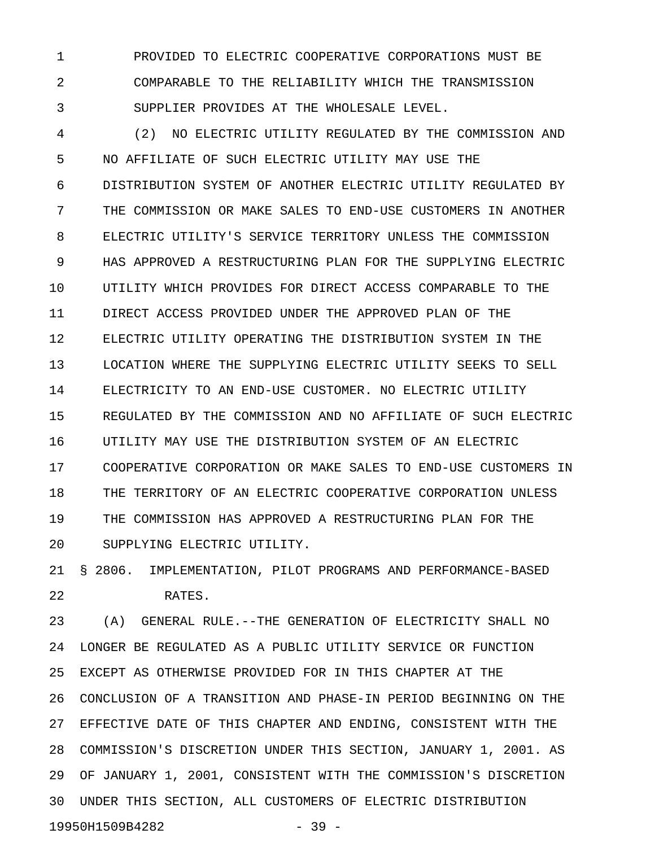1 PROVIDED TO ELECTRIC COOPERATIVE CORPORATIONS MUST BE 2 COMPARABLE TO THE RELIABILITY WHICH THE TRANSMISSION 3 SUPPLIER PROVIDES AT THE WHOLESALE LEVEL.

4 (2) NO ELECTRIC UTILITY REGULATED BY THE COMMISSION AND 5 NO AFFILIATE OF SUCH ELECTRIC UTILITY MAY USE THE 6 DISTRIBUTION SYSTEM OF ANOTHER ELECTRIC UTILITY REGULATED BY 7 THE COMMISSION OR MAKE SALES TO END-USE CUSTOMERS IN ANOTHER 8 ELECTRIC UTILITY'S SERVICE TERRITORY UNLESS THE COMMISSION 9 HAS APPROVED A RESTRUCTURING PLAN FOR THE SUPPLYING ELECTRIC 10 UTILITY WHICH PROVIDES FOR DIRECT ACCESS COMPARABLE TO THE 11 DIRECT ACCESS PROVIDED UNDER THE APPROVED PLAN OF THE 12 ELECTRIC UTILITY OPERATING THE DISTRIBUTION SYSTEM IN THE 13 LOCATION WHERE THE SUPPLYING ELECTRIC UTILITY SEEKS TO SELL 14 ELECTRICITY TO AN END-USE CUSTOMER. NO ELECTRIC UTILITY 15 REGULATED BY THE COMMISSION AND NO AFFILIATE OF SUCH ELECTRIC 16 UTILITY MAY USE THE DISTRIBUTION SYSTEM OF AN ELECTRIC 17 COOPERATIVE CORPORATION OR MAKE SALES TO END-USE CUSTOMERS IN 18 THE TERRITORY OF AN ELECTRIC COOPERATIVE CORPORATION UNLESS 19 THE COMMISSION HAS APPROVED A RESTRUCTURING PLAN FOR THE 20 SUPPLYING ELECTRIC UTILITY.

21 § 2806. IMPLEMENTATION, PILOT PROGRAMS AND PERFORMANCE-BASED 22 RATES.

23 (A) GENERAL RULE.--THE GENERATION OF ELECTRICITY SHALL NO 24 LONGER BE REGULATED AS A PUBLIC UTILITY SERVICE OR FUNCTION 25 EXCEPT AS OTHERWISE PROVIDED FOR IN THIS CHAPTER AT THE 26 CONCLUSION OF A TRANSITION AND PHASE-IN PERIOD BEGINNING ON THE 27 EFFECTIVE DATE OF THIS CHAPTER AND ENDING, CONSISTENT WITH THE 28 COMMISSION'S DISCRETION UNDER THIS SECTION, JANUARY 1, 2001. AS 29 OF JANUARY 1, 2001, CONSISTENT WITH THE COMMISSION'S DISCRETION 30 UNDER THIS SECTION, ALL CUSTOMERS OF ELECTRIC DISTRIBUTION 19950H1509B4282 - 39 -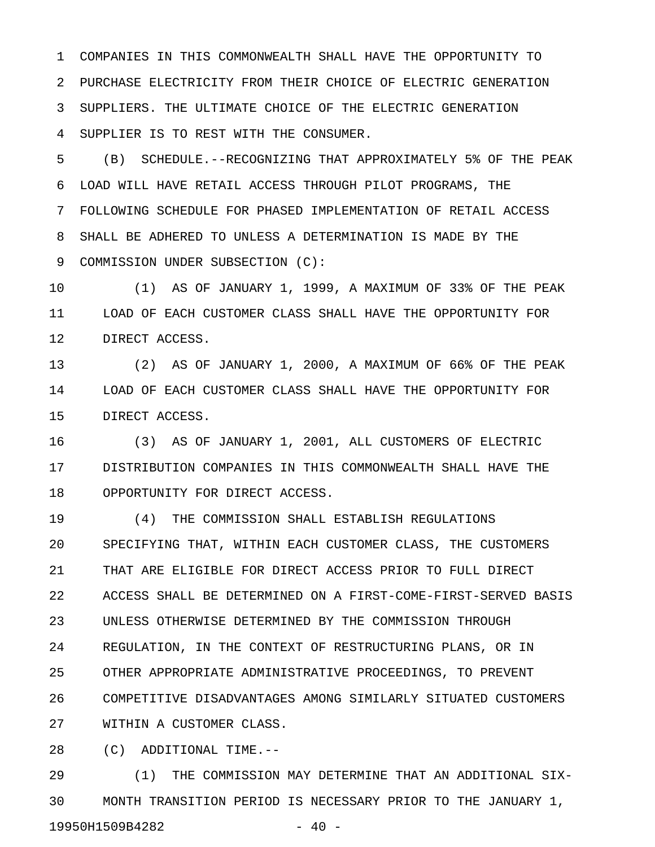1 COMPANIES IN THIS COMMONWEALTH SHALL HAVE THE OPPORTUNITY TO 2 PURCHASE ELECTRICITY FROM THEIR CHOICE OF ELECTRIC GENERATION 3 SUPPLIERS. THE ULTIMATE CHOICE OF THE ELECTRIC GENERATION 4 SUPPLIER IS TO REST WITH THE CONSUMER.

5 (B) SCHEDULE.--RECOGNIZING THAT APPROXIMATELY 5% OF THE PEAK 6 LOAD WILL HAVE RETAIL ACCESS THROUGH PILOT PROGRAMS, THE 7 FOLLOWING SCHEDULE FOR PHASED IMPLEMENTATION OF RETAIL ACCESS 8 SHALL BE ADHERED TO UNLESS A DETERMINATION IS MADE BY THE 9 COMMISSION UNDER SUBSECTION (C):

10 (1) AS OF JANUARY 1, 1999, A MAXIMUM OF 33% OF THE PEAK 11 LOAD OF EACH CUSTOMER CLASS SHALL HAVE THE OPPORTUNITY FOR 12 DIRECT ACCESS.

13 (2) AS OF JANUARY 1, 2000, A MAXIMUM OF 66% OF THE PEAK 14 LOAD OF EACH CUSTOMER CLASS SHALL HAVE THE OPPORTUNITY FOR 15 DIRECT ACCESS.

16 (3) AS OF JANUARY 1, 2001, ALL CUSTOMERS OF ELECTRIC 17 DISTRIBUTION COMPANIES IN THIS COMMONWEALTH SHALL HAVE THE 18 OPPORTUNITY FOR DIRECT ACCESS.

19 (4) THE COMMISSION SHALL ESTABLISH REGULATIONS 20 SPECIFYING THAT, WITHIN EACH CUSTOMER CLASS, THE CUSTOMERS 21 THAT ARE ELIGIBLE FOR DIRECT ACCESS PRIOR TO FULL DIRECT 22 ACCESS SHALL BE DETERMINED ON A FIRST-COME-FIRST-SERVED BASIS 23 UNLESS OTHERWISE DETERMINED BY THE COMMISSION THROUGH 24 REGULATION, IN THE CONTEXT OF RESTRUCTURING PLANS, OR IN 25 OTHER APPROPRIATE ADMINISTRATIVE PROCEEDINGS, TO PREVENT 26 COMPETITIVE DISADVANTAGES AMONG SIMILARLY SITUATED CUSTOMERS 27 WITHIN A CUSTOMER CLASS.

28 (C) ADDITIONAL TIME.--

29 (1) THE COMMISSION MAY DETERMINE THAT AN ADDITIONAL SIX-30 MONTH TRANSITION PERIOD IS NECESSARY PRIOR TO THE JANUARY 1, 19950H1509B4282 - 40 -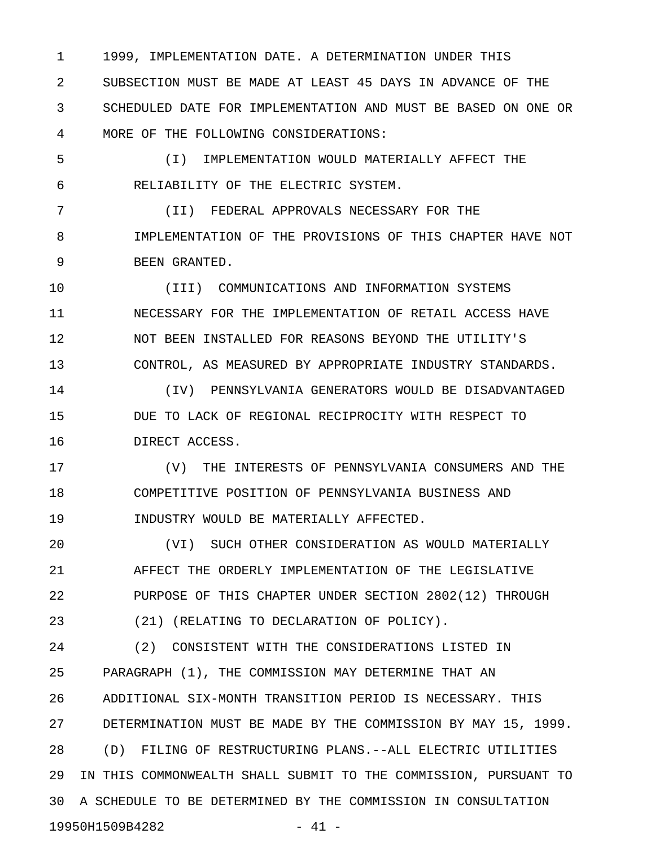1 1999, IMPLEMENTATION DATE. A DETERMINATION UNDER THIS 2 SUBSECTION MUST BE MADE AT LEAST 45 DAYS IN ADVANCE OF THE 3 SCHEDULED DATE FOR IMPLEMENTATION AND MUST BE BASED ON ONE OR 4 MORE OF THE FOLLOWING CONSIDERATIONS:

5 (I) IMPLEMENTATION WOULD MATERIALLY AFFECT THE 6 RELIABILITY OF THE ELECTRIC SYSTEM.

7 (II) FEDERAL APPROVALS NECESSARY FOR THE 8 IMPLEMENTATION OF THE PROVISIONS OF THIS CHAPTER HAVE NOT 9 BEEN GRANTED.

10 (III) COMMUNICATIONS AND INFORMATION SYSTEMS 11 NECESSARY FOR THE IMPLEMENTATION OF RETAIL ACCESS HAVE 12 NOT BEEN INSTALLED FOR REASONS BEYOND THE UTILITY'S 13 CONTROL, AS MEASURED BY APPROPRIATE INDUSTRY STANDARDS.

14 (IV) PENNSYLVANIA GENERATORS WOULD BE DISADVANTAGED 15 DUE TO LACK OF REGIONAL RECIPROCITY WITH RESPECT TO 16 DIRECT ACCESS.

17 (V) THE INTERESTS OF PENNSYLVANIA CONSUMERS AND THE 18 COMPETITIVE POSITION OF PENNSYLVANIA BUSINESS AND 19 INDUSTRY WOULD BE MATERIALLY AFFECTED.

20 (VI) SUCH OTHER CONSIDERATION AS WOULD MATERIALLY 21 AFFECT THE ORDERLY IMPLEMENTATION OF THE LEGISLATIVE 22 PURPOSE OF THIS CHAPTER UNDER SECTION 2802(12) THROUGH 23 (21) (RELATING TO DECLARATION OF POLICY).

24 (2) CONSISTENT WITH THE CONSIDERATIONS LISTED IN 25 PARAGRAPH (1), THE COMMISSION MAY DETERMINE THAT AN 26 ADDITIONAL SIX-MONTH TRANSITION PERIOD IS NECESSARY. THIS 27 DETERMINATION MUST BE MADE BY THE COMMISSION BY MAY 15, 1999. 28 (D) FILING OF RESTRUCTURING PLANS.--ALL ELECTRIC UTILITIES 29 IN THIS COMMONWEALTH SHALL SUBMIT TO THE COMMISSION, PURSUANT TO 30 A SCHEDULE TO BE DETERMINED BY THE COMMISSION IN CONSULTATION 19950H1509B4282 - 41 -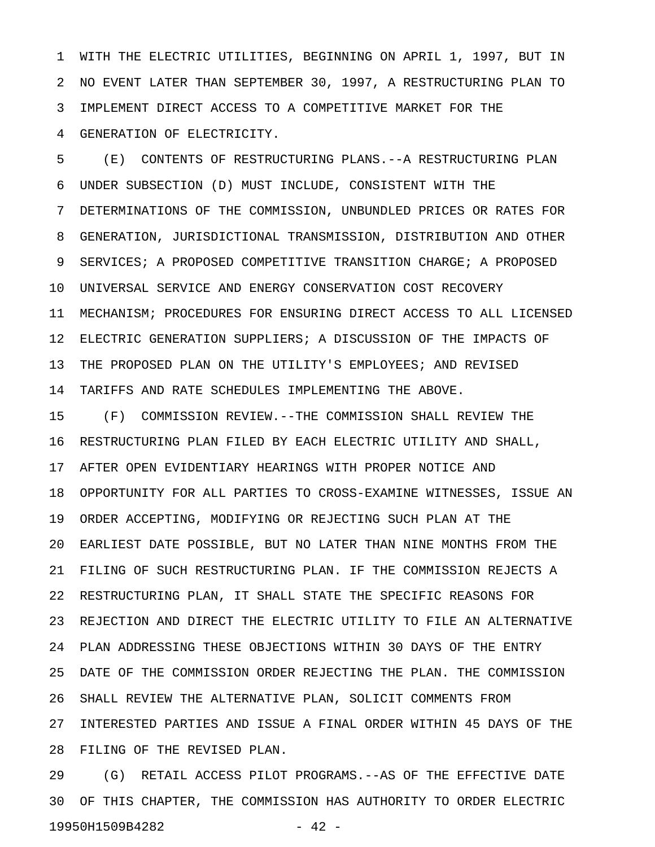1 WITH THE ELECTRIC UTILITIES, BEGINNING ON APRIL 1, 1997, BUT IN 2 NO EVENT LATER THAN SEPTEMBER 30, 1997, A RESTRUCTURING PLAN TO 3 IMPLEMENT DIRECT ACCESS TO A COMPETITIVE MARKET FOR THE 4 GENERATION OF ELECTRICITY.

5 (E) CONTENTS OF RESTRUCTURING PLANS.--A RESTRUCTURING PLAN 6 UNDER SUBSECTION (D) MUST INCLUDE, CONSISTENT WITH THE 7 DETERMINATIONS OF THE COMMISSION, UNBUNDLED PRICES OR RATES FOR 8 GENERATION, JURISDICTIONAL TRANSMISSION, DISTRIBUTION AND OTHER 9 SERVICES; A PROPOSED COMPETITIVE TRANSITION CHARGE; A PROPOSED 10 UNIVERSAL SERVICE AND ENERGY CONSERVATION COST RECOVERY 11 MECHANISM; PROCEDURES FOR ENSURING DIRECT ACCESS TO ALL LICENSED 12 ELECTRIC GENERATION SUPPLIERS; A DISCUSSION OF THE IMPACTS OF 13 THE PROPOSED PLAN ON THE UTILITY'S EMPLOYEES; AND REVISED 14 TARIFFS AND RATE SCHEDULES IMPLEMENTING THE ABOVE.

15 (F) COMMISSION REVIEW.--THE COMMISSION SHALL REVIEW THE 16 RESTRUCTURING PLAN FILED BY EACH ELECTRIC UTILITY AND SHALL, 17 AFTER OPEN EVIDENTIARY HEARINGS WITH PROPER NOTICE AND 18 OPPORTUNITY FOR ALL PARTIES TO CROSS-EXAMINE WITNESSES, ISSUE AN 19 ORDER ACCEPTING, MODIFYING OR REJECTING SUCH PLAN AT THE 20 EARLIEST DATE POSSIBLE, BUT NO LATER THAN NINE MONTHS FROM THE 21 FILING OF SUCH RESTRUCTURING PLAN. IF THE COMMISSION REJECTS A 22 RESTRUCTURING PLAN, IT SHALL STATE THE SPECIFIC REASONS FOR 23 REJECTION AND DIRECT THE ELECTRIC UTILITY TO FILE AN ALTERNATIVE 24 PLAN ADDRESSING THESE OBJECTIONS WITHIN 30 DAYS OF THE ENTRY 25 DATE OF THE COMMISSION ORDER REJECTING THE PLAN. THE COMMISSION 26 SHALL REVIEW THE ALTERNATIVE PLAN, SOLICIT COMMENTS FROM 27 INTERESTED PARTIES AND ISSUE A FINAL ORDER WITHIN 45 DAYS OF THE 28 FILING OF THE REVISED PLAN.

29 (G) RETAIL ACCESS PILOT PROGRAMS.--AS OF THE EFFECTIVE DATE 30 OF THIS CHAPTER, THE COMMISSION HAS AUTHORITY TO ORDER ELECTRIC 19950H1509B4282 - 42 -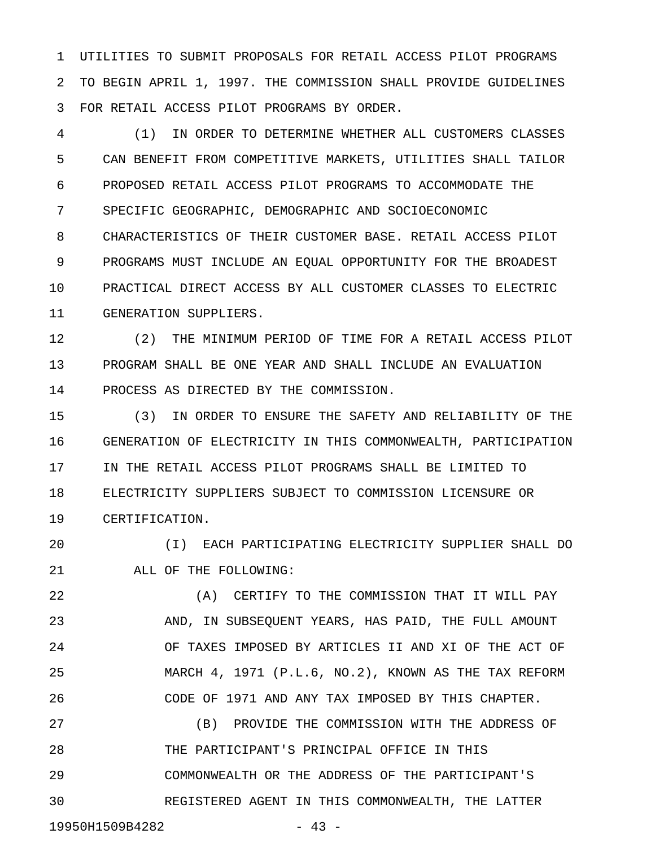1 UTILITIES TO SUBMIT PROPOSALS FOR RETAIL ACCESS PILOT PROGRAMS 2 TO BEGIN APRIL 1, 1997. THE COMMISSION SHALL PROVIDE GUIDELINES 3 FOR RETAIL ACCESS PILOT PROGRAMS BY ORDER.

4 (1) IN ORDER TO DETERMINE WHETHER ALL CUSTOMERS CLASSES 5 CAN BENEFIT FROM COMPETITIVE MARKETS, UTILITIES SHALL TAILOR 6 PROPOSED RETAIL ACCESS PILOT PROGRAMS TO ACCOMMODATE THE 7 SPECIFIC GEOGRAPHIC, DEMOGRAPHIC AND SOCIOECONOMIC 8 CHARACTERISTICS OF THEIR CUSTOMER BASE. RETAIL ACCESS PILOT 9 PROGRAMS MUST INCLUDE AN EQUAL OPPORTUNITY FOR THE BROADEST 10 PRACTICAL DIRECT ACCESS BY ALL CUSTOMER CLASSES TO ELECTRIC 11 GENERATION SUPPLIERS.

12 (2) THE MINIMUM PERIOD OF TIME FOR A RETAIL ACCESS PILOT 13 PROGRAM SHALL BE ONE YEAR AND SHALL INCLUDE AN EVALUATION 14 PROCESS AS DIRECTED BY THE COMMISSION.

15 (3) IN ORDER TO ENSURE THE SAFETY AND RELIABILITY OF THE 16 GENERATION OF ELECTRICITY IN THIS COMMONWEALTH, PARTICIPATION 17 IN THE RETAIL ACCESS PILOT PROGRAMS SHALL BE LIMITED TO 18 ELECTRICITY SUPPLIERS SUBJECT TO COMMISSION LICENSURE OR 19 CERTIFICATION.

20 (I) EACH PARTICIPATING ELECTRICITY SUPPLIER SHALL DO 21 ALL OF THE FOLLOWING:

22 (A) CERTIFY TO THE COMMISSION THAT IT WILL PAY 23 AND, IN SUBSEQUENT YEARS, HAS PAID, THE FULL AMOUNT 24 OF TAXES IMPOSED BY ARTICLES II AND XI OF THE ACT OF 25 MARCH 4, 1971 (P.L.6, NO.2), KNOWN AS THE TAX REFORM 26 CODE OF 1971 AND ANY TAX IMPOSED BY THIS CHAPTER. 27 (B) PROVIDE THE COMMISSION WITH THE ADDRESS OF 28 THE PARTICIPANT'S PRINCIPAL OFFICE IN THIS

29 COMMONWEALTH OR THE ADDRESS OF THE PARTICIPANT'S 30 REGISTERED AGENT IN THIS COMMONWEALTH, THE LATTER

19950H1509B4282 - 43 -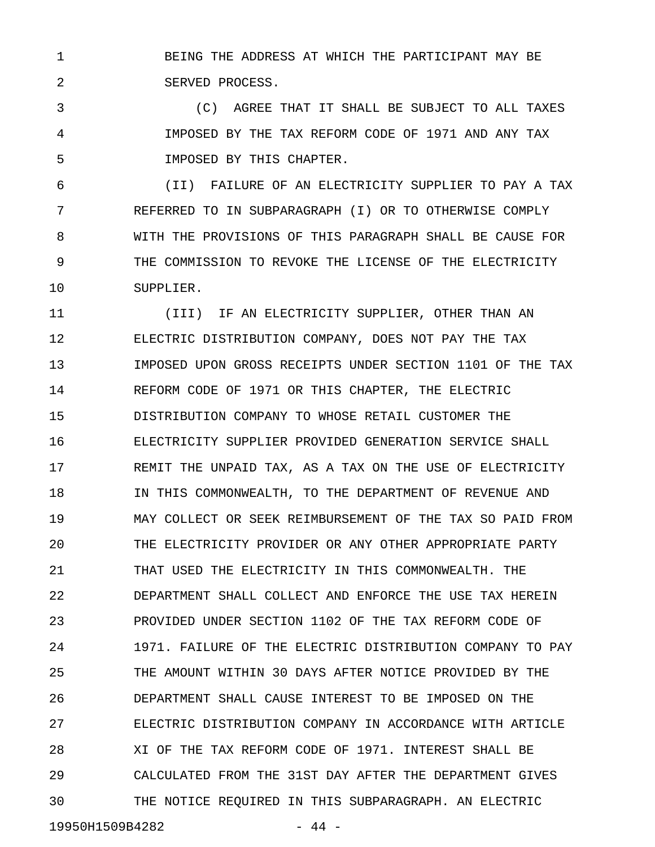1 BEING THE ADDRESS AT WHICH THE PARTICIPANT MAY BE 2 SERVED PROCESS.

3 (C) AGREE THAT IT SHALL BE SUBJECT TO ALL TAXES 4 IMPOSED BY THE TAX REFORM CODE OF 1971 AND ANY TAX 5 IMPOSED BY THIS CHAPTER.

6 (II) FAILURE OF AN ELECTRICITY SUPPLIER TO PAY A TAX 7 REFERRED TO IN SUBPARAGRAPH (I) OR TO OTHERWISE COMPLY 8 WITH THE PROVISIONS OF THIS PARAGRAPH SHALL BE CAUSE FOR 9 THE COMMISSION TO REVOKE THE LICENSE OF THE ELECTRICITY 10 SUPPLIER.

11 (III) IF AN ELECTRICITY SUPPLIER, OTHER THAN AN 12 ELECTRIC DISTRIBUTION COMPANY, DOES NOT PAY THE TAX 13 IMPOSED UPON GROSS RECEIPTS UNDER SECTION 1101 OF THE TAX 14 REFORM CODE OF 1971 OR THIS CHAPTER, THE ELECTRIC 15 DISTRIBUTION COMPANY TO WHOSE RETAIL CUSTOMER THE 16 ELECTRICITY SUPPLIER PROVIDED GENERATION SERVICE SHALL 17 REMIT THE UNPAID TAX, AS A TAX ON THE USE OF ELECTRICITY 18 IN THIS COMMONWEALTH, TO THE DEPARTMENT OF REVENUE AND 19 MAY COLLECT OR SEEK REIMBURSEMENT OF THE TAX SO PAID FROM 20 THE ELECTRICITY PROVIDER OR ANY OTHER APPROPRIATE PARTY 21 THAT USED THE ELECTRICITY IN THIS COMMONWEALTH. THE 22 DEPARTMENT SHALL COLLECT AND ENFORCE THE USE TAX HEREIN 23 PROVIDED UNDER SECTION 1102 OF THE TAX REFORM CODE OF 24 1971. FAILURE OF THE ELECTRIC DISTRIBUTION COMPANY TO PAY 25 THE AMOUNT WITHIN 30 DAYS AFTER NOTICE PROVIDED BY THE 26 DEPARTMENT SHALL CAUSE INTEREST TO BE IMPOSED ON THE 27 ELECTRIC DISTRIBUTION COMPANY IN ACCORDANCE WITH ARTICLE 28 XI OF THE TAX REFORM CODE OF 1971. INTEREST SHALL BE 29 CALCULATED FROM THE 31ST DAY AFTER THE DEPARTMENT GIVES 30 THE NOTICE REQUIRED IN THIS SUBPARAGRAPH. AN ELECTRIC

19950H1509B4282 - 44 -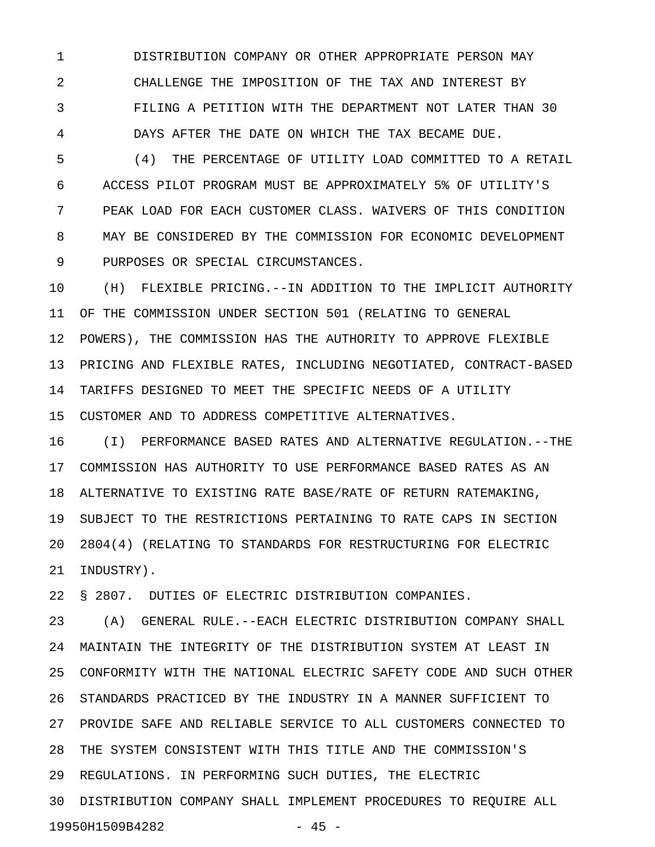1 DISTRIBUTION COMPANY OR OTHER APPROPRIATE PERSON MAY 2 CHALLENGE THE IMPOSITION OF THE TAX AND INTEREST BY 3 FILING A PETITION WITH THE DEPARTMENT NOT LATER THAN 30 4 DAYS AFTER THE DATE ON WHICH THE TAX BECAME DUE.

5 (4) THE PERCENTAGE OF UTILITY LOAD COMMITTED TO A RETAIL 6 ACCESS PILOT PROGRAM MUST BE APPROXIMATELY 5% OF UTILITY'S 7 PEAK LOAD FOR EACH CUSTOMER CLASS. WAIVERS OF THIS CONDITION 8 MAY BE CONSIDERED BY THE COMMISSION FOR ECONOMIC DEVELOPMENT 9 PURPOSES OR SPECIAL CIRCUMSTANCES.

10 (H) FLEXIBLE PRICING.--IN ADDITION TO THE IMPLICIT AUTHORITY 11 OF THE COMMISSION UNDER SECTION 501 (RELATING TO GENERAL 12 POWERS), THE COMMISSION HAS THE AUTHORITY TO APPROVE FLEXIBLE 13 PRICING AND FLEXIBLE RATES, INCLUDING NEGOTIATED, CONTRACT-BASED 14 TARIFFS DESIGNED TO MEET THE SPECIFIC NEEDS OF A UTILITY 15 CUSTOMER AND TO ADDRESS COMPETITIVE ALTERNATIVES.

16 (I) PERFORMANCE BASED RATES AND ALTERNATIVE REGULATION.--THE 17 COMMISSION HAS AUTHORITY TO USE PERFORMANCE BASED RATES AS AN 18 ALTERNATIVE TO EXISTING RATE BASE/RATE OF RETURN RATEMAKING, 19 SUBJECT TO THE RESTRICTIONS PERTAINING TO RATE CAPS IN SECTION 20 2804(4) (RELATING TO STANDARDS FOR RESTRUCTURING FOR ELECTRIC 21 INDUSTRY).

22 § 2807. DUTIES OF ELECTRIC DISTRIBUTION COMPANIES.

23 (A) GENERAL RULE.--EACH ELECTRIC DISTRIBUTION COMPANY SHALL 24 MAINTAIN THE INTEGRITY OF THE DISTRIBUTION SYSTEM AT LEAST IN 25 CONFORMITY WITH THE NATIONAL ELECTRIC SAFETY CODE AND SUCH OTHER 26 STANDARDS PRACTICED BY THE INDUSTRY IN A MANNER SUFFICIENT TO 27 PROVIDE SAFE AND RELIABLE SERVICE TO ALL CUSTOMERS CONNECTED TO 28 THE SYSTEM CONSISTENT WITH THIS TITLE AND THE COMMISSION'S 29 REGULATIONS. IN PERFORMING SUCH DUTIES, THE ELECTRIC 30 DISTRIBUTION COMPANY SHALL IMPLEMENT PROCEDURES TO REQUIRE ALL 19950H1509B4282 - 45 -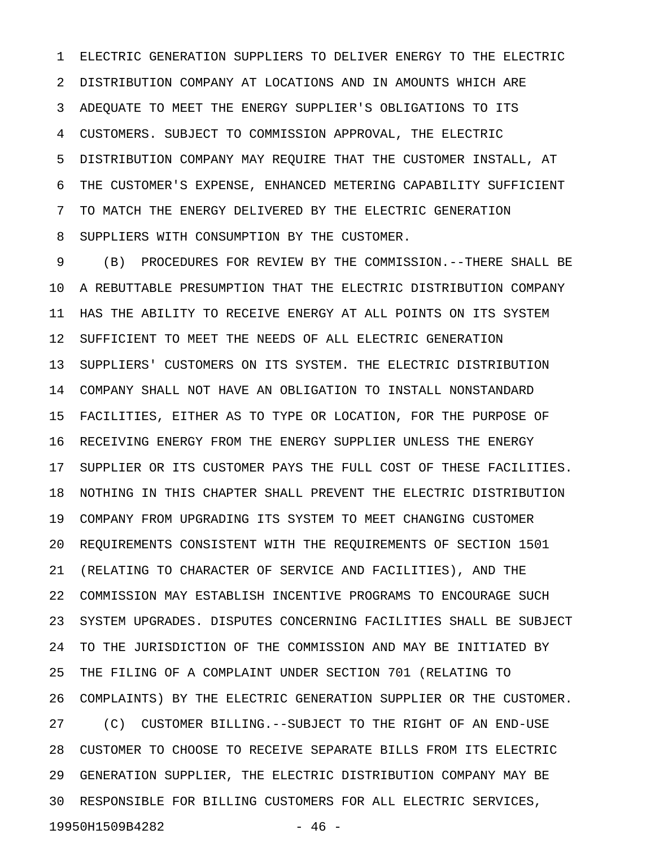1 ELECTRIC GENERATION SUPPLIERS TO DELIVER ENERGY TO THE ELECTRIC 2 DISTRIBUTION COMPANY AT LOCATIONS AND IN AMOUNTS WHICH ARE 3 ADEQUATE TO MEET THE ENERGY SUPPLIER'S OBLIGATIONS TO ITS 4 CUSTOMERS. SUBJECT TO COMMISSION APPROVAL, THE ELECTRIC 5 DISTRIBUTION COMPANY MAY REQUIRE THAT THE CUSTOMER INSTALL, AT 6 THE CUSTOMER'S EXPENSE, ENHANCED METERING CAPABILITY SUFFICIENT 7 TO MATCH THE ENERGY DELIVERED BY THE ELECTRIC GENERATION 8 SUPPLIERS WITH CONSUMPTION BY THE CUSTOMER.

9 (B) PROCEDURES FOR REVIEW BY THE COMMISSION.--THERE SHALL BE 10 A REBUTTABLE PRESUMPTION THAT THE ELECTRIC DISTRIBUTION COMPANY 11 HAS THE ABILITY TO RECEIVE ENERGY AT ALL POINTS ON ITS SYSTEM 12 SUFFICIENT TO MEET THE NEEDS OF ALL ELECTRIC GENERATION 13 SUPPLIERS' CUSTOMERS ON ITS SYSTEM. THE ELECTRIC DISTRIBUTION 14 COMPANY SHALL NOT HAVE AN OBLIGATION TO INSTALL NONSTANDARD 15 FACILITIES, EITHER AS TO TYPE OR LOCATION, FOR THE PURPOSE OF 16 RECEIVING ENERGY FROM THE ENERGY SUPPLIER UNLESS THE ENERGY 17 SUPPLIER OR ITS CUSTOMER PAYS THE FULL COST OF THESE FACILITIES. 18 NOTHING IN THIS CHAPTER SHALL PREVENT THE ELECTRIC DISTRIBUTION 19 COMPANY FROM UPGRADING ITS SYSTEM TO MEET CHANGING CUSTOMER 20 REQUIREMENTS CONSISTENT WITH THE REQUIREMENTS OF SECTION 1501 21 (RELATING TO CHARACTER OF SERVICE AND FACILITIES), AND THE 22 COMMISSION MAY ESTABLISH INCENTIVE PROGRAMS TO ENCOURAGE SUCH 23 SYSTEM UPGRADES. DISPUTES CONCERNING FACILITIES SHALL BE SUBJECT 24 TO THE JURISDICTION OF THE COMMISSION AND MAY BE INITIATED BY 25 THE FILING OF A COMPLAINT UNDER SECTION 701 (RELATING TO 26 COMPLAINTS) BY THE ELECTRIC GENERATION SUPPLIER OR THE CUSTOMER. 27 (C) CUSTOMER BILLING.--SUBJECT TO THE RIGHT OF AN END-USE 28 CUSTOMER TO CHOOSE TO RECEIVE SEPARATE BILLS FROM ITS ELECTRIC 29 GENERATION SUPPLIER, THE ELECTRIC DISTRIBUTION COMPANY MAY BE 30 RESPONSIBLE FOR BILLING CUSTOMERS FOR ALL ELECTRIC SERVICES, 19950H1509B4282 - 46 -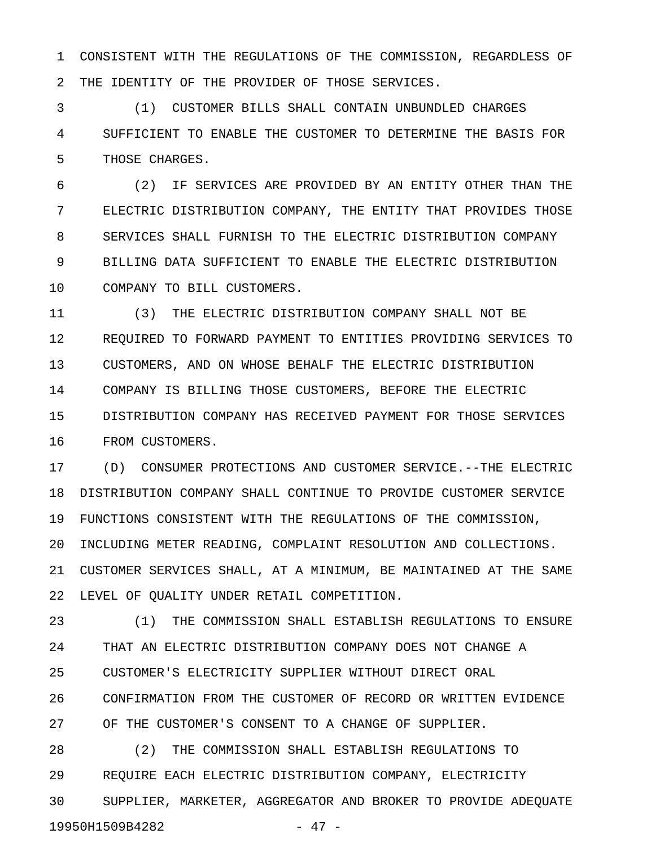1 CONSISTENT WITH THE REGULATIONS OF THE COMMISSION, REGARDLESS OF 2 THE IDENTITY OF THE PROVIDER OF THOSE SERVICES.

3 (1) CUSTOMER BILLS SHALL CONTAIN UNBUNDLED CHARGES 4 SUFFICIENT TO ENABLE THE CUSTOMER TO DETERMINE THE BASIS FOR 5 THOSE CHARGES.

6 (2) IF SERVICES ARE PROVIDED BY AN ENTITY OTHER THAN THE 7 ELECTRIC DISTRIBUTION COMPANY, THE ENTITY THAT PROVIDES THOSE 8 SERVICES SHALL FURNISH TO THE ELECTRIC DISTRIBUTION COMPANY 9 BILLING DATA SUFFICIENT TO ENABLE THE ELECTRIC DISTRIBUTION 10 COMPANY TO BILL CUSTOMERS.

11 (3) THE ELECTRIC DISTRIBUTION COMPANY SHALL NOT BE 12 REQUIRED TO FORWARD PAYMENT TO ENTITIES PROVIDING SERVICES TO 13 CUSTOMERS, AND ON WHOSE BEHALF THE ELECTRIC DISTRIBUTION 14 COMPANY IS BILLING THOSE CUSTOMERS, BEFORE THE ELECTRIC 15 DISTRIBUTION COMPANY HAS RECEIVED PAYMENT FOR THOSE SERVICES 16 FROM CUSTOMERS.

17 (D) CONSUMER PROTECTIONS AND CUSTOMER SERVICE.--THE ELECTRIC 18 DISTRIBUTION COMPANY SHALL CONTINUE TO PROVIDE CUSTOMER SERVICE 19 FUNCTIONS CONSISTENT WITH THE REGULATIONS OF THE COMMISSION, 20 INCLUDING METER READING, COMPLAINT RESOLUTION AND COLLECTIONS. 21 CUSTOMER SERVICES SHALL, AT A MINIMUM, BE MAINTAINED AT THE SAME 22 LEVEL OF QUALITY UNDER RETAIL COMPETITION.

23 (1) THE COMMISSION SHALL ESTABLISH REGULATIONS TO ENSURE 24 THAT AN ELECTRIC DISTRIBUTION COMPANY DOES NOT CHANGE A 25 CUSTOMER'S ELECTRICITY SUPPLIER WITHOUT DIRECT ORAL 26 CONFIRMATION FROM THE CUSTOMER OF RECORD OR WRITTEN EVIDENCE 27 OF THE CUSTOMER'S CONSENT TO A CHANGE OF SUPPLIER. 28 (2) THE COMMISSION SHALL ESTABLISH REGULATIONS TO

29 REQUIRE EACH ELECTRIC DISTRIBUTION COMPANY, ELECTRICITY

30 SUPPLIER, MARKETER, AGGREGATOR AND BROKER TO PROVIDE ADEQUATE 19950H1509B4282 - 47 -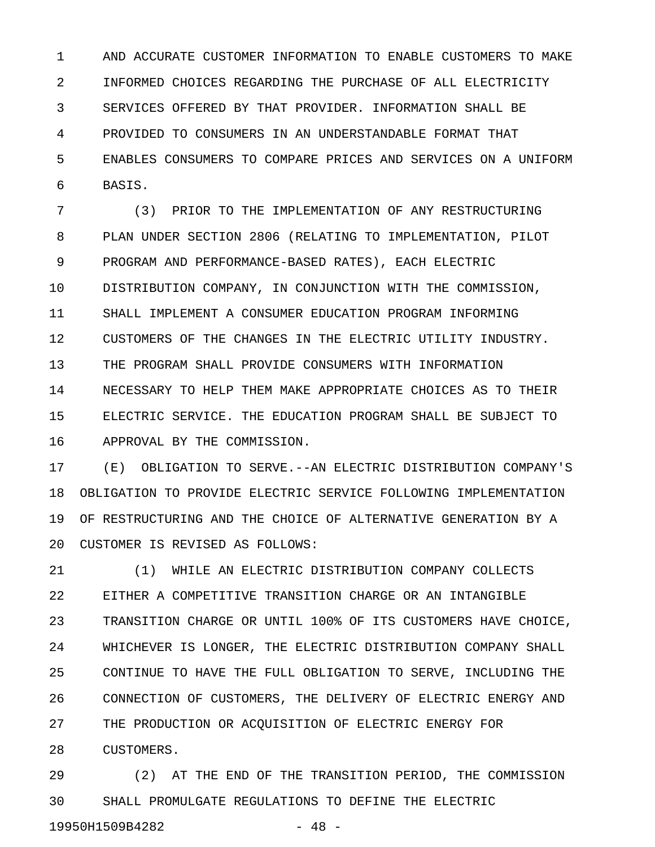1 AND ACCURATE CUSTOMER INFORMATION TO ENABLE CUSTOMERS TO MAKE 2 INFORMED CHOICES REGARDING THE PURCHASE OF ALL ELECTRICITY 3 SERVICES OFFERED BY THAT PROVIDER. INFORMATION SHALL BE 4 PROVIDED TO CONSUMERS IN AN UNDERSTANDABLE FORMAT THAT 5 ENABLES CONSUMERS TO COMPARE PRICES AND SERVICES ON A UNIFORM 6 BASIS.

7 (3) PRIOR TO THE IMPLEMENTATION OF ANY RESTRUCTURING 8 PLAN UNDER SECTION 2806 (RELATING TO IMPLEMENTATION, PILOT 9 PROGRAM AND PERFORMANCE-BASED RATES), EACH ELECTRIC 10 DISTRIBUTION COMPANY, IN CONJUNCTION WITH THE COMMISSION, 11 SHALL IMPLEMENT A CONSUMER EDUCATION PROGRAM INFORMING 12 CUSTOMERS OF THE CHANGES IN THE ELECTRIC UTILITY INDUSTRY. 13 THE PROGRAM SHALL PROVIDE CONSUMERS WITH INFORMATION 14 NECESSARY TO HELP THEM MAKE APPROPRIATE CHOICES AS TO THEIR 15 ELECTRIC SERVICE. THE EDUCATION PROGRAM SHALL BE SUBJECT TO 16 APPROVAL BY THE COMMISSION.

17 (E) OBLIGATION TO SERVE.--AN ELECTRIC DISTRIBUTION COMPANY'S 18 OBLIGATION TO PROVIDE ELECTRIC SERVICE FOLLOWING IMPLEMENTATION 19 OF RESTRUCTURING AND THE CHOICE OF ALTERNATIVE GENERATION BY A 20 CUSTOMER IS REVISED AS FOLLOWS:

21 (1) WHILE AN ELECTRIC DISTRIBUTION COMPANY COLLECTS 22 EITHER A COMPETITIVE TRANSITION CHARGE OR AN INTANGIBLE 23 TRANSITION CHARGE OR UNTIL 100% OF ITS CUSTOMERS HAVE CHOICE, 24 WHICHEVER IS LONGER, THE ELECTRIC DISTRIBUTION COMPANY SHALL 25 CONTINUE TO HAVE THE FULL OBLIGATION TO SERVE, INCLUDING THE 26 CONNECTION OF CUSTOMERS, THE DELIVERY OF ELECTRIC ENERGY AND 27 THE PRODUCTION OR ACQUISITION OF ELECTRIC ENERGY FOR 28 CUSTOMERS.

29 (2) AT THE END OF THE TRANSITION PERIOD, THE COMMISSION 30 SHALL PROMULGATE REGULATIONS TO DEFINE THE ELECTRIC 19950H1509B4282 - 48 -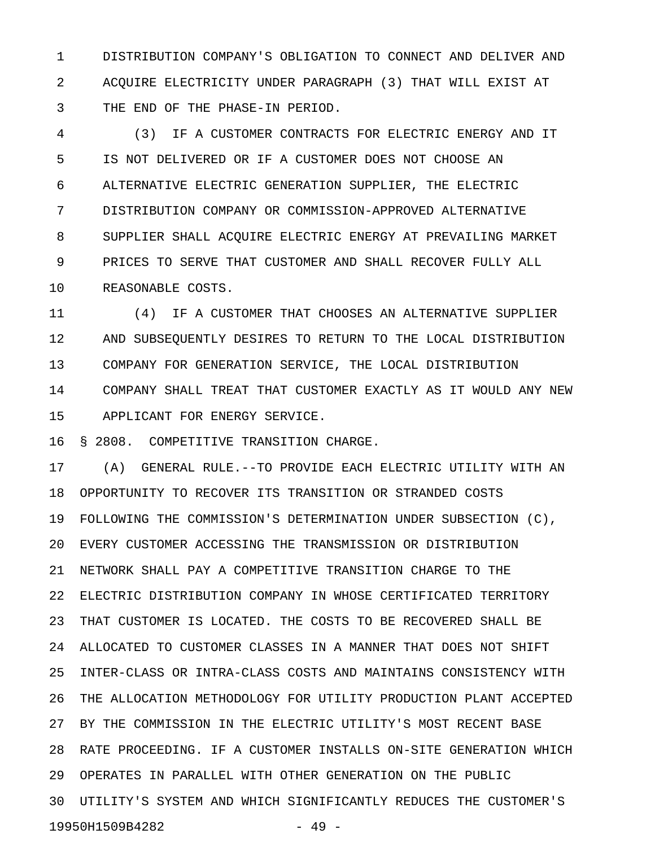1 DISTRIBUTION COMPANY'S OBLIGATION TO CONNECT AND DELIVER AND 2 ACQUIRE ELECTRICITY UNDER PARAGRAPH (3) THAT WILL EXIST AT 3 THE END OF THE PHASE-IN PERIOD.

4 (3) IF A CUSTOMER CONTRACTS FOR ELECTRIC ENERGY AND IT 5 IS NOT DELIVERED OR IF A CUSTOMER DOES NOT CHOOSE AN 6 ALTERNATIVE ELECTRIC GENERATION SUPPLIER, THE ELECTRIC 7 DISTRIBUTION COMPANY OR COMMISSION-APPROVED ALTERNATIVE 8 SUPPLIER SHALL ACQUIRE ELECTRIC ENERGY AT PREVAILING MARKET 9 PRICES TO SERVE THAT CUSTOMER AND SHALL RECOVER FULLY ALL 10 REASONABLE COSTS.

11 (4) IF A CUSTOMER THAT CHOOSES AN ALTERNATIVE SUPPLIER 12 AND SUBSEQUENTLY DESIRES TO RETURN TO THE LOCAL DISTRIBUTION 13 COMPANY FOR GENERATION SERVICE, THE LOCAL DISTRIBUTION 14 COMPANY SHALL TREAT THAT CUSTOMER EXACTLY AS IT WOULD ANY NEW 15 APPLICANT FOR ENERGY SERVICE.

16 § 2808. COMPETITIVE TRANSITION CHARGE.

17 (A) GENERAL RULE.--TO PROVIDE EACH ELECTRIC UTILITY WITH AN 18 OPPORTUNITY TO RECOVER ITS TRANSITION OR STRANDED COSTS 19 FOLLOWING THE COMMISSION'S DETERMINATION UNDER SUBSECTION (C), 20 EVERY CUSTOMER ACCESSING THE TRANSMISSION OR DISTRIBUTION 21 NETWORK SHALL PAY A COMPETITIVE TRANSITION CHARGE TO THE 22 ELECTRIC DISTRIBUTION COMPANY IN WHOSE CERTIFICATED TERRITORY 23 THAT CUSTOMER IS LOCATED. THE COSTS TO BE RECOVERED SHALL BE 24 ALLOCATED TO CUSTOMER CLASSES IN A MANNER THAT DOES NOT SHIFT 25 INTER-CLASS OR INTRA-CLASS COSTS AND MAINTAINS CONSISTENCY WITH 26 THE ALLOCATION METHODOLOGY FOR UTILITY PRODUCTION PLANT ACCEPTED 27 BY THE COMMISSION IN THE ELECTRIC UTILITY'S MOST RECENT BASE 28 RATE PROCEEDING. IF A CUSTOMER INSTALLS ON-SITE GENERATION WHICH 29 OPERATES IN PARALLEL WITH OTHER GENERATION ON THE PUBLIC 30 UTILITY'S SYSTEM AND WHICH SIGNIFICANTLY REDUCES THE CUSTOMER'S 19950H1509B4282 - 49 -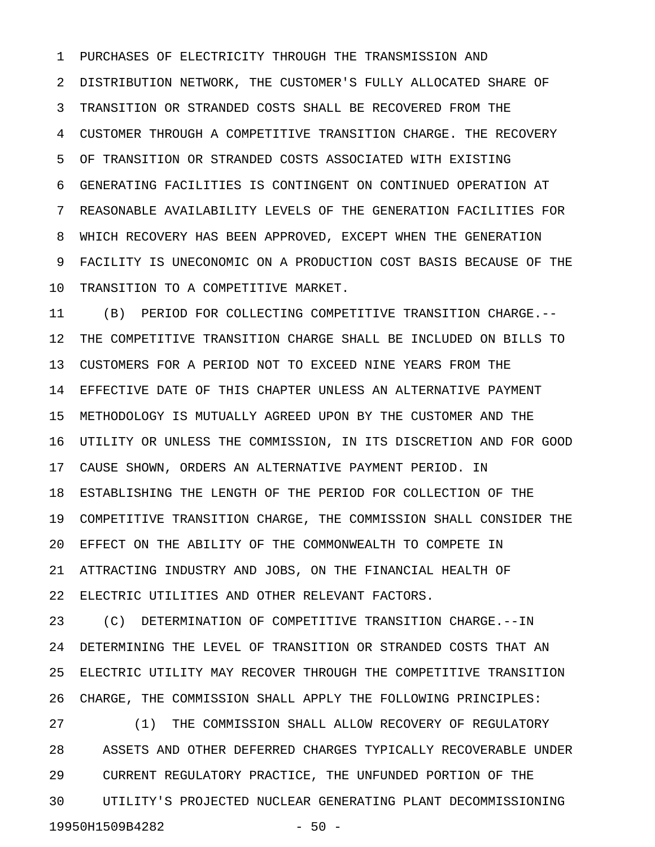1 PURCHASES OF ELECTRICITY THROUGH THE TRANSMISSION AND 2 DISTRIBUTION NETWORK, THE CUSTOMER'S FULLY ALLOCATED SHARE OF 3 TRANSITION OR STRANDED COSTS SHALL BE RECOVERED FROM THE 4 CUSTOMER THROUGH A COMPETITIVE TRANSITION CHARGE. THE RECOVERY 5 OF TRANSITION OR STRANDED COSTS ASSOCIATED WITH EXISTING 6 GENERATING FACILITIES IS CONTINGENT ON CONTINUED OPERATION AT 7 REASONABLE AVAILABILITY LEVELS OF THE GENERATION FACILITIES FOR 8 WHICH RECOVERY HAS BEEN APPROVED, EXCEPT WHEN THE GENERATION 9 FACILITY IS UNECONOMIC ON A PRODUCTION COST BASIS BECAUSE OF THE 10 TRANSITION TO A COMPETITIVE MARKET.

11 (B) PERIOD FOR COLLECTING COMPETITIVE TRANSITION CHARGE.-- 12 THE COMPETITIVE TRANSITION CHARGE SHALL BE INCLUDED ON BILLS TO 13 CUSTOMERS FOR A PERIOD NOT TO EXCEED NINE YEARS FROM THE 14 EFFECTIVE DATE OF THIS CHAPTER UNLESS AN ALTERNATIVE PAYMENT 15 METHODOLOGY IS MUTUALLY AGREED UPON BY THE CUSTOMER AND THE 16 UTILITY OR UNLESS THE COMMISSION, IN ITS DISCRETION AND FOR GOOD 17 CAUSE SHOWN, ORDERS AN ALTERNATIVE PAYMENT PERIOD. IN 18 ESTABLISHING THE LENGTH OF THE PERIOD FOR COLLECTION OF THE 19 COMPETITIVE TRANSITION CHARGE, THE COMMISSION SHALL CONSIDER THE 20 EFFECT ON THE ABILITY OF THE COMMONWEALTH TO COMPETE IN 21 ATTRACTING INDUSTRY AND JOBS, ON THE FINANCIAL HEALTH OF 22 ELECTRIC UTILITIES AND OTHER RELEVANT FACTORS.

23 (C) DETERMINATION OF COMPETITIVE TRANSITION CHARGE.--IN 24 DETERMINING THE LEVEL OF TRANSITION OR STRANDED COSTS THAT AN 25 ELECTRIC UTILITY MAY RECOVER THROUGH THE COMPETITIVE TRANSITION 26 CHARGE, THE COMMISSION SHALL APPLY THE FOLLOWING PRINCIPLES:

27 (1) THE COMMISSION SHALL ALLOW RECOVERY OF REGULATORY 28 ASSETS AND OTHER DEFERRED CHARGES TYPICALLY RECOVERABLE UNDER 29 CURRENT REGULATORY PRACTICE, THE UNFUNDED PORTION OF THE 30 UTILITY'S PROJECTED NUCLEAR GENERATING PLANT DECOMMISSIONING 19950H1509B4282 - 50 -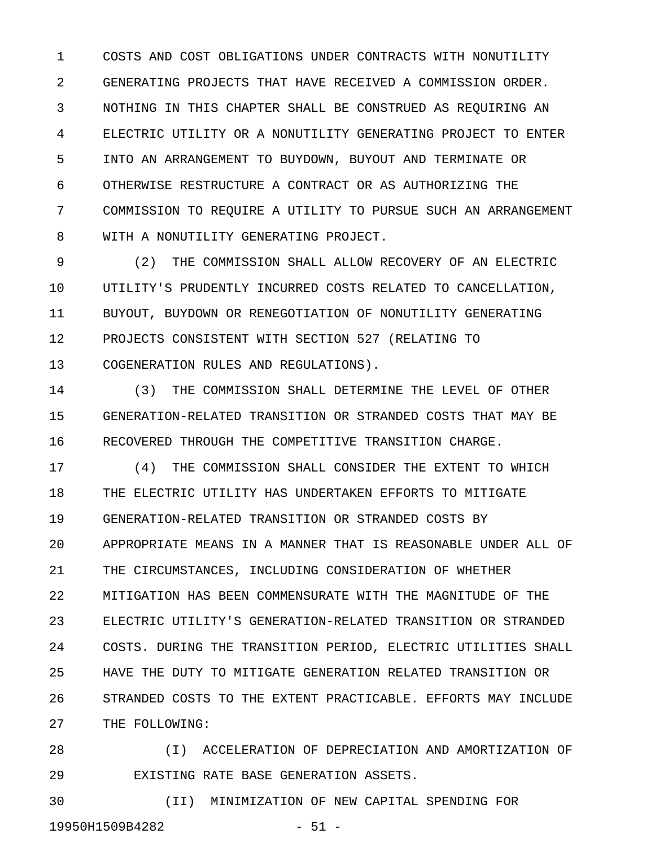1 COSTS AND COST OBLIGATIONS UNDER CONTRACTS WITH NONUTILITY 2 GENERATING PROJECTS THAT HAVE RECEIVED A COMMISSION ORDER. 3 NOTHING IN THIS CHAPTER SHALL BE CONSTRUED AS REQUIRING AN 4 ELECTRIC UTILITY OR A NONUTILITY GENERATING PROJECT TO ENTER 5 INTO AN ARRANGEMENT TO BUYDOWN, BUYOUT AND TERMINATE OR 6 OTHERWISE RESTRUCTURE A CONTRACT OR AS AUTHORIZING THE 7 COMMISSION TO REQUIRE A UTILITY TO PURSUE SUCH AN ARRANGEMENT 8 WITH A NONUTILITY GENERATING PROJECT.

9 (2) THE COMMISSION SHALL ALLOW RECOVERY OF AN ELECTRIC 10 UTILITY'S PRUDENTLY INCURRED COSTS RELATED TO CANCELLATION, 11 BUYOUT, BUYDOWN OR RENEGOTIATION OF NONUTILITY GENERATING 12 PROJECTS CONSISTENT WITH SECTION 527 (RELATING TO 13 COGENERATION RULES AND REGULATIONS).

14 (3) THE COMMISSION SHALL DETERMINE THE LEVEL OF OTHER 15 GENERATION-RELATED TRANSITION OR STRANDED COSTS THAT MAY BE 16 RECOVERED THROUGH THE COMPETITIVE TRANSITION CHARGE.

17 (4) THE COMMISSION SHALL CONSIDER THE EXTENT TO WHICH 18 THE ELECTRIC UTILITY HAS UNDERTAKEN EFFORTS TO MITIGATE 19 GENERATION-RELATED TRANSITION OR STRANDED COSTS BY 20 APPROPRIATE MEANS IN A MANNER THAT IS REASONABLE UNDER ALL OF 21 THE CIRCUMSTANCES, INCLUDING CONSIDERATION OF WHETHER 22 MITIGATION HAS BEEN COMMENSURATE WITH THE MAGNITUDE OF THE 23 ELECTRIC UTILITY'S GENERATION-RELATED TRANSITION OR STRANDED 24 COSTS. DURING THE TRANSITION PERIOD, ELECTRIC UTILITIES SHALL 25 HAVE THE DUTY TO MITIGATE GENERATION RELATED TRANSITION OR 26 STRANDED COSTS TO THE EXTENT PRACTICABLE. EFFORTS MAY INCLUDE 27 THE FOLLOWING:

28 (I) ACCELERATION OF DEPRECIATION AND AMORTIZATION OF 29 EXISTING RATE BASE GENERATION ASSETS.

30 (II) MINIMIZATION OF NEW CAPITAL SPENDING FOR 19950H1509B4282 - 51 -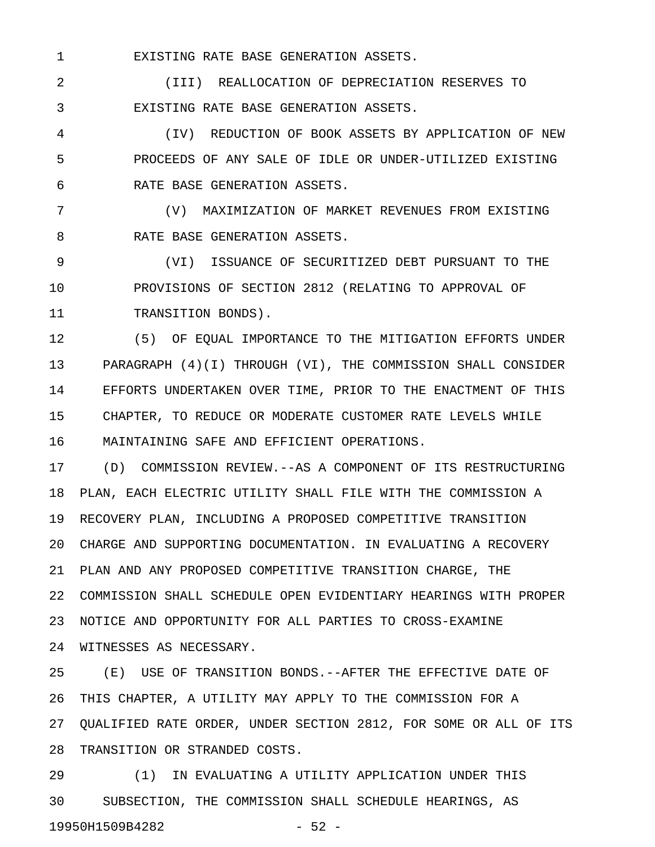1 EXISTING RATE BASE GENERATION ASSETS.

2 (III) REALLOCATION OF DEPRECIATION RESERVES TO 3 EXISTING RATE BASE GENERATION ASSETS.

4 (IV) REDUCTION OF BOOK ASSETS BY APPLICATION OF NEW 5 PROCEEDS OF ANY SALE OF IDLE OR UNDER-UTILIZED EXISTING 6 RATE BASE GENERATION ASSETS.

7 (V) MAXIMIZATION OF MARKET REVENUES FROM EXISTING 8 RATE BASE GENERATION ASSETS.

9 (VI) ISSUANCE OF SECURITIZED DEBT PURSUANT TO THE 10 PROVISIONS OF SECTION 2812 (RELATING TO APPROVAL OF 11 TRANSITION BONDS).

12 (5) OF EQUAL IMPORTANCE TO THE MITIGATION EFFORTS UNDER 13 PARAGRAPH (4)(I) THROUGH (VI), THE COMMISSION SHALL CONSIDER 14 EFFORTS UNDERTAKEN OVER TIME, PRIOR TO THE ENACTMENT OF THIS 15 CHAPTER, TO REDUCE OR MODERATE CUSTOMER RATE LEVELS WHILE 16 MAINTAINING SAFE AND EFFICIENT OPERATIONS.

17 (D) COMMISSION REVIEW.--AS A COMPONENT OF ITS RESTRUCTURING 18 PLAN, EACH ELECTRIC UTILITY SHALL FILE WITH THE COMMISSION A 19 RECOVERY PLAN, INCLUDING A PROPOSED COMPETITIVE TRANSITION 20 CHARGE AND SUPPORTING DOCUMENTATION. IN EVALUATING A RECOVERY 21 PLAN AND ANY PROPOSED COMPETITIVE TRANSITION CHARGE, THE 22 COMMISSION SHALL SCHEDULE OPEN EVIDENTIARY HEARINGS WITH PROPER 23 NOTICE AND OPPORTUNITY FOR ALL PARTIES TO CROSS-EXAMINE 24 WITNESSES AS NECESSARY.

25 (E) USE OF TRANSITION BONDS.--AFTER THE EFFECTIVE DATE OF 26 THIS CHAPTER, A UTILITY MAY APPLY TO THE COMMISSION FOR A 27 QUALIFIED RATE ORDER, UNDER SECTION 2812, FOR SOME OR ALL OF ITS 28 TRANSITION OR STRANDED COSTS.

29 (1) IN EVALUATING A UTILITY APPLICATION UNDER THIS 30 SUBSECTION, THE COMMISSION SHALL SCHEDULE HEARINGS, AS 19950H1509B4282 - 52 -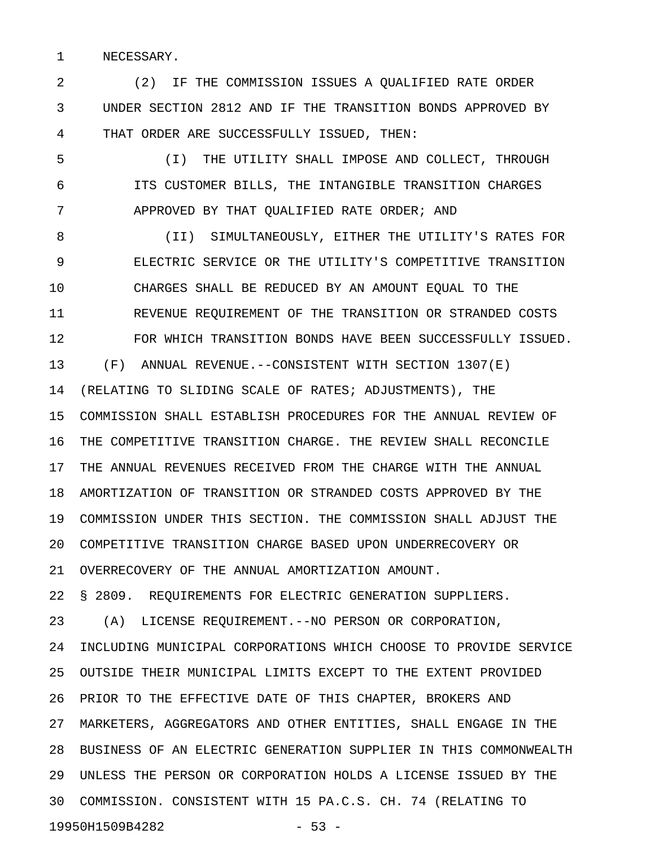1 NECESSARY.

2 (2) IF THE COMMISSION ISSUES A QUALIFIED RATE ORDER 3 UNDER SECTION 2812 AND IF THE TRANSITION BONDS APPROVED BY 4 THAT ORDER ARE SUCCESSFULLY ISSUED, THEN:

5 (I) THE UTILITY SHALL IMPOSE AND COLLECT, THROUGH 6 ITS CUSTOMER BILLS, THE INTANGIBLE TRANSITION CHARGES 7 APPROVED BY THAT QUALIFIED RATE ORDER; AND

8 (II) SIMULTANEOUSLY, EITHER THE UTILITY'S RATES FOR 9 ELECTRIC SERVICE OR THE UTILITY'S COMPETITIVE TRANSITION 10 CHARGES SHALL BE REDUCED BY AN AMOUNT EQUAL TO THE 11 REVENUE REQUIREMENT OF THE TRANSITION OR STRANDED COSTS 12 FOR WHICH TRANSITION BONDS HAVE BEEN SUCCESSFULLY ISSUED. 13 (F) ANNUAL REVENUE.--CONSISTENT WITH SECTION 1307(E) 14 (RELATING TO SLIDING SCALE OF RATES; ADJUSTMENTS), THE 15 COMMISSION SHALL ESTABLISH PROCEDURES FOR THE ANNUAL REVIEW OF 16 THE COMPETITIVE TRANSITION CHARGE. THE REVIEW SHALL RECONCILE 17 THE ANNUAL REVENUES RECEIVED FROM THE CHARGE WITH THE ANNUAL 18 AMORTIZATION OF TRANSITION OR STRANDED COSTS APPROVED BY THE 19 COMMISSION UNDER THIS SECTION. THE COMMISSION SHALL ADJUST THE 20 COMPETITIVE TRANSITION CHARGE BASED UPON UNDERRECOVERY OR 21 OVERRECOVERY OF THE ANNUAL AMORTIZATION AMOUNT. 22 § 2809. REQUIREMENTS FOR ELECTRIC GENERATION SUPPLIERS. 23 (A) LICENSE REQUIREMENT.--NO PERSON OR CORPORATION, 24 INCLUDING MUNICIPAL CORPORATIONS WHICH CHOOSE TO PROVIDE SERVICE 25 OUTSIDE THEIR MUNICIPAL LIMITS EXCEPT TO THE EXTENT PROVIDED 26 PRIOR TO THE EFFECTIVE DATE OF THIS CHAPTER, BROKERS AND 27 MARKETERS, AGGREGATORS AND OTHER ENTITIES, SHALL ENGAGE IN THE

28 BUSINESS OF AN ELECTRIC GENERATION SUPPLIER IN THIS COMMONWEALTH 29 UNLESS THE PERSON OR CORPORATION HOLDS A LICENSE ISSUED BY THE 30 COMMISSION. CONSISTENT WITH 15 PA.C.S. CH. 74 (RELATING TO

19950H1509B4282 - 53 -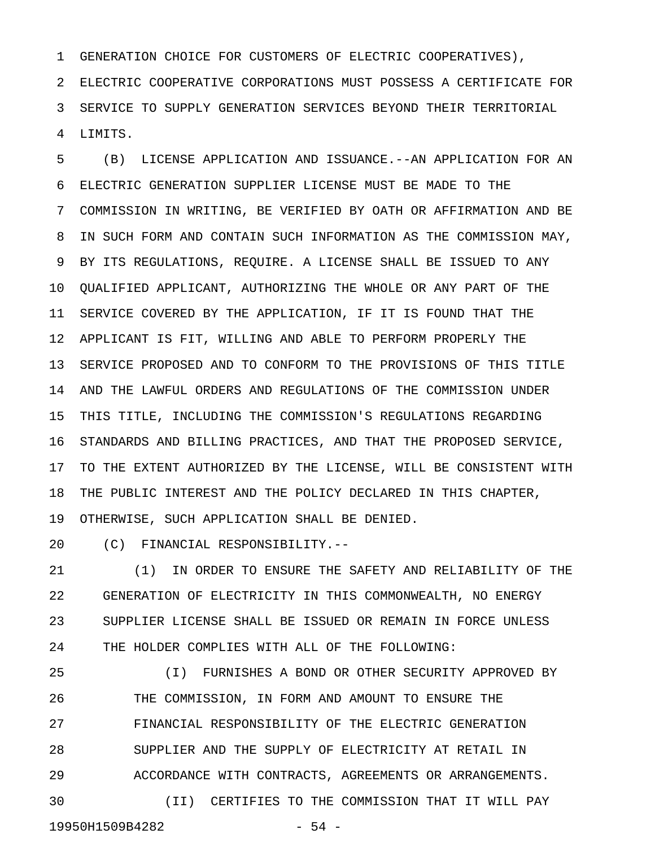1 GENERATION CHOICE FOR CUSTOMERS OF ELECTRIC COOPERATIVES),

2 ELECTRIC COOPERATIVE CORPORATIONS MUST POSSESS A CERTIFICATE FOR 3 SERVICE TO SUPPLY GENERATION SERVICES BEYOND THEIR TERRITORIAL 4 LIMITS.

5 (B) LICENSE APPLICATION AND ISSUANCE.--AN APPLICATION FOR AN 6 ELECTRIC GENERATION SUPPLIER LICENSE MUST BE MADE TO THE 7 COMMISSION IN WRITING, BE VERIFIED BY OATH OR AFFIRMATION AND BE 8 IN SUCH FORM AND CONTAIN SUCH INFORMATION AS THE COMMISSION MAY, 9 BY ITS REGULATIONS, REQUIRE. A LICENSE SHALL BE ISSUED TO ANY 10 QUALIFIED APPLICANT, AUTHORIZING THE WHOLE OR ANY PART OF THE 11 SERVICE COVERED BY THE APPLICATION, IF IT IS FOUND THAT THE 12 APPLICANT IS FIT, WILLING AND ABLE TO PERFORM PROPERLY THE 13 SERVICE PROPOSED AND TO CONFORM TO THE PROVISIONS OF THIS TITLE 14 AND THE LAWFUL ORDERS AND REGULATIONS OF THE COMMISSION UNDER 15 THIS TITLE, INCLUDING THE COMMISSION'S REGULATIONS REGARDING 16 STANDARDS AND BILLING PRACTICES, AND THAT THE PROPOSED SERVICE, 17 TO THE EXTENT AUTHORIZED BY THE LICENSE, WILL BE CONSISTENT WITH 18 THE PUBLIC INTEREST AND THE POLICY DECLARED IN THIS CHAPTER, 19 OTHERWISE, SUCH APPLICATION SHALL BE DENIED.

20 (C) FINANCIAL RESPONSIBILITY.--

21 (1) IN ORDER TO ENSURE THE SAFETY AND RELIABILITY OF THE 22 GENERATION OF ELECTRICITY IN THIS COMMONWEALTH, NO ENERGY 23 SUPPLIER LICENSE SHALL BE ISSUED OR REMAIN IN FORCE UNLESS 24 THE HOLDER COMPLIES WITH ALL OF THE FOLLOWING:

25 (I) FURNISHES A BOND OR OTHER SECURITY APPROVED BY 26 THE COMMISSION, IN FORM AND AMOUNT TO ENSURE THE 27 FINANCIAL RESPONSIBILITY OF THE ELECTRIC GENERATION 28 SUPPLIER AND THE SUPPLY OF ELECTRICITY AT RETAIL IN 29 ACCORDANCE WITH CONTRACTS, AGREEMENTS OR ARRANGEMENTS. 30 (II) CERTIFIES TO THE COMMISSION THAT IT WILL PAY 19950H1509B4282 - 54 -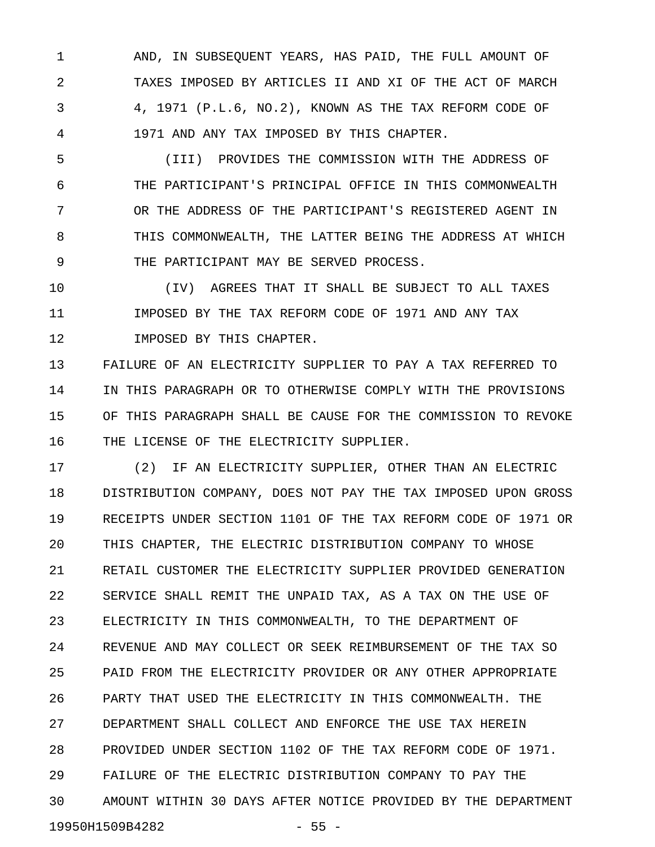1 AND, IN SUBSEQUENT YEARS, HAS PAID, THE FULL AMOUNT OF 2 TAXES IMPOSED BY ARTICLES II AND XI OF THE ACT OF MARCH 3 4, 1971 (P.L.6, NO.2), KNOWN AS THE TAX REFORM CODE OF 4 1971 AND ANY TAX IMPOSED BY THIS CHAPTER.

5 (III) PROVIDES THE COMMISSION WITH THE ADDRESS OF 6 THE PARTICIPANT'S PRINCIPAL OFFICE IN THIS COMMONWEALTH 7 OR THE ADDRESS OF THE PARTICIPANT'S REGISTERED AGENT IN 8 THIS COMMONWEALTH, THE LATTER BEING THE ADDRESS AT WHICH 9 THE PARTICIPANT MAY BE SERVED PROCESS.

10 (IV) AGREES THAT IT SHALL BE SUBJECT TO ALL TAXES 11 IMPOSED BY THE TAX REFORM CODE OF 1971 AND ANY TAX 12 IMPOSED BY THIS CHAPTER.

13 FAILURE OF AN ELECTRICITY SUPPLIER TO PAY A TAX REFERRED TO 14 IN THIS PARAGRAPH OR TO OTHERWISE COMPLY WITH THE PROVISIONS 15 OF THIS PARAGRAPH SHALL BE CAUSE FOR THE COMMISSION TO REVOKE 16 THE LICENSE OF THE ELECTRICITY SUPPLIER.

17 (2) IF AN ELECTRICITY SUPPLIER, OTHER THAN AN ELECTRIC 18 DISTRIBUTION COMPANY, DOES NOT PAY THE TAX IMPOSED UPON GROSS 19 RECEIPTS UNDER SECTION 1101 OF THE TAX REFORM CODE OF 1971 OR 20 THIS CHAPTER, THE ELECTRIC DISTRIBUTION COMPANY TO WHOSE 21 RETAIL CUSTOMER THE ELECTRICITY SUPPLIER PROVIDED GENERATION 22 SERVICE SHALL REMIT THE UNPAID TAX, AS A TAX ON THE USE OF 23 ELECTRICITY IN THIS COMMONWEALTH, TO THE DEPARTMENT OF 24 REVENUE AND MAY COLLECT OR SEEK REIMBURSEMENT OF THE TAX SO 25 PAID FROM THE ELECTRICITY PROVIDER OR ANY OTHER APPROPRIATE 26 PARTY THAT USED THE ELECTRICITY IN THIS COMMONWEALTH. THE 27 DEPARTMENT SHALL COLLECT AND ENFORCE THE USE TAX HEREIN 28 PROVIDED UNDER SECTION 1102 OF THE TAX REFORM CODE OF 1971. 29 FAILURE OF THE ELECTRIC DISTRIBUTION COMPANY TO PAY THE 30 AMOUNT WITHIN 30 DAYS AFTER NOTICE PROVIDED BY THE DEPARTMENT 19950H1509B4282 - 55 -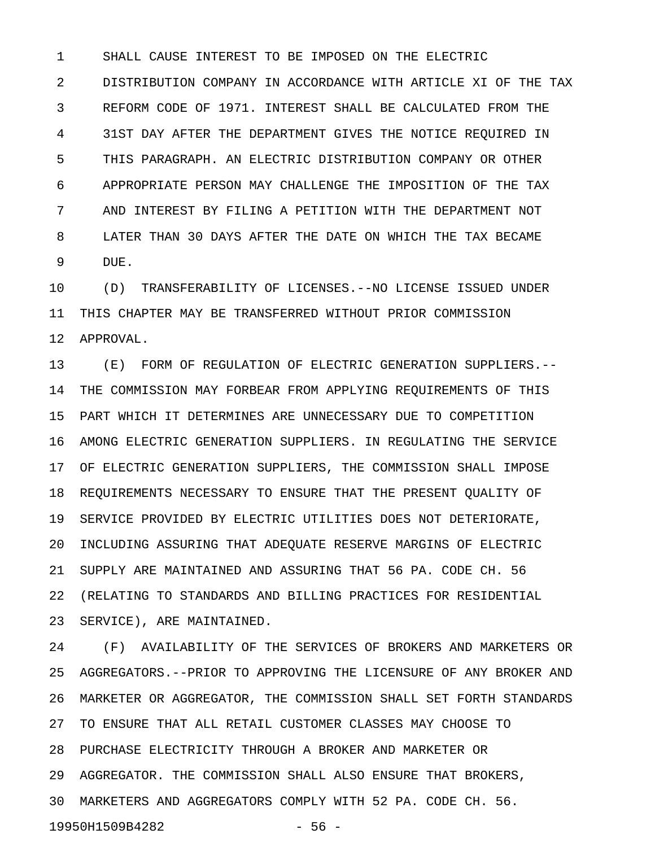1 SHALL CAUSE INTEREST TO BE IMPOSED ON THE ELECTRIC 2 DISTRIBUTION COMPANY IN ACCORDANCE WITH ARTICLE XI OF THE TAX 3 REFORM CODE OF 1971. INTEREST SHALL BE CALCULATED FROM THE 4 31ST DAY AFTER THE DEPARTMENT GIVES THE NOTICE REQUIRED IN 5 THIS PARAGRAPH. AN ELECTRIC DISTRIBUTION COMPANY OR OTHER 6 APPROPRIATE PERSON MAY CHALLENGE THE IMPOSITION OF THE TAX 7 AND INTEREST BY FILING A PETITION WITH THE DEPARTMENT NOT 8 LATER THAN 30 DAYS AFTER THE DATE ON WHICH THE TAX BECAME 9 DUE.

10 (D) TRANSFERABILITY OF LICENSES.--NO LICENSE ISSUED UNDER 11 THIS CHAPTER MAY BE TRANSFERRED WITHOUT PRIOR COMMISSION 12 APPROVAL.

13 (E) FORM OF REGULATION OF ELECTRIC GENERATION SUPPLIERS.-- 14 THE COMMISSION MAY FORBEAR FROM APPLYING REQUIREMENTS OF THIS 15 PART WHICH IT DETERMINES ARE UNNECESSARY DUE TO COMPETITION 16 AMONG ELECTRIC GENERATION SUPPLIERS. IN REGULATING THE SERVICE 17 OF ELECTRIC GENERATION SUPPLIERS, THE COMMISSION SHALL IMPOSE 18 REQUIREMENTS NECESSARY TO ENSURE THAT THE PRESENT QUALITY OF 19 SERVICE PROVIDED BY ELECTRIC UTILITIES DOES NOT DETERIORATE, 20 INCLUDING ASSURING THAT ADEQUATE RESERVE MARGINS OF ELECTRIC 21 SUPPLY ARE MAINTAINED AND ASSURING THAT 56 PA. CODE CH. 56 22 (RELATING TO STANDARDS AND BILLING PRACTICES FOR RESIDENTIAL 23 SERVICE), ARE MAINTAINED.

24 (F) AVAILABILITY OF THE SERVICES OF BROKERS AND MARKETERS OR 25 AGGREGATORS.--PRIOR TO APPROVING THE LICENSURE OF ANY BROKER AND 26 MARKETER OR AGGREGATOR, THE COMMISSION SHALL SET FORTH STANDARDS 27 TO ENSURE THAT ALL RETAIL CUSTOMER CLASSES MAY CHOOSE TO 28 PURCHASE ELECTRICITY THROUGH A BROKER AND MARKETER OR 29 AGGREGATOR. THE COMMISSION SHALL ALSO ENSURE THAT BROKERS, 30 MARKETERS AND AGGREGATORS COMPLY WITH 52 PA. CODE CH. 56. 19950H1509B4282 - 56 -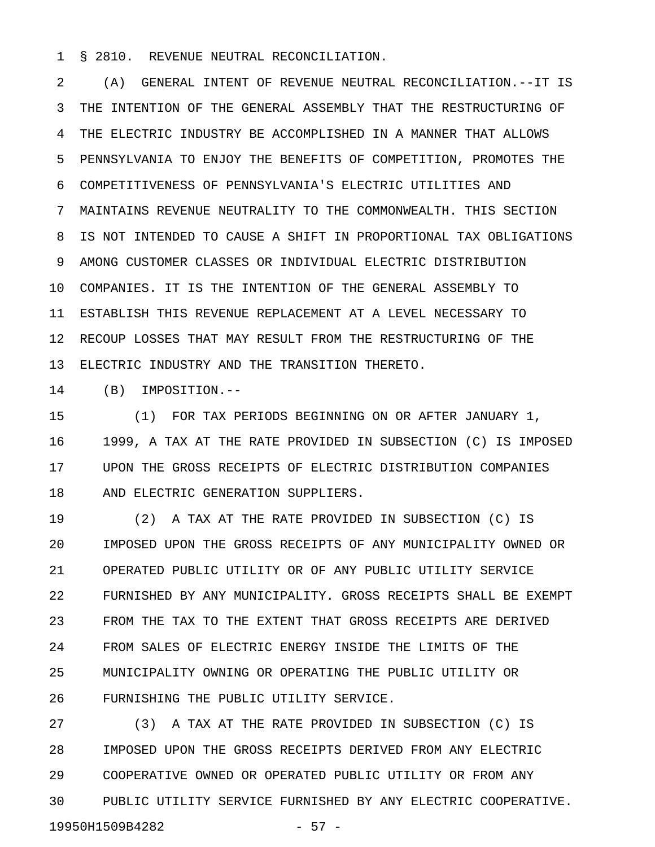1 § 2810. REVENUE NEUTRAL RECONCILIATION.

2 (A) GENERAL INTENT OF REVENUE NEUTRAL RECONCILIATION.--IT IS 3 THE INTENTION OF THE GENERAL ASSEMBLY THAT THE RESTRUCTURING OF 4 THE ELECTRIC INDUSTRY BE ACCOMPLISHED IN A MANNER THAT ALLOWS 5 PENNSYLVANIA TO ENJOY THE BENEFITS OF COMPETITION, PROMOTES THE 6 COMPETITIVENESS OF PENNSYLVANIA'S ELECTRIC UTILITIES AND 7 MAINTAINS REVENUE NEUTRALITY TO THE COMMONWEALTH. THIS SECTION 8 IS NOT INTENDED TO CAUSE A SHIFT IN PROPORTIONAL TAX OBLIGATIONS 9 AMONG CUSTOMER CLASSES OR INDIVIDUAL ELECTRIC DISTRIBUTION 10 COMPANIES. IT IS THE INTENTION OF THE GENERAL ASSEMBLY TO 11 ESTABLISH THIS REVENUE REPLACEMENT AT A LEVEL NECESSARY TO 12 RECOUP LOSSES THAT MAY RESULT FROM THE RESTRUCTURING OF THE 13 ELECTRIC INDUSTRY AND THE TRANSITION THERETO.

14 (B) IMPOSITION.--

15 (1) FOR TAX PERIODS BEGINNING ON OR AFTER JANUARY 1, 16 1999, A TAX AT THE RATE PROVIDED IN SUBSECTION (C) IS IMPOSED 17 UPON THE GROSS RECEIPTS OF ELECTRIC DISTRIBUTION COMPANIES 18 AND ELECTRIC GENERATION SUPPLIERS.

19 (2) A TAX AT THE RATE PROVIDED IN SUBSECTION (C) IS 20 IMPOSED UPON THE GROSS RECEIPTS OF ANY MUNICIPALITY OWNED OR 21 OPERATED PUBLIC UTILITY OR OF ANY PUBLIC UTILITY SERVICE 22 FURNISHED BY ANY MUNICIPALITY. GROSS RECEIPTS SHALL BE EXEMPT 23 FROM THE TAX TO THE EXTENT THAT GROSS RECEIPTS ARE DERIVED 24 FROM SALES OF ELECTRIC ENERGY INSIDE THE LIMITS OF THE 25 MUNICIPALITY OWNING OR OPERATING THE PUBLIC UTILITY OR 26 FURNISHING THE PUBLIC UTILITY SERVICE.

27 (3) A TAX AT THE RATE PROVIDED IN SUBSECTION (C) IS 28 IMPOSED UPON THE GROSS RECEIPTS DERIVED FROM ANY ELECTRIC 29 COOPERATIVE OWNED OR OPERATED PUBLIC UTILITY OR FROM ANY 30 PUBLIC UTILITY SERVICE FURNISHED BY ANY ELECTRIC COOPERATIVE. 19950H1509B4282 - 57 -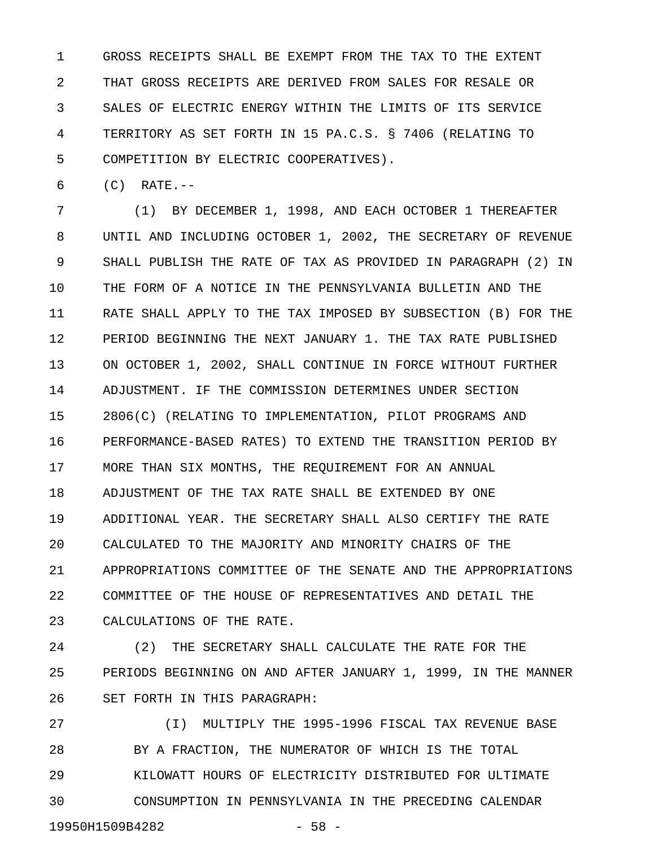1 GROSS RECEIPTS SHALL BE EXEMPT FROM THE TAX TO THE EXTENT 2 THAT GROSS RECEIPTS ARE DERIVED FROM SALES FOR RESALE OR 3 SALES OF ELECTRIC ENERGY WITHIN THE LIMITS OF ITS SERVICE 4 TERRITORY AS SET FORTH IN 15 PA.C.S. § 7406 (RELATING TO 5 COMPETITION BY ELECTRIC COOPERATIVES).

6 (C) RATE.--

7 (1) BY DECEMBER 1, 1998, AND EACH OCTOBER 1 THEREAFTER 8 UNTIL AND INCLUDING OCTOBER 1, 2002, THE SECRETARY OF REVENUE 9 SHALL PUBLISH THE RATE OF TAX AS PROVIDED IN PARAGRAPH (2) IN 10 THE FORM OF A NOTICE IN THE PENNSYLVANIA BULLETIN AND THE 11 RATE SHALL APPLY TO THE TAX IMPOSED BY SUBSECTION (B) FOR THE 12 PERIOD BEGINNING THE NEXT JANUARY 1. THE TAX RATE PUBLISHED 13 ON OCTOBER 1, 2002, SHALL CONTINUE IN FORCE WITHOUT FURTHER 14 ADJUSTMENT. IF THE COMMISSION DETERMINES UNDER SECTION 15 2806(C) (RELATING TO IMPLEMENTATION, PILOT PROGRAMS AND 16 PERFORMANCE-BASED RATES) TO EXTEND THE TRANSITION PERIOD BY 17 MORE THAN SIX MONTHS, THE REQUIREMENT FOR AN ANNUAL 18 ADJUSTMENT OF THE TAX RATE SHALL BE EXTENDED BY ONE 19 ADDITIONAL YEAR. THE SECRETARY SHALL ALSO CERTIFY THE RATE 20 CALCULATED TO THE MAJORITY AND MINORITY CHAIRS OF THE 21 APPROPRIATIONS COMMITTEE OF THE SENATE AND THE APPROPRIATIONS 22 COMMITTEE OF THE HOUSE OF REPRESENTATIVES AND DETAIL THE 23 CALCULATIONS OF THE RATE.

24 (2) THE SECRETARY SHALL CALCULATE THE RATE FOR THE 25 PERIODS BEGINNING ON AND AFTER JANUARY 1, 1999, IN THE MANNER 26 SET FORTH IN THIS PARAGRAPH:

27 (I) MULTIPLY THE 1995-1996 FISCAL TAX REVENUE BASE 28 BY A FRACTION, THE NUMERATOR OF WHICH IS THE TOTAL 29 KILOWATT HOURS OF ELECTRICITY DISTRIBUTED FOR ULTIMATE 30 CONSUMPTION IN PENNSYLVANIA IN THE PRECEDING CALENDAR 19950H1509B4282 - 58 -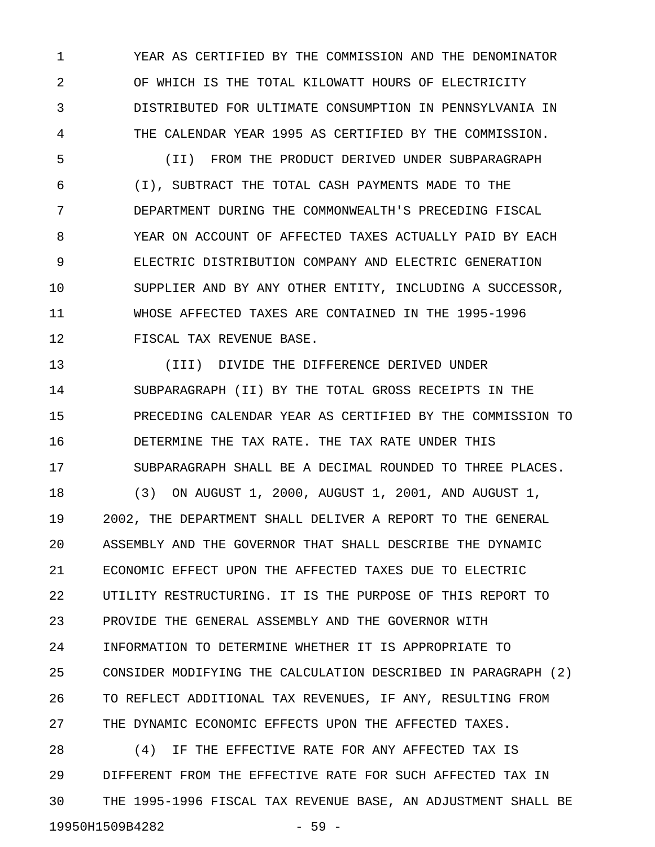1 YEAR AS CERTIFIED BY THE COMMISSION AND THE DENOMINATOR 2 OF WHICH IS THE TOTAL KILOWATT HOURS OF ELECTRICITY 3 DISTRIBUTED FOR ULTIMATE CONSUMPTION IN PENNSYLVANIA IN 4 THE CALENDAR YEAR 1995 AS CERTIFIED BY THE COMMISSION.

5 (II) FROM THE PRODUCT DERIVED UNDER SUBPARAGRAPH 6 (I), SUBTRACT THE TOTAL CASH PAYMENTS MADE TO THE 7 DEPARTMENT DURING THE COMMONWEALTH'S PRECEDING FISCAL 8 YEAR ON ACCOUNT OF AFFECTED TAXES ACTUALLY PAID BY EACH 9 ELECTRIC DISTRIBUTION COMPANY AND ELECTRIC GENERATION 10 SUPPLIER AND BY ANY OTHER ENTITY, INCLUDING A SUCCESSOR, 11 WHOSE AFFECTED TAXES ARE CONTAINED IN THE 1995-1996 12 FISCAL TAX REVENUE BASE.

13 (III) DIVIDE THE DIFFERENCE DERIVED UNDER 14 SUBPARAGRAPH (II) BY THE TOTAL GROSS RECEIPTS IN THE 15 PRECEDING CALENDAR YEAR AS CERTIFIED BY THE COMMISSION TO 16 DETERMINE THE TAX RATE. THE TAX RATE UNDER THIS 17 SUBPARAGRAPH SHALL BE A DECIMAL ROUNDED TO THREE PLACES.

18 (3) ON AUGUST 1, 2000, AUGUST 1, 2001, AND AUGUST 1, 19 2002, THE DEPARTMENT SHALL DELIVER A REPORT TO THE GENERAL 20 ASSEMBLY AND THE GOVERNOR THAT SHALL DESCRIBE THE DYNAMIC 21 ECONOMIC EFFECT UPON THE AFFECTED TAXES DUE TO ELECTRIC 22 UTILITY RESTRUCTURING. IT IS THE PURPOSE OF THIS REPORT TO 23 PROVIDE THE GENERAL ASSEMBLY AND THE GOVERNOR WITH 24 INFORMATION TO DETERMINE WHETHER IT IS APPROPRIATE TO 25 CONSIDER MODIFYING THE CALCULATION DESCRIBED IN PARAGRAPH (2) 26 TO REFLECT ADDITIONAL TAX REVENUES, IF ANY, RESULTING FROM 27 THE DYNAMIC ECONOMIC EFFECTS UPON THE AFFECTED TAXES.

28 (4) IF THE EFFECTIVE RATE FOR ANY AFFECTED TAX IS 29 DIFFERENT FROM THE EFFECTIVE RATE FOR SUCH AFFECTED TAX IN 30 THE 1995-1996 FISCAL TAX REVENUE BASE, AN ADJUSTMENT SHALL BE 19950H1509B4282 - 59 -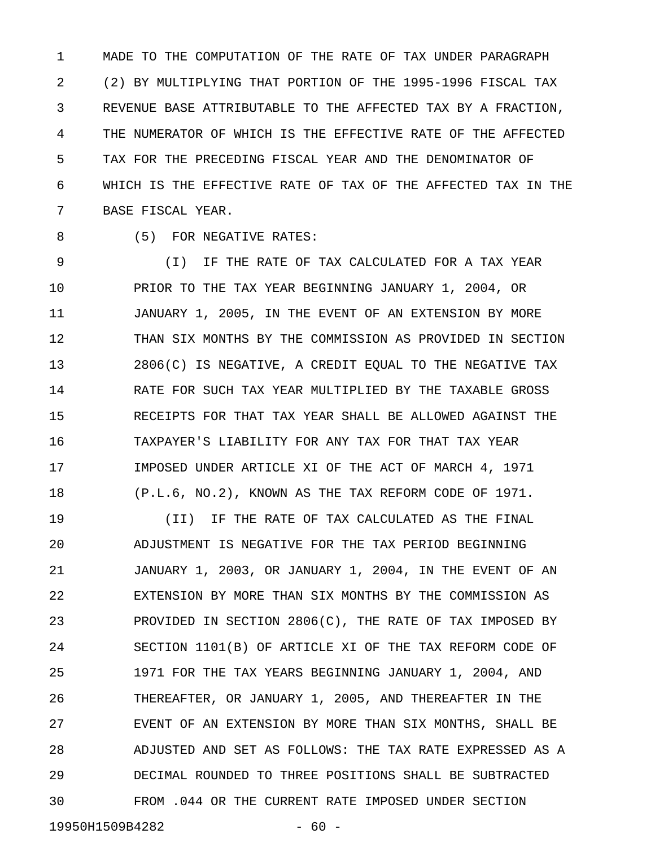1 MADE TO THE COMPUTATION OF THE RATE OF TAX UNDER PARAGRAPH 2 (2) BY MULTIPLYING THAT PORTION OF THE 1995-1996 FISCAL TAX 3 REVENUE BASE ATTRIBUTABLE TO THE AFFECTED TAX BY A FRACTION, 4 THE NUMERATOR OF WHICH IS THE EFFECTIVE RATE OF THE AFFECTED 5 TAX FOR THE PRECEDING FISCAL YEAR AND THE DENOMINATOR OF 6 WHICH IS THE EFFECTIVE RATE OF TAX OF THE AFFECTED TAX IN THE 7 BASE FISCAL YEAR.

8 (5) FOR NEGATIVE RATES:

9 (I) IF THE RATE OF TAX CALCULATED FOR A TAX YEAR 10 PRIOR TO THE TAX YEAR BEGINNING JANUARY 1, 2004, OR 11 JANUARY 1, 2005, IN THE EVENT OF AN EXTENSION BY MORE 12 THAN SIX MONTHS BY THE COMMISSION AS PROVIDED IN SECTION 13 2806(C) IS NEGATIVE, A CREDIT EQUAL TO THE NEGATIVE TAX 14 RATE FOR SUCH TAX YEAR MULTIPLIED BY THE TAXABLE GROSS 15 RECEIPTS FOR THAT TAX YEAR SHALL BE ALLOWED AGAINST THE 16 TAXPAYER'S LIABILITY FOR ANY TAX FOR THAT TAX YEAR 17 IMPOSED UNDER ARTICLE XI OF THE ACT OF MARCH 4, 1971 18 (P.L.6, NO.2), KNOWN AS THE TAX REFORM CODE OF 1971.

19 (II) IF THE RATE OF TAX CALCULATED AS THE FINAL 20 ADJUSTMENT IS NEGATIVE FOR THE TAX PERIOD BEGINNING 21 JANUARY 1, 2003, OR JANUARY 1, 2004, IN THE EVENT OF AN 22 EXTENSION BY MORE THAN SIX MONTHS BY THE COMMISSION AS 23 PROVIDED IN SECTION 2806(C), THE RATE OF TAX IMPOSED BY 24 SECTION 1101(B) OF ARTICLE XI OF THE TAX REFORM CODE OF 25 1971 FOR THE TAX YEARS BEGINNING JANUARY 1, 2004, AND 26 THEREAFTER, OR JANUARY 1, 2005, AND THEREAFTER IN THE 27 EVENT OF AN EXTENSION BY MORE THAN SIX MONTHS, SHALL BE 28 ADJUSTED AND SET AS FOLLOWS: THE TAX RATE EXPRESSED AS A 29 DECIMAL ROUNDED TO THREE POSITIONS SHALL BE SUBTRACTED 30 FROM .044 OR THE CURRENT RATE IMPOSED UNDER SECTION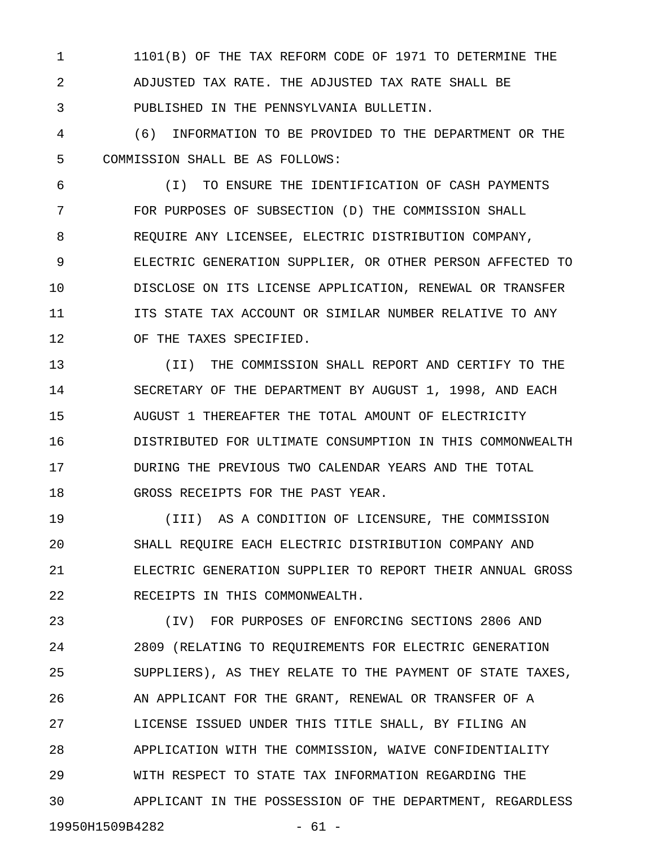1 1101(B) OF THE TAX REFORM CODE OF 1971 TO DETERMINE THE 2 ADJUSTED TAX RATE. THE ADJUSTED TAX RATE SHALL BE 3 PUBLISHED IN THE PENNSYLVANIA BULLETIN.

4 (6) INFORMATION TO BE PROVIDED TO THE DEPARTMENT OR THE 5 COMMISSION SHALL BE AS FOLLOWS:

6 (I) TO ENSURE THE IDENTIFICATION OF CASH PAYMENTS 7 FOR PURPOSES OF SUBSECTION (D) THE COMMISSION SHALL 8 REQUIRE ANY LICENSEE, ELECTRIC DISTRIBUTION COMPANY, 9 ELECTRIC GENERATION SUPPLIER, OR OTHER PERSON AFFECTED TO 10 DISCLOSE ON ITS LICENSE APPLICATION, RENEWAL OR TRANSFER 11 ITS STATE TAX ACCOUNT OR SIMILAR NUMBER RELATIVE TO ANY 12 OF THE TAXES SPECIFIED.

13 (II) THE COMMISSION SHALL REPORT AND CERTIFY TO THE 14 SECRETARY OF THE DEPARTMENT BY AUGUST 1, 1998, AND EACH 15 AUGUST 1 THEREAFTER THE TOTAL AMOUNT OF ELECTRICITY 16 DISTRIBUTED FOR ULTIMATE CONSUMPTION IN THIS COMMONWEALTH 17 DURING THE PREVIOUS TWO CALENDAR YEARS AND THE TOTAL 18 GROSS RECEIPTS FOR THE PAST YEAR.

19 (III) AS A CONDITION OF LICENSURE, THE COMMISSION 20 SHALL REQUIRE EACH ELECTRIC DISTRIBUTION COMPANY AND 21 ELECTRIC GENERATION SUPPLIER TO REPORT THEIR ANNUAL GROSS 22 RECEIPTS IN THIS COMMONWEALTH.

23 (IV) FOR PURPOSES OF ENFORCING SECTIONS 2806 AND 24 2809 (RELATING TO REQUIREMENTS FOR ELECTRIC GENERATION 25 SUPPLIERS), AS THEY RELATE TO THE PAYMENT OF STATE TAXES, 26 AN APPLICANT FOR THE GRANT, RENEWAL OR TRANSFER OF A 27 LICENSE ISSUED UNDER THIS TITLE SHALL, BY FILING AN 28 APPLICATION WITH THE COMMISSION, WAIVE CONFIDENTIALITY 29 WITH RESPECT TO STATE TAX INFORMATION REGARDING THE 30 APPLICANT IN THE POSSESSION OF THE DEPARTMENT, REGARDLESS

19950H1509B4282 - 61 -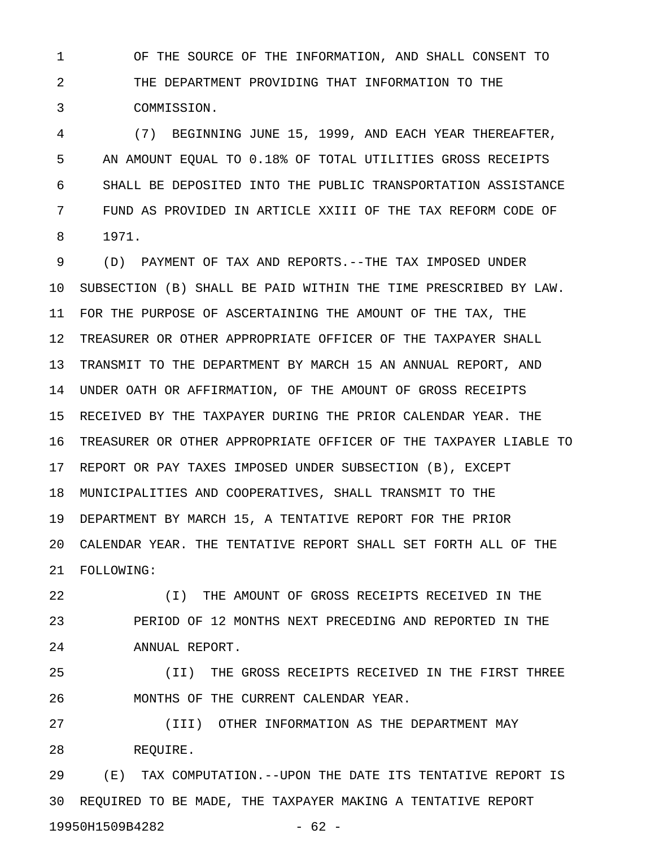1 OF THE SOURCE OF THE INFORMATION, AND SHALL CONSENT TO 2 THE DEPARTMENT PROVIDING THAT INFORMATION TO THE 3 COMMISSION.

4 (7) BEGINNING JUNE 15, 1999, AND EACH YEAR THEREAFTER, 5 AN AMOUNT EQUAL TO 0.18% OF TOTAL UTILITIES GROSS RECEIPTS 6 SHALL BE DEPOSITED INTO THE PUBLIC TRANSPORTATION ASSISTANCE 7 FUND AS PROVIDED IN ARTICLE XXIII OF THE TAX REFORM CODE OF 8 1971.

9 (D) PAYMENT OF TAX AND REPORTS.--THE TAX IMPOSED UNDER 10 SUBSECTION (B) SHALL BE PAID WITHIN THE TIME PRESCRIBED BY LAW. 11 FOR THE PURPOSE OF ASCERTAINING THE AMOUNT OF THE TAX, THE 12 TREASURER OR OTHER APPROPRIATE OFFICER OF THE TAXPAYER SHALL 13 TRANSMIT TO THE DEPARTMENT BY MARCH 15 AN ANNUAL REPORT, AND 14 UNDER OATH OR AFFIRMATION, OF THE AMOUNT OF GROSS RECEIPTS 15 RECEIVED BY THE TAXPAYER DURING THE PRIOR CALENDAR YEAR. THE 16 TREASURER OR OTHER APPROPRIATE OFFICER OF THE TAXPAYER LIABLE TO 17 REPORT OR PAY TAXES IMPOSED UNDER SUBSECTION (B), EXCEPT 18 MUNICIPALITIES AND COOPERATIVES, SHALL TRANSMIT TO THE 19 DEPARTMENT BY MARCH 15, A TENTATIVE REPORT FOR THE PRIOR 20 CALENDAR YEAR. THE TENTATIVE REPORT SHALL SET FORTH ALL OF THE 21 FOLLOWING:

22 (I) THE AMOUNT OF GROSS RECEIPTS RECEIVED IN THE 23 PERIOD OF 12 MONTHS NEXT PRECEDING AND REPORTED IN THE 24 ANNUAL REPORT.

25 (II) THE GROSS RECEIPTS RECEIVED IN THE FIRST THREE 26 MONTHS OF THE CURRENT CALENDAR YEAR.

27 (III) OTHER INFORMATION AS THE DEPARTMENT MAY 28 REQUIRE.

29 (E) TAX COMPUTATION.--UPON THE DATE ITS TENTATIVE REPORT IS 30 REQUIRED TO BE MADE, THE TAXPAYER MAKING A TENTATIVE REPORT 19950H1509B4282 - 62 -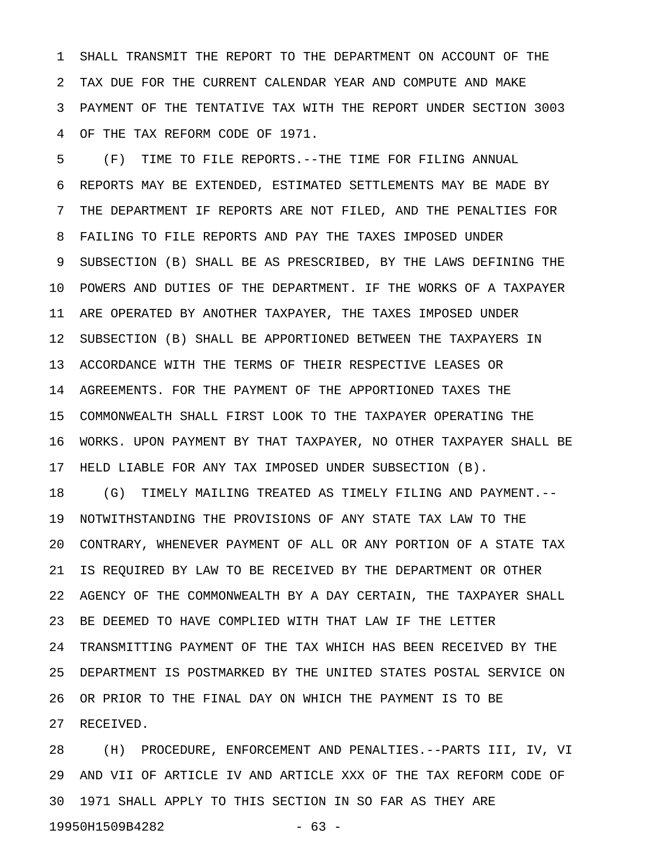1 SHALL TRANSMIT THE REPORT TO THE DEPARTMENT ON ACCOUNT OF THE 2 TAX DUE FOR THE CURRENT CALENDAR YEAR AND COMPUTE AND MAKE 3 PAYMENT OF THE TENTATIVE TAX WITH THE REPORT UNDER SECTION 3003 4 OF THE TAX REFORM CODE OF 1971.

5 (F) TIME TO FILE REPORTS.--THE TIME FOR FILING ANNUAL 6 REPORTS MAY BE EXTENDED, ESTIMATED SETTLEMENTS MAY BE MADE BY 7 THE DEPARTMENT IF REPORTS ARE NOT FILED, AND THE PENALTIES FOR 8 FAILING TO FILE REPORTS AND PAY THE TAXES IMPOSED UNDER 9 SUBSECTION (B) SHALL BE AS PRESCRIBED, BY THE LAWS DEFINING THE 10 POWERS AND DUTIES OF THE DEPARTMENT. IF THE WORKS OF A TAXPAYER 11 ARE OPERATED BY ANOTHER TAXPAYER, THE TAXES IMPOSED UNDER 12 SUBSECTION (B) SHALL BE APPORTIONED BETWEEN THE TAXPAYERS IN 13 ACCORDANCE WITH THE TERMS OF THEIR RESPECTIVE LEASES OR 14 AGREEMENTS. FOR THE PAYMENT OF THE APPORTIONED TAXES THE 15 COMMONWEALTH SHALL FIRST LOOK TO THE TAXPAYER OPERATING THE 16 WORKS. UPON PAYMENT BY THAT TAXPAYER, NO OTHER TAXPAYER SHALL BE 17 HELD LIABLE FOR ANY TAX IMPOSED UNDER SUBSECTION (B).

18 (G) TIMELY MAILING TREATED AS TIMELY FILING AND PAYMENT.-- 19 NOTWITHSTANDING THE PROVISIONS OF ANY STATE TAX LAW TO THE 20 CONTRARY, WHENEVER PAYMENT OF ALL OR ANY PORTION OF A STATE TAX 21 IS REQUIRED BY LAW TO BE RECEIVED BY THE DEPARTMENT OR OTHER 22 AGENCY OF THE COMMONWEALTH BY A DAY CERTAIN, THE TAXPAYER SHALL 23 BE DEEMED TO HAVE COMPLIED WITH THAT LAW IF THE LETTER 24 TRANSMITTING PAYMENT OF THE TAX WHICH HAS BEEN RECEIVED BY THE 25 DEPARTMENT IS POSTMARKED BY THE UNITED STATES POSTAL SERVICE ON 26 OR PRIOR TO THE FINAL DAY ON WHICH THE PAYMENT IS TO BE 27 RECEIVED.

28 (H) PROCEDURE, ENFORCEMENT AND PENALTIES.--PARTS III, IV, VI 29 AND VII OF ARTICLE IV AND ARTICLE XXX OF THE TAX REFORM CODE OF 30 1971 SHALL APPLY TO THIS SECTION IN SO FAR AS THEY ARE 19950H1509B4282 - 63 -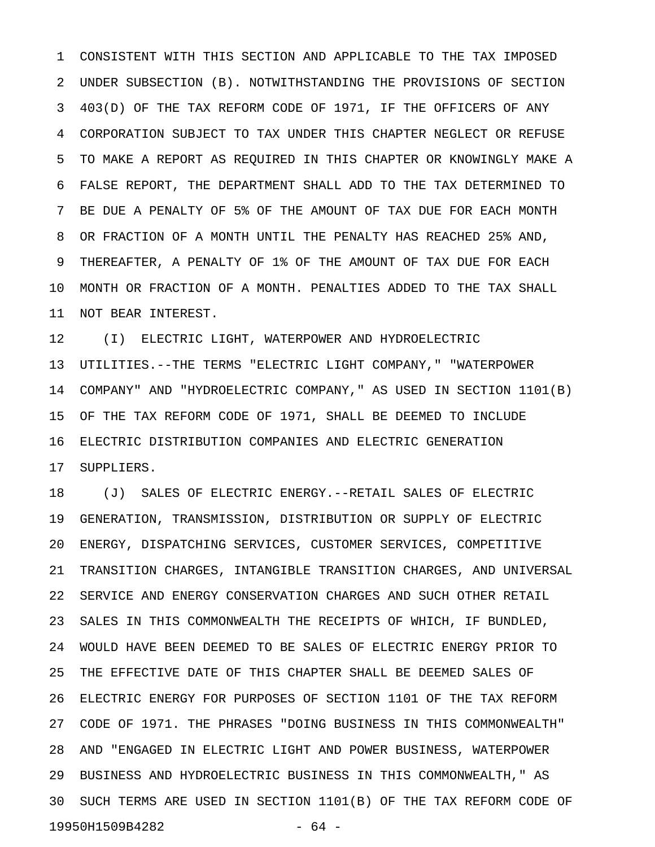1 CONSISTENT WITH THIS SECTION AND APPLICABLE TO THE TAX IMPOSED 2 UNDER SUBSECTION (B). NOTWITHSTANDING THE PROVISIONS OF SECTION 3 403(D) OF THE TAX REFORM CODE OF 1971, IF THE OFFICERS OF ANY 4 CORPORATION SUBJECT TO TAX UNDER THIS CHAPTER NEGLECT OR REFUSE 5 TO MAKE A REPORT AS REQUIRED IN THIS CHAPTER OR KNOWINGLY MAKE A 6 FALSE REPORT, THE DEPARTMENT SHALL ADD TO THE TAX DETERMINED TO 7 BE DUE A PENALTY OF 5% OF THE AMOUNT OF TAX DUE FOR EACH MONTH 8 OR FRACTION OF A MONTH UNTIL THE PENALTY HAS REACHED 25% AND, 9 THEREAFTER, A PENALTY OF 1% OF THE AMOUNT OF TAX DUE FOR EACH 10 MONTH OR FRACTION OF A MONTH. PENALTIES ADDED TO THE TAX SHALL 11 NOT BEAR INTEREST.

12 (I) ELECTRIC LIGHT, WATERPOWER AND HYDROELECTRIC 13 UTILITIES.--THE TERMS "ELECTRIC LIGHT COMPANY," "WATERPOWER 14 COMPANY" AND "HYDROELECTRIC COMPANY," AS USED IN SECTION 1101(B) 15 OF THE TAX REFORM CODE OF 1971, SHALL BE DEEMED TO INCLUDE 16 ELECTRIC DISTRIBUTION COMPANIES AND ELECTRIC GENERATION 17 SUPPLIERS.

18 (J) SALES OF ELECTRIC ENERGY.--RETAIL SALES OF ELECTRIC 19 GENERATION, TRANSMISSION, DISTRIBUTION OR SUPPLY OF ELECTRIC 20 ENERGY, DISPATCHING SERVICES, CUSTOMER SERVICES, COMPETITIVE 21 TRANSITION CHARGES, INTANGIBLE TRANSITION CHARGES, AND UNIVERSAL 22 SERVICE AND ENERGY CONSERVATION CHARGES AND SUCH OTHER RETAIL 23 SALES IN THIS COMMONWEALTH THE RECEIPTS OF WHICH, IF BUNDLED, 24 WOULD HAVE BEEN DEEMED TO BE SALES OF ELECTRIC ENERGY PRIOR TO 25 THE EFFECTIVE DATE OF THIS CHAPTER SHALL BE DEEMED SALES OF 26 ELECTRIC ENERGY FOR PURPOSES OF SECTION 1101 OF THE TAX REFORM 27 CODE OF 1971. THE PHRASES "DOING BUSINESS IN THIS COMMONWEALTH" 28 AND "ENGAGED IN ELECTRIC LIGHT AND POWER BUSINESS, WATERPOWER 29 BUSINESS AND HYDROELECTRIC BUSINESS IN THIS COMMONWEALTH," AS 30 SUCH TERMS ARE USED IN SECTION 1101(B) OF THE TAX REFORM CODE OF 19950H1509B4282 - 64 -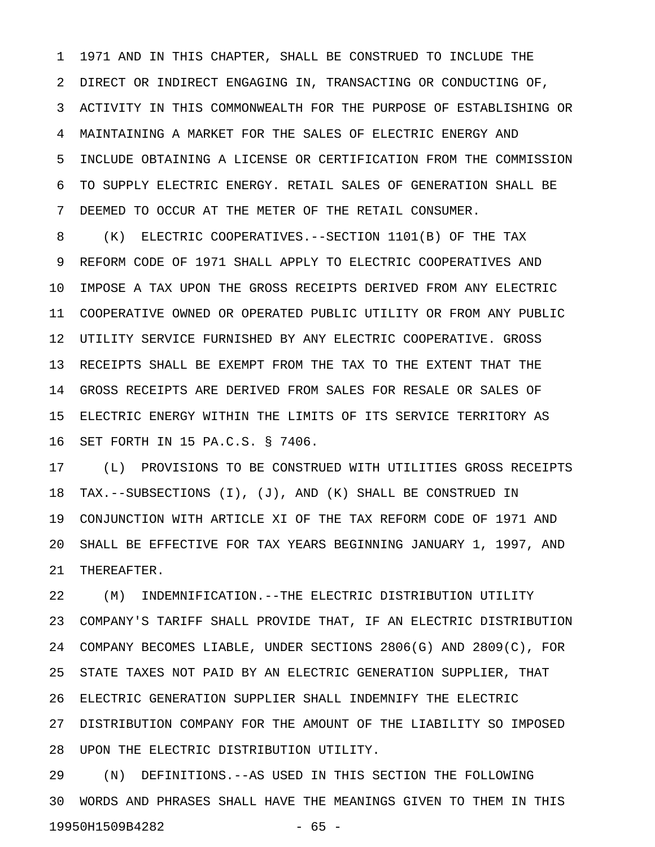1 1971 AND IN THIS CHAPTER, SHALL BE CONSTRUED TO INCLUDE THE 2 DIRECT OR INDIRECT ENGAGING IN, TRANSACTING OR CONDUCTING OF, 3 ACTIVITY IN THIS COMMONWEALTH FOR THE PURPOSE OF ESTABLISHING OR 4 MAINTAINING A MARKET FOR THE SALES OF ELECTRIC ENERGY AND 5 INCLUDE OBTAINING A LICENSE OR CERTIFICATION FROM THE COMMISSION 6 TO SUPPLY ELECTRIC ENERGY. RETAIL SALES OF GENERATION SHALL BE 7 DEEMED TO OCCUR AT THE METER OF THE RETAIL CONSUMER.

8 (K) ELECTRIC COOPERATIVES.--SECTION 1101(B) OF THE TAX 9 REFORM CODE OF 1971 SHALL APPLY TO ELECTRIC COOPERATIVES AND 10 IMPOSE A TAX UPON THE GROSS RECEIPTS DERIVED FROM ANY ELECTRIC 11 COOPERATIVE OWNED OR OPERATED PUBLIC UTILITY OR FROM ANY PUBLIC 12 UTILITY SERVICE FURNISHED BY ANY ELECTRIC COOPERATIVE. GROSS 13 RECEIPTS SHALL BE EXEMPT FROM THE TAX TO THE EXTENT THAT THE 14 GROSS RECEIPTS ARE DERIVED FROM SALES FOR RESALE OR SALES OF 15 ELECTRIC ENERGY WITHIN THE LIMITS OF ITS SERVICE TERRITORY AS 16 SET FORTH IN 15 PA.C.S. § 7406.

17 (L) PROVISIONS TO BE CONSTRUED WITH UTILITIES GROSS RECEIPTS 18 TAX.--SUBSECTIONS (I), (J), AND (K) SHALL BE CONSTRUED IN 19 CONJUNCTION WITH ARTICLE XI OF THE TAX REFORM CODE OF 1971 AND 20 SHALL BE EFFECTIVE FOR TAX YEARS BEGINNING JANUARY 1, 1997, AND 21 THEREAFTER.

22 (M) INDEMNIFICATION.--THE ELECTRIC DISTRIBUTION UTILITY 23 COMPANY'S TARIFF SHALL PROVIDE THAT, IF AN ELECTRIC DISTRIBUTION 24 COMPANY BECOMES LIABLE, UNDER SECTIONS 2806(G) AND 2809(C), FOR 25 STATE TAXES NOT PAID BY AN ELECTRIC GENERATION SUPPLIER, THAT 26 ELECTRIC GENERATION SUPPLIER SHALL INDEMNIFY THE ELECTRIC 27 DISTRIBUTION COMPANY FOR THE AMOUNT OF THE LIABILITY SO IMPOSED 28 UPON THE ELECTRIC DISTRIBUTION UTILITY.

29 (N) DEFINITIONS.--AS USED IN THIS SECTION THE FOLLOWING 30 WORDS AND PHRASES SHALL HAVE THE MEANINGS GIVEN TO THEM IN THIS 19950H1509B4282 - 65 -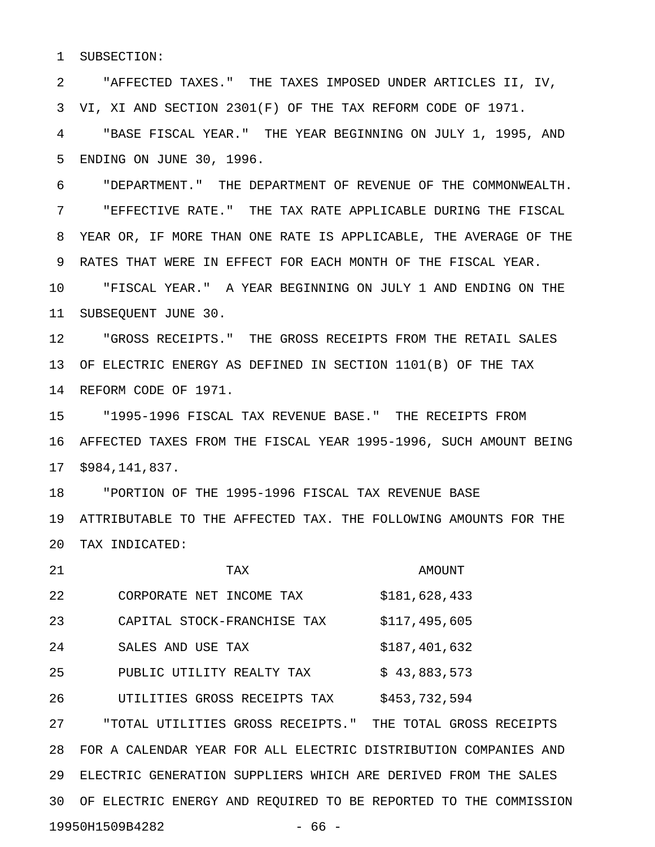1 SUBSECTION:

2 "AFFECTED TAXES." THE TAXES IMPOSED UNDER ARTICLES II, IV, 3 VI, XI AND SECTION 2301(F) OF THE TAX REFORM CODE OF 1971.

4 "BASE FISCAL YEAR." THE YEAR BEGINNING ON JULY 1, 1995, AND 5 ENDING ON JUNE 30, 1996.

6 "DEPARTMENT." THE DEPARTMENT OF REVENUE OF THE COMMONWEALTH. 7 "EFFECTIVE RATE." THE TAX RATE APPLICABLE DURING THE FISCAL 8 YEAR OR, IF MORE THAN ONE RATE IS APPLICABLE, THE AVERAGE OF THE 9 RATES THAT WERE IN EFFECT FOR EACH MONTH OF THE FISCAL YEAR.

10 "FISCAL YEAR." A YEAR BEGINNING ON JULY 1 AND ENDING ON THE 11 SUBSEQUENT JUNE 30.

12 "GROSS RECEIPTS." THE GROSS RECEIPTS FROM THE RETAIL SALES 13 OF ELECTRIC ENERGY AS DEFINED IN SECTION 1101(B) OF THE TAX 14 REFORM CODE OF 1971.

15 "1995-1996 FISCAL TAX REVENUE BASE." THE RECEIPTS FROM 16 AFFECTED TAXES FROM THE FISCAL YEAR 1995-1996, SUCH AMOUNT BEING 17 \$984,141,837.

18 "PORTION OF THE 1995-1996 FISCAL TAX REVENUE BASE 19 ATTRIBUTABLE TO THE AFFECTED TAX. THE FOLLOWING AMOUNTS FOR THE 20 TAX INDICATED:

| 21 | TAX                                   | AMOUNT                       |
|----|---------------------------------------|------------------------------|
| 22 | CORPORATE NET INCOME TAX              | \$181,628,433                |
| 23 | CAPITAL STOCK-FRANCHISE TAX           | \$117,495,605                |
| 24 | SALES AND USE TAX                     | \$187,401,632                |
| 25 | PUBLIC UTILITY REALTY TAX             | \$43,883,573                 |
| 26 | UTILITIES GROSS RECEIPTS TAX          | \$453,732,594                |
| 27 | UTILITIES GROSS RECEIPTS."<br>" TOTAL | TOTAL GROSS RECEIPTS<br>THE. |

28 FOR A CALENDAR YEAR FOR ALL ELECTRIC DISTRIBUTION COMPANIES AND 29 ELECTRIC GENERATION SUPPLIERS WHICH ARE DERIVED FROM THE SALES 30 OF ELECTRIC ENERGY AND REQUIRED TO BE REPORTED TO THE COMMISSION 19950H1509B4282 - 66 -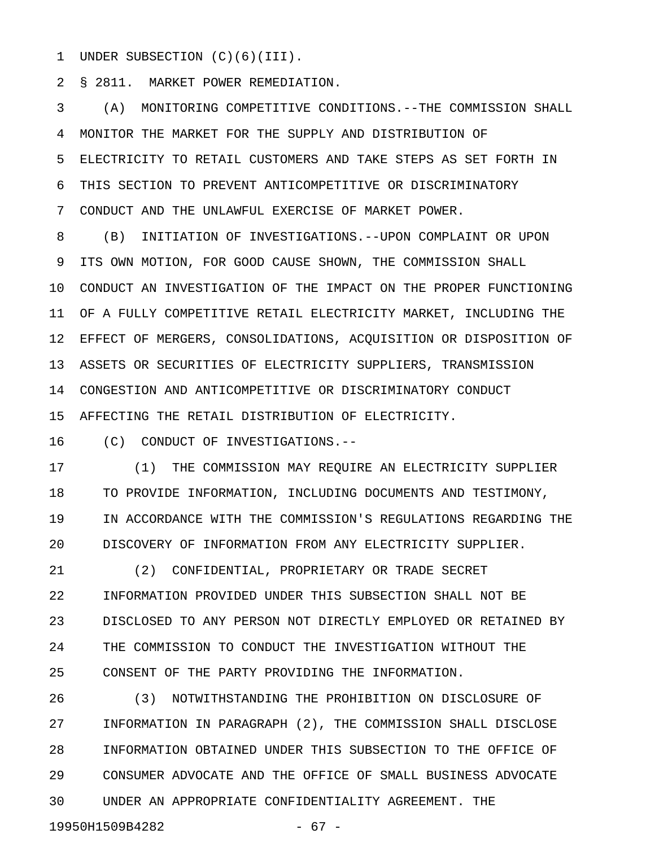1 UNDER SUBSECTION (C)(6)(III).

2 § 2811. MARKET POWER REMEDIATION.

3 (A) MONITORING COMPETITIVE CONDITIONS.--THE COMMISSION SHALL 4 MONITOR THE MARKET FOR THE SUPPLY AND DISTRIBUTION OF 5 ELECTRICITY TO RETAIL CUSTOMERS AND TAKE STEPS AS SET FORTH IN 6 THIS SECTION TO PREVENT ANTICOMPETITIVE OR DISCRIMINATORY 7 CONDUCT AND THE UNLAWFUL EXERCISE OF MARKET POWER.

8 (B) INITIATION OF INVESTIGATIONS.--UPON COMPLAINT OR UPON 9 ITS OWN MOTION, FOR GOOD CAUSE SHOWN, THE COMMISSION SHALL 10 CONDUCT AN INVESTIGATION OF THE IMPACT ON THE PROPER FUNCTIONING 11 OF A FULLY COMPETITIVE RETAIL ELECTRICITY MARKET, INCLUDING THE 12 EFFECT OF MERGERS, CONSOLIDATIONS, ACQUISITION OR DISPOSITION OF 13 ASSETS OR SECURITIES OF ELECTRICITY SUPPLIERS, TRANSMISSION 14 CONGESTION AND ANTICOMPETITIVE OR DISCRIMINATORY CONDUCT 15 AFFECTING THE RETAIL DISTRIBUTION OF ELECTRICITY.

16 (C) CONDUCT OF INVESTIGATIONS.--

19950H1509B4282 - 67 -

17 (1) THE COMMISSION MAY REQUIRE AN ELECTRICITY SUPPLIER 18 TO PROVIDE INFORMATION, INCLUDING DOCUMENTS AND TESTIMONY, 19 IN ACCORDANCE WITH THE COMMISSION'S REGULATIONS REGARDING THE 20 DISCOVERY OF INFORMATION FROM ANY ELECTRICITY SUPPLIER.

21 (2) CONFIDENTIAL, PROPRIETARY OR TRADE SECRET 22 INFORMATION PROVIDED UNDER THIS SUBSECTION SHALL NOT BE 23 DISCLOSED TO ANY PERSON NOT DIRECTLY EMPLOYED OR RETAINED BY 24 THE COMMISSION TO CONDUCT THE INVESTIGATION WITHOUT THE 25 CONSENT OF THE PARTY PROVIDING THE INFORMATION.

26 (3) NOTWITHSTANDING THE PROHIBITION ON DISCLOSURE OF 27 INFORMATION IN PARAGRAPH (2), THE COMMISSION SHALL DISCLOSE 28 INFORMATION OBTAINED UNDER THIS SUBSECTION TO THE OFFICE OF 29 CONSUMER ADVOCATE AND THE OFFICE OF SMALL BUSINESS ADVOCATE 30 UNDER AN APPROPRIATE CONFIDENTIALITY AGREEMENT. THE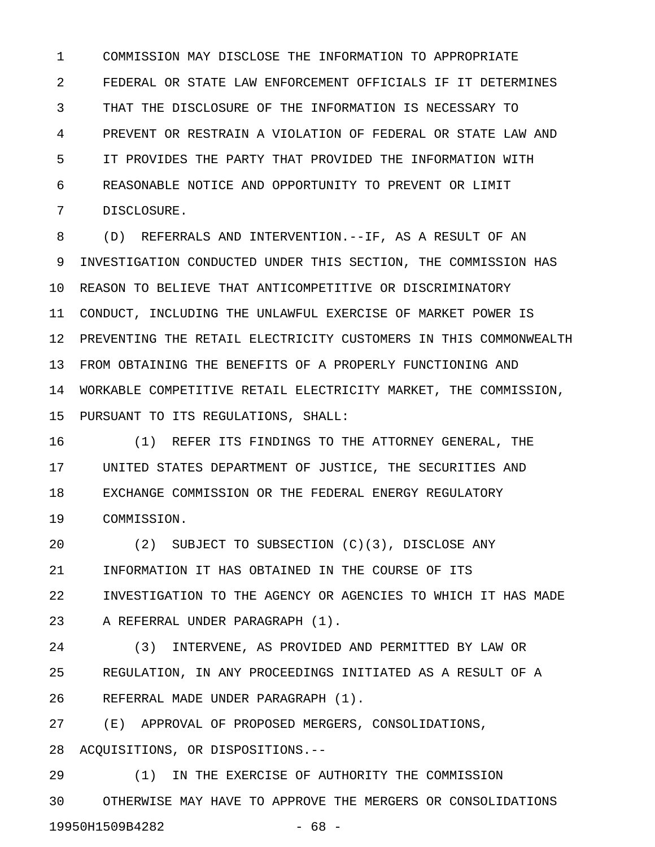1 COMMISSION MAY DISCLOSE THE INFORMATION TO APPROPRIATE 2 FEDERAL OR STATE LAW ENFORCEMENT OFFICIALS IF IT DETERMINES 3 THAT THE DISCLOSURE OF THE INFORMATION IS NECESSARY TO 4 PREVENT OR RESTRAIN A VIOLATION OF FEDERAL OR STATE LAW AND 5 IT PROVIDES THE PARTY THAT PROVIDED THE INFORMATION WITH 6 REASONABLE NOTICE AND OPPORTUNITY TO PREVENT OR LIMIT 7 DISCLOSURE.

8 (D) REFERRALS AND INTERVENTION.--IF, AS A RESULT OF AN 9 INVESTIGATION CONDUCTED UNDER THIS SECTION, THE COMMISSION HAS 10 REASON TO BELIEVE THAT ANTICOMPETITIVE OR DISCRIMINATORY 11 CONDUCT, INCLUDING THE UNLAWFUL EXERCISE OF MARKET POWER IS 12 PREVENTING THE RETAIL ELECTRICITY CUSTOMERS IN THIS COMMONWEALTH 13 FROM OBTAINING THE BENEFITS OF A PROPERLY FUNCTIONING AND 14 WORKABLE COMPETITIVE RETAIL ELECTRICITY MARKET, THE COMMISSION, 15 PURSUANT TO ITS REGULATIONS, SHALL:

16 (1) REFER ITS FINDINGS TO THE ATTORNEY GENERAL, THE 17 UNITED STATES DEPARTMENT OF JUSTICE, THE SECURITIES AND 18 EXCHANGE COMMISSION OR THE FEDERAL ENERGY REGULATORY 19 COMMISSION.

20 (2) SUBJECT TO SUBSECTION (C)(3), DISCLOSE ANY 21 INFORMATION IT HAS OBTAINED IN THE COURSE OF ITS 22 INVESTIGATION TO THE AGENCY OR AGENCIES TO WHICH IT HAS MADE 23 A REFERRAL UNDER PARAGRAPH (1).

24 (3) INTERVENE, AS PROVIDED AND PERMITTED BY LAW OR 25 REGULATION, IN ANY PROCEEDINGS INITIATED AS A RESULT OF A 26 REFERRAL MADE UNDER PARAGRAPH (1).

27 (E) APPROVAL OF PROPOSED MERGERS, CONSOLIDATIONS, 28 ACQUISITIONS, OR DISPOSITIONS.--

29 (1) IN THE EXERCISE OF AUTHORITY THE COMMISSION 30 OTHERWISE MAY HAVE TO APPROVE THE MERGERS OR CONSOLIDATIONS 19950H1509B4282 - 68 -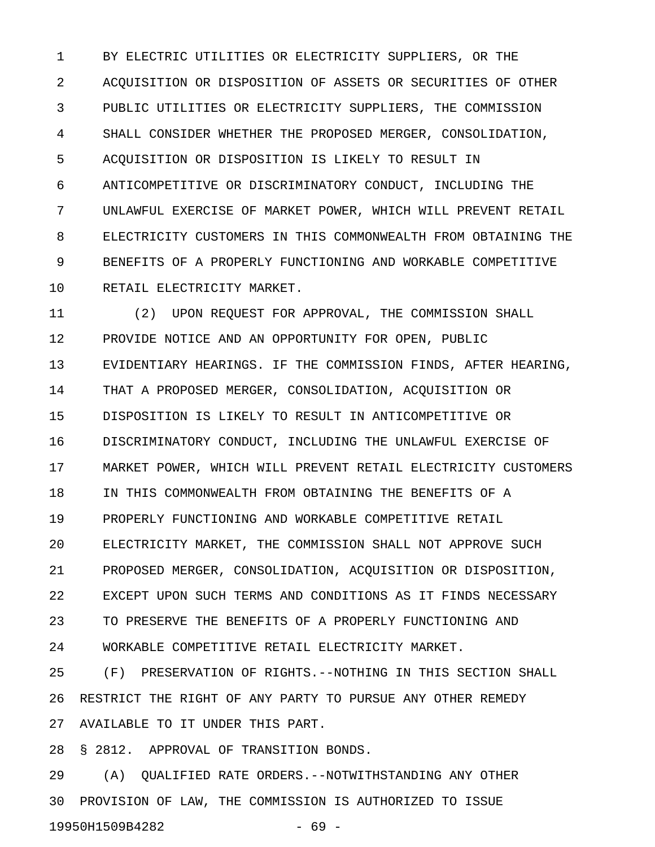1 BY ELECTRIC UTILITIES OR ELECTRICITY SUPPLIERS, OR THE 2 ACQUISITION OR DISPOSITION OF ASSETS OR SECURITIES OF OTHER 3 PUBLIC UTILITIES OR ELECTRICITY SUPPLIERS, THE COMMISSION 4 SHALL CONSIDER WHETHER THE PROPOSED MERGER, CONSOLIDATION, 5 ACQUISITION OR DISPOSITION IS LIKELY TO RESULT IN 6 ANTICOMPETITIVE OR DISCRIMINATORY CONDUCT, INCLUDING THE 7 UNLAWFUL EXERCISE OF MARKET POWER, WHICH WILL PREVENT RETAIL 8 ELECTRICITY CUSTOMERS IN THIS COMMONWEALTH FROM OBTAINING THE 9 BENEFITS OF A PROPERLY FUNCTIONING AND WORKABLE COMPETITIVE 10 RETAIL ELECTRICITY MARKET.

11 (2) UPON REQUEST FOR APPROVAL, THE COMMISSION SHALL 12 PROVIDE NOTICE AND AN OPPORTUNITY FOR OPEN, PUBLIC 13 EVIDENTIARY HEARINGS. IF THE COMMISSION FINDS, AFTER HEARING, 14 THAT A PROPOSED MERGER, CONSOLIDATION, ACQUISITION OR 15 DISPOSITION IS LIKELY TO RESULT IN ANTICOMPETITIVE OR 16 DISCRIMINATORY CONDUCT, INCLUDING THE UNLAWFUL EXERCISE OF 17 MARKET POWER, WHICH WILL PREVENT RETAIL ELECTRICITY CUSTOMERS 18 IN THIS COMMONWEALTH FROM OBTAINING THE BENEFITS OF A 19 PROPERLY FUNCTIONING AND WORKABLE COMPETITIVE RETAIL 20 ELECTRICITY MARKET, THE COMMISSION SHALL NOT APPROVE SUCH 21 PROPOSED MERGER, CONSOLIDATION, ACQUISITION OR DISPOSITION, 22 EXCEPT UPON SUCH TERMS AND CONDITIONS AS IT FINDS NECESSARY 23 TO PRESERVE THE BENEFITS OF A PROPERLY FUNCTIONING AND 24 WORKABLE COMPETITIVE RETAIL ELECTRICITY MARKET.

25 (F) PRESERVATION OF RIGHTS.--NOTHING IN THIS SECTION SHALL 26 RESTRICT THE RIGHT OF ANY PARTY TO PURSUE ANY OTHER REMEDY 27 AVAILABLE TO IT UNDER THIS PART.

28 § 2812. APPROVAL OF TRANSITION BONDS.

29 (A) QUALIFIED RATE ORDERS.--NOTWITHSTANDING ANY OTHER 30 PROVISION OF LAW, THE COMMISSION IS AUTHORIZED TO ISSUE 19950H1509B4282 - 69 -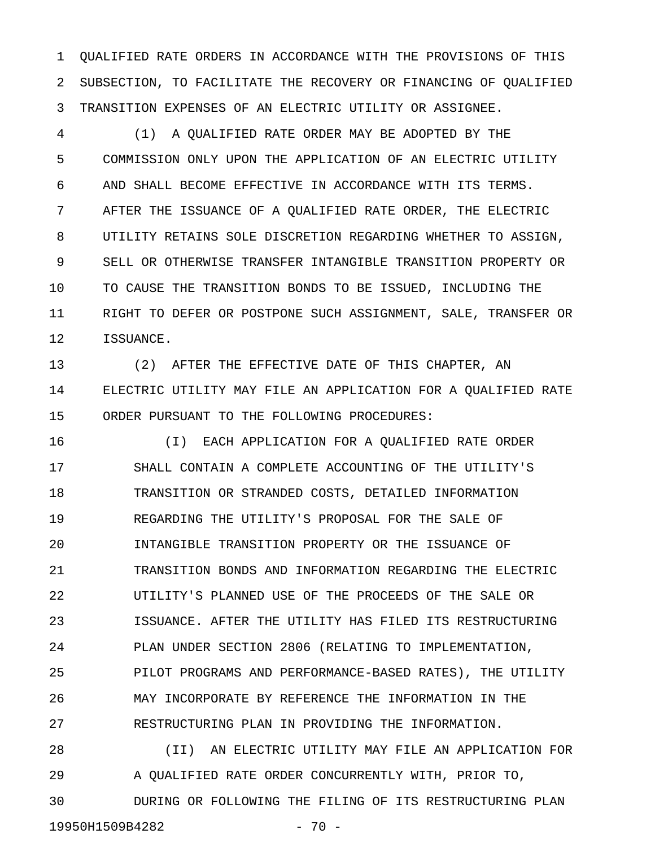1 QUALIFIED RATE ORDERS IN ACCORDANCE WITH THE PROVISIONS OF THIS 2 SUBSECTION, TO FACILITATE THE RECOVERY OR FINANCING OF QUALIFIED 3 TRANSITION EXPENSES OF AN ELECTRIC UTILITY OR ASSIGNEE.

4 (1) A QUALIFIED RATE ORDER MAY BE ADOPTED BY THE 5 COMMISSION ONLY UPON THE APPLICATION OF AN ELECTRIC UTILITY 6 AND SHALL BECOME EFFECTIVE IN ACCORDANCE WITH ITS TERMS. 7 AFTER THE ISSUANCE OF A QUALIFIED RATE ORDER, THE ELECTRIC 8 UTILITY RETAINS SOLE DISCRETION REGARDING WHETHER TO ASSIGN, 9 SELL OR OTHERWISE TRANSFER INTANGIBLE TRANSITION PROPERTY OR 10 TO CAUSE THE TRANSITION BONDS TO BE ISSUED, INCLUDING THE 11 RIGHT TO DEFER OR POSTPONE SUCH ASSIGNMENT, SALE, TRANSFER OR 12 ISSUANCE.

13 (2) AFTER THE EFFECTIVE DATE OF THIS CHAPTER, AN 14 ELECTRIC UTILITY MAY FILE AN APPLICATION FOR A QUALIFIED RATE 15 ORDER PURSUANT TO THE FOLLOWING PROCEDURES:

16 (I) EACH APPLICATION FOR A QUALIFIED RATE ORDER 17 SHALL CONTAIN A COMPLETE ACCOUNTING OF THE UTILITY'S 18 TRANSITION OR STRANDED COSTS, DETAILED INFORMATION 19 REGARDING THE UTILITY'S PROPOSAL FOR THE SALE OF 20 INTANGIBLE TRANSITION PROPERTY OR THE ISSUANCE OF 21 TRANSITION BONDS AND INFORMATION REGARDING THE ELECTRIC 22 UTILITY'S PLANNED USE OF THE PROCEEDS OF THE SALE OR 23 ISSUANCE. AFTER THE UTILITY HAS FILED ITS RESTRUCTURING 24 PLAN UNDER SECTION 2806 (RELATING TO IMPLEMENTATION, 25 PILOT PROGRAMS AND PERFORMANCE-BASED RATES), THE UTILITY 26 MAY INCORPORATE BY REFERENCE THE INFORMATION IN THE 27 RESTRUCTURING PLAN IN PROVIDING THE INFORMATION.

28 (II) AN ELECTRIC UTILITY MAY FILE AN APPLICATION FOR 29 A QUALIFIED RATE ORDER CONCURRENTLY WITH, PRIOR TO, 30 DURING OR FOLLOWING THE FILING OF ITS RESTRUCTURING PLAN 19950H1509B4282 - 70 -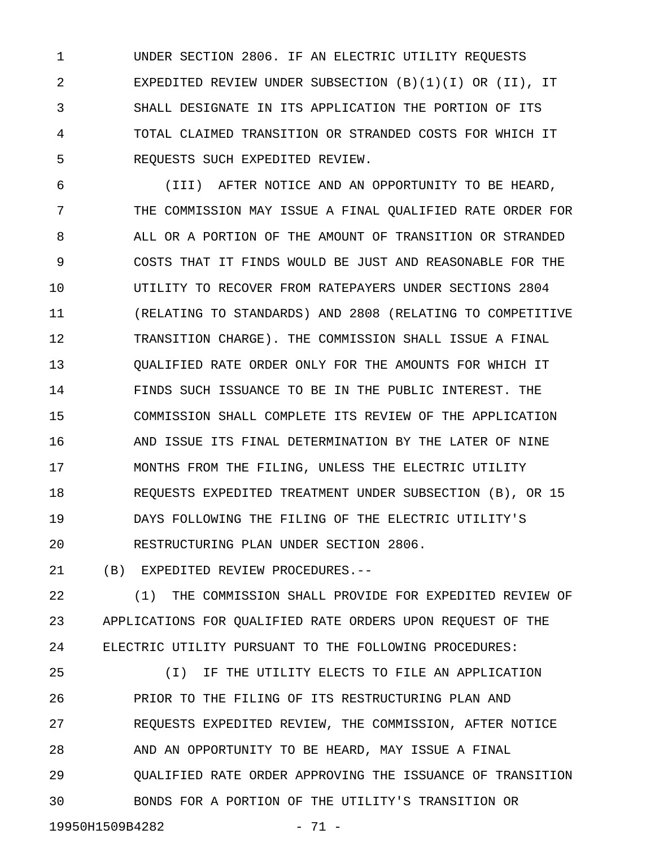1 UNDER SECTION 2806. IF AN ELECTRIC UTILITY REQUESTS 2 EXPEDITED REVIEW UNDER SUBSECTION (B)(1)(I) OR (II), IT 3 SHALL DESIGNATE IN ITS APPLICATION THE PORTION OF ITS 4 TOTAL CLAIMED TRANSITION OR STRANDED COSTS FOR WHICH IT 5 REQUESTS SUCH EXPEDITED REVIEW.

6 (III) AFTER NOTICE AND AN OPPORTUNITY TO BE HEARD, 7 THE COMMISSION MAY ISSUE A FINAL QUALIFIED RATE ORDER FOR 8 ALL OR A PORTION OF THE AMOUNT OF TRANSITION OR STRANDED 9 COSTS THAT IT FINDS WOULD BE JUST AND REASONABLE FOR THE 10 UTILITY TO RECOVER FROM RATEPAYERS UNDER SECTIONS 2804 11 (RELATING TO STANDARDS) AND 2808 (RELATING TO COMPETITIVE 12 TRANSITION CHARGE). THE COMMISSION SHALL ISSUE A FINAL 13 QUALIFIED RATE ORDER ONLY FOR THE AMOUNTS FOR WHICH IT 14 FINDS SUCH ISSUANCE TO BE IN THE PUBLIC INTEREST. THE 15 COMMISSION SHALL COMPLETE ITS REVIEW OF THE APPLICATION 16 AND ISSUE ITS FINAL DETERMINATION BY THE LATER OF NINE 17 MONTHS FROM THE FILING, UNLESS THE ELECTRIC UTILITY 18 REQUESTS EXPEDITED TREATMENT UNDER SUBSECTION (B), OR 15 19 DAYS FOLLOWING THE FILING OF THE ELECTRIC UTILITY'S 20 RESTRUCTURING PLAN UNDER SECTION 2806.

21 (B) EXPEDITED REVIEW PROCEDURES.--

22 (1) THE COMMISSION SHALL PROVIDE FOR EXPEDITED REVIEW OF 23 APPLICATIONS FOR QUALIFIED RATE ORDERS UPON REQUEST OF THE 24 ELECTRIC UTILITY PURSUANT TO THE FOLLOWING PROCEDURES:

25 (I) IF THE UTILITY ELECTS TO FILE AN APPLICATION 26 PRIOR TO THE FILING OF ITS RESTRUCTURING PLAN AND 27 REQUESTS EXPEDITED REVIEW, THE COMMISSION, AFTER NOTICE 28 AND AN OPPORTUNITY TO BE HEARD, MAY ISSUE A FINAL 29 QUALIFIED RATE ORDER APPROVING THE ISSUANCE OF TRANSITION 30 BONDS FOR A PORTION OF THE UTILITY'S TRANSITION OR

19950H1509B4282 - 71 -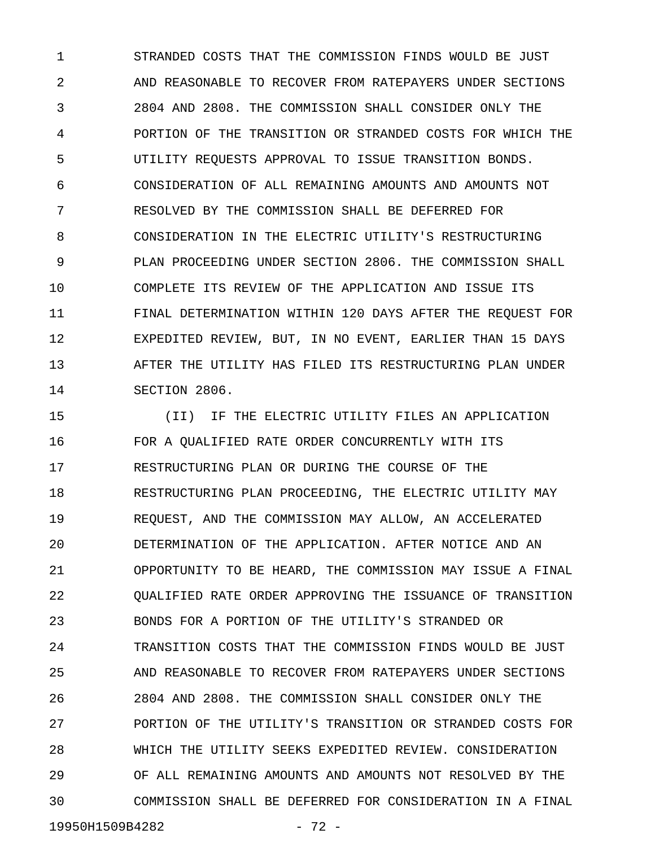1 STRANDED COSTS THAT THE COMMISSION FINDS WOULD BE JUST 2 AND REASONABLE TO RECOVER FROM RATEPAYERS UNDER SECTIONS 3 2804 AND 2808. THE COMMISSION SHALL CONSIDER ONLY THE 4 PORTION OF THE TRANSITION OR STRANDED COSTS FOR WHICH THE 5 UTILITY REQUESTS APPROVAL TO ISSUE TRANSITION BONDS. 6 CONSIDERATION OF ALL REMAINING AMOUNTS AND AMOUNTS NOT 7 RESOLVED BY THE COMMISSION SHALL BE DEFERRED FOR 8 CONSIDERATION IN THE ELECTRIC UTILITY'S RESTRUCTURING 9 PLAN PROCEEDING UNDER SECTION 2806. THE COMMISSION SHALL 10 COMPLETE ITS REVIEW OF THE APPLICATION AND ISSUE ITS 11 FINAL DETERMINATION WITHIN 120 DAYS AFTER THE REQUEST FOR 12 EXPEDITED REVIEW, BUT, IN NO EVENT, EARLIER THAN 15 DAYS 13 AFTER THE UTILITY HAS FILED ITS RESTRUCTURING PLAN UNDER 14 SECTION 2806.

15 (II) IF THE ELECTRIC UTILITY FILES AN APPLICATION 16 FOR A QUALIFIED RATE ORDER CONCURRENTLY WITH ITS 17 RESTRUCTURING PLAN OR DURING THE COURSE OF THE 18 RESTRUCTURING PLAN PROCEEDING, THE ELECTRIC UTILITY MAY 19 REQUEST, AND THE COMMISSION MAY ALLOW, AN ACCELERATED 20 DETERMINATION OF THE APPLICATION. AFTER NOTICE AND AN 21 OPPORTUNITY TO BE HEARD, THE COMMISSION MAY ISSUE A FINAL 22 QUALIFIED RATE ORDER APPROVING THE ISSUANCE OF TRANSITION 23 BONDS FOR A PORTION OF THE UTILITY'S STRANDED OR 24 TRANSITION COSTS THAT THE COMMISSION FINDS WOULD BE JUST 25 AND REASONABLE TO RECOVER FROM RATEPAYERS UNDER SECTIONS 26 2804 AND 2808. THE COMMISSION SHALL CONSIDER ONLY THE 27 PORTION OF THE UTILITY'S TRANSITION OR STRANDED COSTS FOR 28 WHICH THE UTILITY SEEKS EXPEDITED REVIEW. CONSIDERATION 29 OF ALL REMAINING AMOUNTS AND AMOUNTS NOT RESOLVED BY THE 30 COMMISSION SHALL BE DEFERRED FOR CONSIDERATION IN A FINAL 19950H1509B4282 - 72 -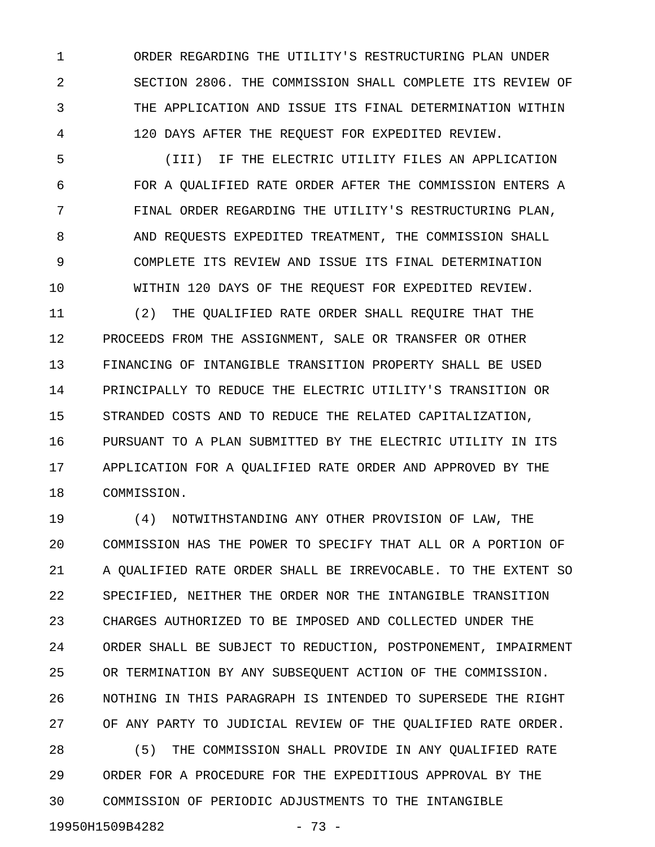1 ORDER REGARDING THE UTILITY'S RESTRUCTURING PLAN UNDER 2 SECTION 2806. THE COMMISSION SHALL COMPLETE ITS REVIEW OF 3 THE APPLICATION AND ISSUE ITS FINAL DETERMINATION WITHIN 4 120 DAYS AFTER THE REQUEST FOR EXPEDITED REVIEW.

5 (III) IF THE ELECTRIC UTILITY FILES AN APPLICATION 6 FOR A QUALIFIED RATE ORDER AFTER THE COMMISSION ENTERS A 7 FINAL ORDER REGARDING THE UTILITY'S RESTRUCTURING PLAN, 8 AND REQUESTS EXPEDITED TREATMENT, THE COMMISSION SHALL 9 COMPLETE ITS REVIEW AND ISSUE ITS FINAL DETERMINATION 10 WITHIN 120 DAYS OF THE REQUEST FOR EXPEDITED REVIEW.

11 (2) THE QUALIFIED RATE ORDER SHALL REQUIRE THAT THE 12 PROCEEDS FROM THE ASSIGNMENT, SALE OR TRANSFER OR OTHER 13 FINANCING OF INTANGIBLE TRANSITION PROPERTY SHALL BE USED 14 PRINCIPALLY TO REDUCE THE ELECTRIC UTILITY'S TRANSITION OR 15 STRANDED COSTS AND TO REDUCE THE RELATED CAPITALIZATION, 16 PURSUANT TO A PLAN SUBMITTED BY THE ELECTRIC UTILITY IN ITS 17 APPLICATION FOR A QUALIFIED RATE ORDER AND APPROVED BY THE 18 COMMISSION.

19 (4) NOTWITHSTANDING ANY OTHER PROVISION OF LAW, THE 20 COMMISSION HAS THE POWER TO SPECIFY THAT ALL OR A PORTION OF 21 A QUALIFIED RATE ORDER SHALL BE IRREVOCABLE. TO THE EXTENT SO 22 SPECIFIED, NEITHER THE ORDER NOR THE INTANGIBLE TRANSITION 23 CHARGES AUTHORIZED TO BE IMPOSED AND COLLECTED UNDER THE 24 ORDER SHALL BE SUBJECT TO REDUCTION, POSTPONEMENT, IMPAIRMENT 25 OR TERMINATION BY ANY SUBSEQUENT ACTION OF THE COMMISSION. 26 NOTHING IN THIS PARAGRAPH IS INTENDED TO SUPERSEDE THE RIGHT 27 OF ANY PARTY TO JUDICIAL REVIEW OF THE QUALIFIED RATE ORDER. 28 (5) THE COMMISSION SHALL PROVIDE IN ANY QUALIFIED RATE

29 ORDER FOR A PROCEDURE FOR THE EXPEDITIOUS APPROVAL BY THE 30 COMMISSION OF PERIODIC ADJUSTMENTS TO THE INTANGIBLE 19950H1509B4282 - 73 -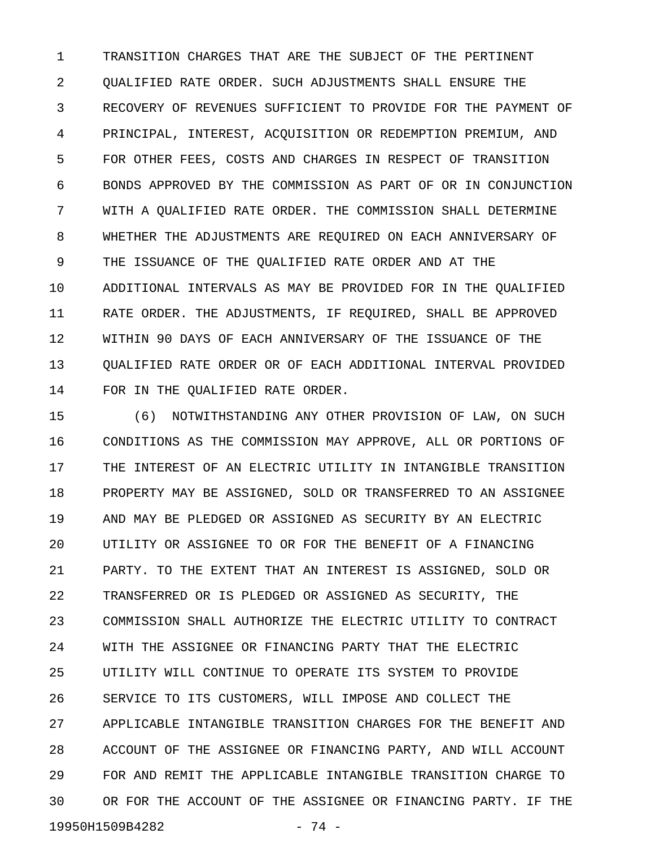1 TRANSITION CHARGES THAT ARE THE SUBJECT OF THE PERTINENT 2 QUALIFIED RATE ORDER. SUCH ADJUSTMENTS SHALL ENSURE THE 3 RECOVERY OF REVENUES SUFFICIENT TO PROVIDE FOR THE PAYMENT OF 4 PRINCIPAL, INTEREST, ACQUISITION OR REDEMPTION PREMIUM, AND 5 FOR OTHER FEES, COSTS AND CHARGES IN RESPECT OF TRANSITION 6 BONDS APPROVED BY THE COMMISSION AS PART OF OR IN CONJUNCTION 7 WITH A QUALIFIED RATE ORDER. THE COMMISSION SHALL DETERMINE 8 WHETHER THE ADJUSTMENTS ARE REQUIRED ON EACH ANNIVERSARY OF 9 THE ISSUANCE OF THE QUALIFIED RATE ORDER AND AT THE 10 ADDITIONAL INTERVALS AS MAY BE PROVIDED FOR IN THE QUALIFIED 11 RATE ORDER. THE ADJUSTMENTS, IF REQUIRED, SHALL BE APPROVED 12 WITHIN 90 DAYS OF EACH ANNIVERSARY OF THE ISSUANCE OF THE 13 QUALIFIED RATE ORDER OR OF EACH ADDITIONAL INTERVAL PROVIDED 14 FOR IN THE QUALIFIED RATE ORDER.

15 (6) NOTWITHSTANDING ANY OTHER PROVISION OF LAW, ON SUCH 16 CONDITIONS AS THE COMMISSION MAY APPROVE, ALL OR PORTIONS OF 17 THE INTEREST OF AN ELECTRIC UTILITY IN INTANGIBLE TRANSITION 18 PROPERTY MAY BE ASSIGNED, SOLD OR TRANSFERRED TO AN ASSIGNEE 19 AND MAY BE PLEDGED OR ASSIGNED AS SECURITY BY AN ELECTRIC 20 UTILITY OR ASSIGNEE TO OR FOR THE BENEFIT OF A FINANCING 21 PARTY. TO THE EXTENT THAT AN INTEREST IS ASSIGNED, SOLD OR 22 TRANSFERRED OR IS PLEDGED OR ASSIGNED AS SECURITY, THE 23 COMMISSION SHALL AUTHORIZE THE ELECTRIC UTILITY TO CONTRACT 24 WITH THE ASSIGNEE OR FINANCING PARTY THAT THE ELECTRIC 25 UTILITY WILL CONTINUE TO OPERATE ITS SYSTEM TO PROVIDE 26 SERVICE TO ITS CUSTOMERS, WILL IMPOSE AND COLLECT THE 27 APPLICABLE INTANGIBLE TRANSITION CHARGES FOR THE BENEFIT AND 28 ACCOUNT OF THE ASSIGNEE OR FINANCING PARTY, AND WILL ACCOUNT 29 FOR AND REMIT THE APPLICABLE INTANGIBLE TRANSITION CHARGE TO 30 OR FOR THE ACCOUNT OF THE ASSIGNEE OR FINANCING PARTY. IF THE 19950H1509B4282 - 74 -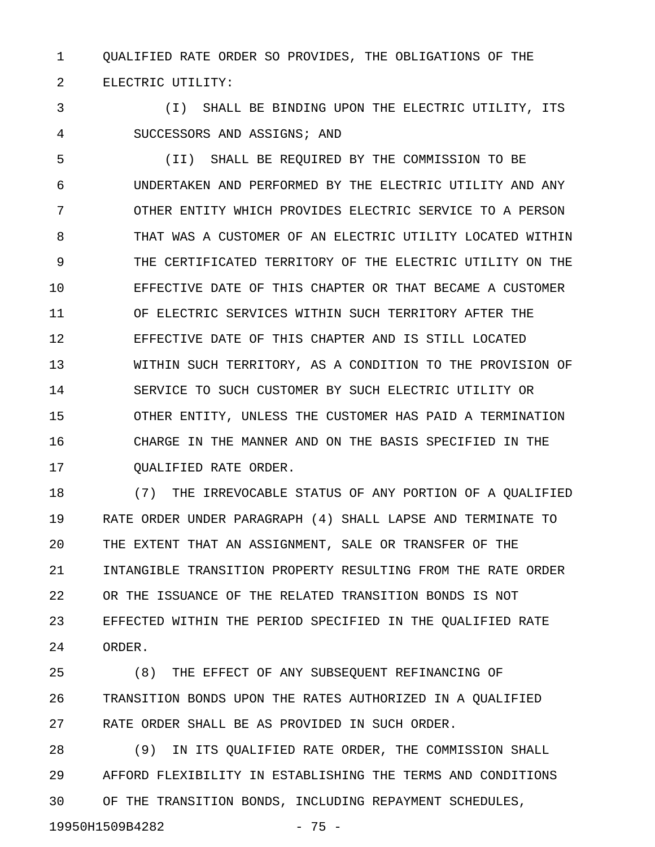1 QUALIFIED RATE ORDER SO PROVIDES, THE OBLIGATIONS OF THE 2 ELECTRIC UTILITY:

3 (I) SHALL BE BINDING UPON THE ELECTRIC UTILITY, ITS 4 SUCCESSORS AND ASSIGNS; AND

5 (II) SHALL BE REQUIRED BY THE COMMISSION TO BE 6 UNDERTAKEN AND PERFORMED BY THE ELECTRIC UTILITY AND ANY 7 OTHER ENTITY WHICH PROVIDES ELECTRIC SERVICE TO A PERSON 8 THAT WAS A CUSTOMER OF AN ELECTRIC UTILITY LOCATED WITHIN 9 THE CERTIFICATED TERRITORY OF THE ELECTRIC UTILITY ON THE 10 EFFECTIVE DATE OF THIS CHAPTER OR THAT BECAME A CUSTOMER 11 OF ELECTRIC SERVICES WITHIN SUCH TERRITORY AFTER THE 12 EFFECTIVE DATE OF THIS CHAPTER AND IS STILL LOCATED 13 WITHIN SUCH TERRITORY, AS A CONDITION TO THE PROVISION OF 14 SERVICE TO SUCH CUSTOMER BY SUCH ELECTRIC UTILITY OR 15 OTHER ENTITY, UNLESS THE CUSTOMER HAS PAID A TERMINATION 16 CHARGE IN THE MANNER AND ON THE BASIS SPECIFIED IN THE 17 QUALIFIED RATE ORDER.

18 (7) THE IRREVOCABLE STATUS OF ANY PORTION OF A QUALIFIED 19 RATE ORDER UNDER PARAGRAPH (4) SHALL LAPSE AND TERMINATE TO 20 THE EXTENT THAT AN ASSIGNMENT, SALE OR TRANSFER OF THE 21 INTANGIBLE TRANSITION PROPERTY RESULTING FROM THE RATE ORDER 22 OR THE ISSUANCE OF THE RELATED TRANSITION BONDS IS NOT 23 EFFECTED WITHIN THE PERIOD SPECIFIED IN THE QUALIFIED RATE 24 ORDER.

25 (8) THE EFFECT OF ANY SUBSEQUENT REFINANCING OF 26 TRANSITION BONDS UPON THE RATES AUTHORIZED IN A QUALIFIED 27 RATE ORDER SHALL BE AS PROVIDED IN SUCH ORDER.

28 (9) IN ITS QUALIFIED RATE ORDER, THE COMMISSION SHALL 29 AFFORD FLEXIBILITY IN ESTABLISHING THE TERMS AND CONDITIONS 30 OF THE TRANSITION BONDS, INCLUDING REPAYMENT SCHEDULES,

19950H1509B4282 - 75 -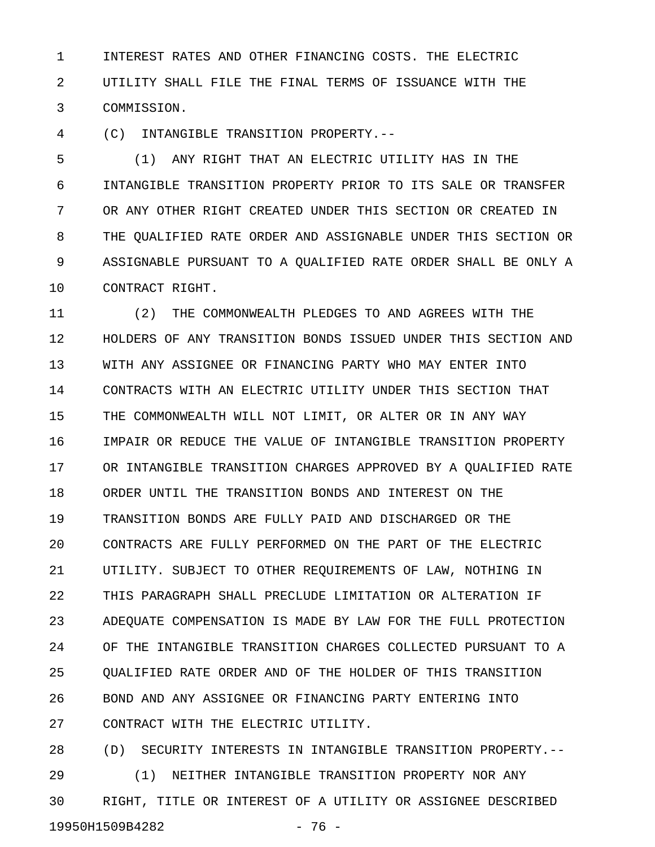1 INTEREST RATES AND OTHER FINANCING COSTS. THE ELECTRIC 2 UTILITY SHALL FILE THE FINAL TERMS OF ISSUANCE WITH THE 3 COMMISSION.

4 (C) INTANGIBLE TRANSITION PROPERTY.--

5 (1) ANY RIGHT THAT AN ELECTRIC UTILITY HAS IN THE 6 INTANGIBLE TRANSITION PROPERTY PRIOR TO ITS SALE OR TRANSFER 7 OR ANY OTHER RIGHT CREATED UNDER THIS SECTION OR CREATED IN 8 THE QUALIFIED RATE ORDER AND ASSIGNABLE UNDER THIS SECTION OR 9 ASSIGNABLE PURSUANT TO A QUALIFIED RATE ORDER SHALL BE ONLY A 10 CONTRACT RIGHT.

11 (2) THE COMMONWEALTH PLEDGES TO AND AGREES WITH THE 12 HOLDERS OF ANY TRANSITION BONDS ISSUED UNDER THIS SECTION AND 13 WITH ANY ASSIGNEE OR FINANCING PARTY WHO MAY ENTER INTO 14 CONTRACTS WITH AN ELECTRIC UTILITY UNDER THIS SECTION THAT 15 THE COMMONWEALTH WILL NOT LIMIT, OR ALTER OR IN ANY WAY 16 IMPAIR OR REDUCE THE VALUE OF INTANGIBLE TRANSITION PROPERTY 17 OR INTANGIBLE TRANSITION CHARGES APPROVED BY A QUALIFIED RATE 18 ORDER UNTIL THE TRANSITION BONDS AND INTEREST ON THE 19 TRANSITION BONDS ARE FULLY PAID AND DISCHARGED OR THE 20 CONTRACTS ARE FULLY PERFORMED ON THE PART OF THE ELECTRIC 21 UTILITY. SUBJECT TO OTHER REQUIREMENTS OF LAW, NOTHING IN 22 THIS PARAGRAPH SHALL PRECLUDE LIMITATION OR ALTERATION IF 23 ADEQUATE COMPENSATION IS MADE BY LAW FOR THE FULL PROTECTION 24 OF THE INTANGIBLE TRANSITION CHARGES COLLECTED PURSUANT TO A 25 QUALIFIED RATE ORDER AND OF THE HOLDER OF THIS TRANSITION 26 BOND AND ANY ASSIGNEE OR FINANCING PARTY ENTERING INTO 27 CONTRACT WITH THE ELECTRIC UTILITY.

28 (D) SECURITY INTERESTS IN INTANGIBLE TRANSITION PROPERTY.-- 29 (1) NEITHER INTANGIBLE TRANSITION PROPERTY NOR ANY 30 RIGHT, TITLE OR INTEREST OF A UTILITY OR ASSIGNEE DESCRIBED 19950H1509B4282 - 76 -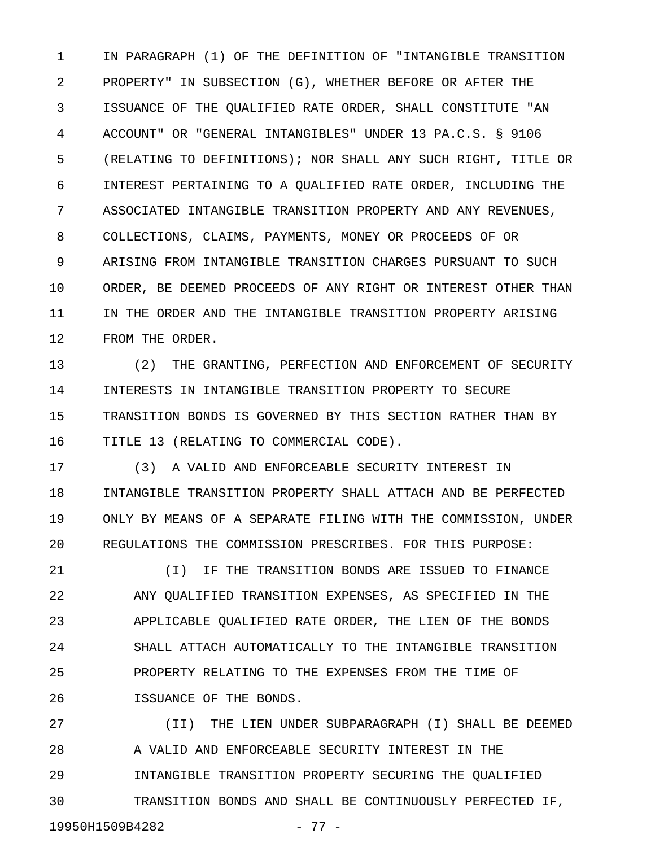1 IN PARAGRAPH (1) OF THE DEFINITION OF "INTANGIBLE TRANSITION 2 PROPERTY" IN SUBSECTION (G), WHETHER BEFORE OR AFTER THE 3 ISSUANCE OF THE QUALIFIED RATE ORDER, SHALL CONSTITUTE "AN 4 ACCOUNT" OR "GENERAL INTANGIBLES" UNDER 13 PA.C.S. § 9106 5 (RELATING TO DEFINITIONS); NOR SHALL ANY SUCH RIGHT, TITLE OR 6 INTEREST PERTAINING TO A QUALIFIED RATE ORDER, INCLUDING THE 7 ASSOCIATED INTANGIBLE TRANSITION PROPERTY AND ANY REVENUES, 8 COLLECTIONS, CLAIMS, PAYMENTS, MONEY OR PROCEEDS OF OR 9 ARISING FROM INTANGIBLE TRANSITION CHARGES PURSUANT TO SUCH 10 ORDER, BE DEEMED PROCEEDS OF ANY RIGHT OR INTEREST OTHER THAN 11 IN THE ORDER AND THE INTANGIBLE TRANSITION PROPERTY ARISING 12 FROM THE ORDER.

13 (2) THE GRANTING, PERFECTION AND ENFORCEMENT OF SECURITY 14 INTERESTS IN INTANGIBLE TRANSITION PROPERTY TO SECURE 15 TRANSITION BONDS IS GOVERNED BY THIS SECTION RATHER THAN BY 16 TITLE 13 (RELATING TO COMMERCIAL CODE).

17 (3) A VALID AND ENFORCEABLE SECURITY INTEREST IN 18 INTANGIBLE TRANSITION PROPERTY SHALL ATTACH AND BE PERFECTED 19 ONLY BY MEANS OF A SEPARATE FILING WITH THE COMMISSION, UNDER 20 REGULATIONS THE COMMISSION PRESCRIBES. FOR THIS PURPOSE:

21 (I) IF THE TRANSITION BONDS ARE ISSUED TO FINANCE 22 ANY QUALIFIED TRANSITION EXPENSES, AS SPECIFIED IN THE 23 APPLICABLE QUALIFIED RATE ORDER, THE LIEN OF THE BONDS 24 SHALL ATTACH AUTOMATICALLY TO THE INTANGIBLE TRANSITION 25 PROPERTY RELATING TO THE EXPENSES FROM THE TIME OF 26 ISSUANCE OF THE BONDS.

27 (II) THE LIEN UNDER SUBPARAGRAPH (I) SHALL BE DEEMED 28 A VALID AND ENFORCEABLE SECURITY INTEREST IN THE 29 INTANGIBLE TRANSITION PROPERTY SECURING THE QUALIFIED 30 TRANSITION BONDS AND SHALL BE CONTINUOUSLY PERFECTED IF, 19950H1509B4282 - 77 -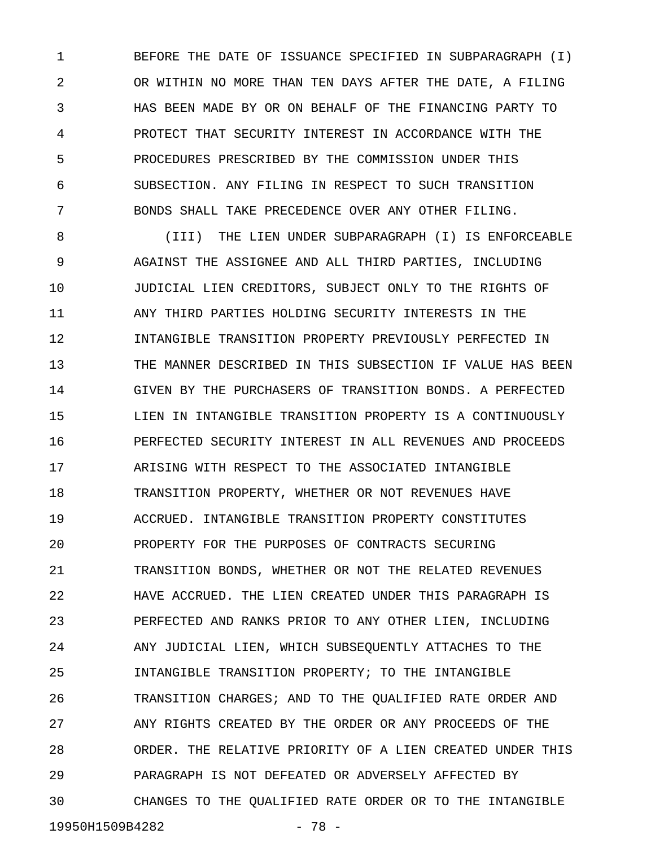1 BEFORE THE DATE OF ISSUANCE SPECIFIED IN SUBPARAGRAPH (I) 2 OR WITHIN NO MORE THAN TEN DAYS AFTER THE DATE, A FILING 3 HAS BEEN MADE BY OR ON BEHALF OF THE FINANCING PARTY TO 4 PROTECT THAT SECURITY INTEREST IN ACCORDANCE WITH THE 5 PROCEDURES PRESCRIBED BY THE COMMISSION UNDER THIS 6 SUBSECTION. ANY FILING IN RESPECT TO SUCH TRANSITION 7 BONDS SHALL TAKE PRECEDENCE OVER ANY OTHER FILING.

8 (III) THE LIEN UNDER SUBPARAGRAPH (I) IS ENFORCEABLE 9 AGAINST THE ASSIGNEE AND ALL THIRD PARTIES, INCLUDING 10 JUDICIAL LIEN CREDITORS, SUBJECT ONLY TO THE RIGHTS OF 11 ANY THIRD PARTIES HOLDING SECURITY INTERESTS IN THE 12 INTANGIBLE TRANSITION PROPERTY PREVIOUSLY PERFECTED IN 13 THE MANNER DESCRIBED IN THIS SUBSECTION IF VALUE HAS BEEN 14 GIVEN BY THE PURCHASERS OF TRANSITION BONDS. A PERFECTED 15 LIEN IN INTANGIBLE TRANSITION PROPERTY IS A CONTINUOUSLY 16 PERFECTED SECURITY INTEREST IN ALL REVENUES AND PROCEEDS 17 ARISING WITH RESPECT TO THE ASSOCIATED INTANGIBLE 18 TRANSITION PROPERTY, WHETHER OR NOT REVENUES HAVE 19 ACCRUED. INTANGIBLE TRANSITION PROPERTY CONSTITUTES 20 PROPERTY FOR THE PURPOSES OF CONTRACTS SECURING 21 TRANSITION BONDS, WHETHER OR NOT THE RELATED REVENUES 22 HAVE ACCRUED. THE LIEN CREATED UNDER THIS PARAGRAPH IS 23 PERFECTED AND RANKS PRIOR TO ANY OTHER LIEN, INCLUDING 24 ANY JUDICIAL LIEN, WHICH SUBSEQUENTLY ATTACHES TO THE 25 INTANGIBLE TRANSITION PROPERTY; TO THE INTANGIBLE 26 TRANSITION CHARGES; AND TO THE QUALIFIED RATE ORDER AND 27 ANY RIGHTS CREATED BY THE ORDER OR ANY PROCEEDS OF THE 28 ORDER. THE RELATIVE PRIORITY OF A LIEN CREATED UNDER THIS 29 PARAGRAPH IS NOT DEFEATED OR ADVERSELY AFFECTED BY 30 CHANGES TO THE QUALIFIED RATE ORDER OR TO THE INTANGIBLE

19950H1509B4282 - 78 -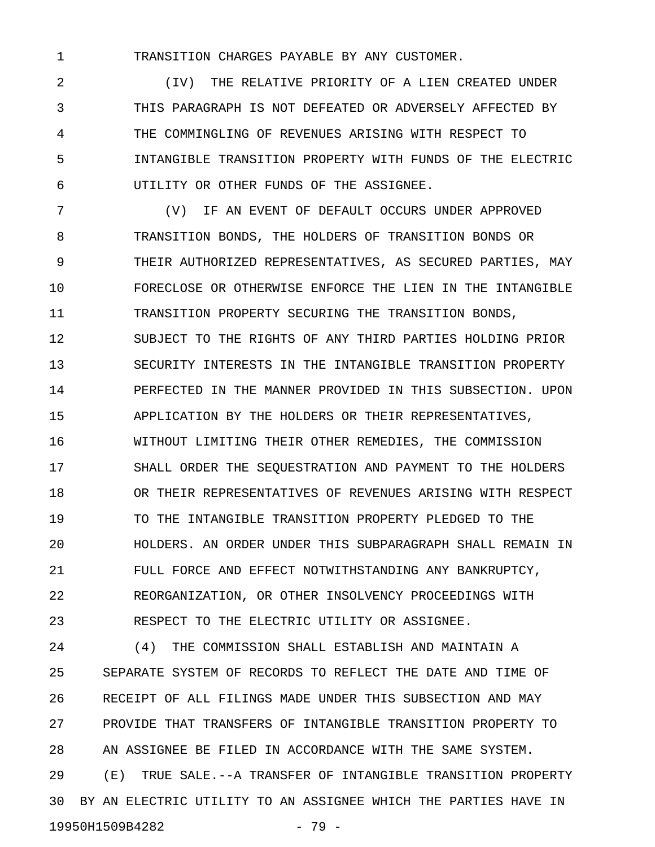1 TRANSITION CHARGES PAYABLE BY ANY CUSTOMER.

2 (IV) THE RELATIVE PRIORITY OF A LIEN CREATED UNDER 3 THIS PARAGRAPH IS NOT DEFEATED OR ADVERSELY AFFECTED BY 4 THE COMMINGLING OF REVENUES ARISING WITH RESPECT TO 5 INTANGIBLE TRANSITION PROPERTY WITH FUNDS OF THE ELECTRIC 6 UTILITY OR OTHER FUNDS OF THE ASSIGNEE.

7 (V) IF AN EVENT OF DEFAULT OCCURS UNDER APPROVED 8 TRANSITION BONDS, THE HOLDERS OF TRANSITION BONDS OR 9 THEIR AUTHORIZED REPRESENTATIVES, AS SECURED PARTIES, MAY 10 FORECLOSE OR OTHERWISE ENFORCE THE LIEN IN THE INTANGIBLE 11 TRANSITION PROPERTY SECURING THE TRANSITION BONDS, 12 SUBJECT TO THE RIGHTS OF ANY THIRD PARTIES HOLDING PRIOR 13 SECURITY INTERESTS IN THE INTANGIBLE TRANSITION PROPERTY 14 PERFECTED IN THE MANNER PROVIDED IN THIS SUBSECTION. UPON 15 APPLICATION BY THE HOLDERS OR THEIR REPRESENTATIVES, 16 WITHOUT LIMITING THEIR OTHER REMEDIES, THE COMMISSION 17 SHALL ORDER THE SEQUESTRATION AND PAYMENT TO THE HOLDERS 18 OR THEIR REPRESENTATIVES OF REVENUES ARISING WITH RESPECT 19 TO THE INTANGIBLE TRANSITION PROPERTY PLEDGED TO THE 20 HOLDERS. AN ORDER UNDER THIS SUBPARAGRAPH SHALL REMAIN IN 21 FULL FORCE AND EFFECT NOTWITHSTANDING ANY BANKRUPTCY, 22 REORGANIZATION, OR OTHER INSOLVENCY PROCEEDINGS WITH 23 RESPECT TO THE ELECTRIC UTILITY OR ASSIGNEE.

24 (4) THE COMMISSION SHALL ESTABLISH AND MAINTAIN A 25 SEPARATE SYSTEM OF RECORDS TO REFLECT THE DATE AND TIME OF 26 RECEIPT OF ALL FILINGS MADE UNDER THIS SUBSECTION AND MAY 27 PROVIDE THAT TRANSFERS OF INTANGIBLE TRANSITION PROPERTY TO 28 AN ASSIGNEE BE FILED IN ACCORDANCE WITH THE SAME SYSTEM. 29 (E) TRUE SALE.--A TRANSFER OF INTANGIBLE TRANSITION PROPERTY 30 BY AN ELECTRIC UTILITY TO AN ASSIGNEE WHICH THE PARTIES HAVE IN 19950H1509B4282 - 79 -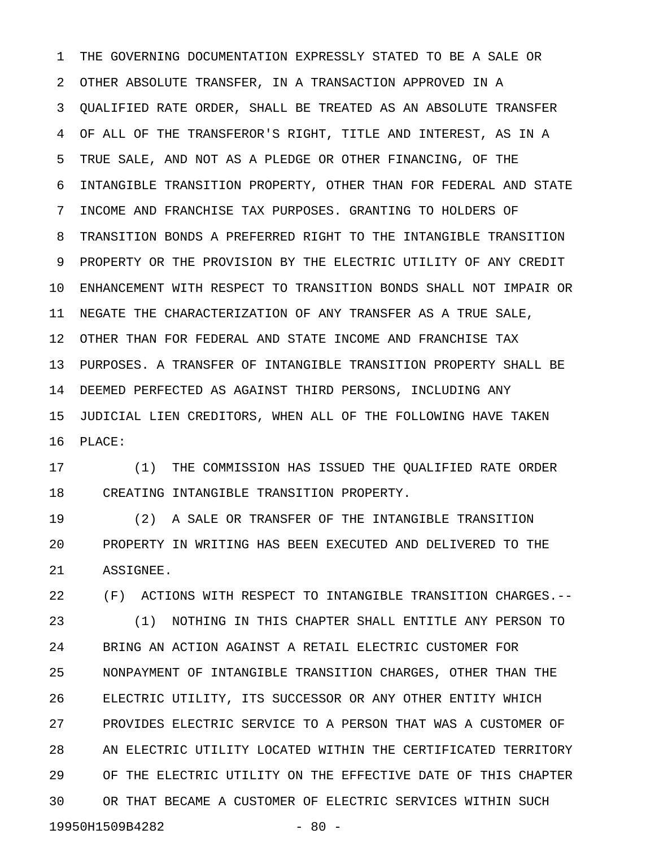1 THE GOVERNING DOCUMENTATION EXPRESSLY STATED TO BE A SALE OR 2 OTHER ABSOLUTE TRANSFER, IN A TRANSACTION APPROVED IN A 3 QUALIFIED RATE ORDER, SHALL BE TREATED AS AN ABSOLUTE TRANSFER 4 OF ALL OF THE TRANSFEROR'S RIGHT, TITLE AND INTEREST, AS IN A 5 TRUE SALE, AND NOT AS A PLEDGE OR OTHER FINANCING, OF THE 6 INTANGIBLE TRANSITION PROPERTY, OTHER THAN FOR FEDERAL AND STATE 7 INCOME AND FRANCHISE TAX PURPOSES. GRANTING TO HOLDERS OF 8 TRANSITION BONDS A PREFERRED RIGHT TO THE INTANGIBLE TRANSITION 9 PROPERTY OR THE PROVISION BY THE ELECTRIC UTILITY OF ANY CREDIT 10 ENHANCEMENT WITH RESPECT TO TRANSITION BONDS SHALL NOT IMPAIR OR 11 NEGATE THE CHARACTERIZATION OF ANY TRANSFER AS A TRUE SALE, 12 OTHER THAN FOR FEDERAL AND STATE INCOME AND FRANCHISE TAX 13 PURPOSES. A TRANSFER OF INTANGIBLE TRANSITION PROPERTY SHALL BE 14 DEEMED PERFECTED AS AGAINST THIRD PERSONS, INCLUDING ANY 15 JUDICIAL LIEN CREDITORS, WHEN ALL OF THE FOLLOWING HAVE TAKEN 16 PLACE:

17 (1) THE COMMISSION HAS ISSUED THE QUALIFIED RATE ORDER 18 CREATING INTANGIBLE TRANSITION PROPERTY.

19 (2) A SALE OR TRANSFER OF THE INTANGIBLE TRANSITION 20 PROPERTY IN WRITING HAS BEEN EXECUTED AND DELIVERED TO THE 21 ASSIGNEE.

22 (F) ACTIONS WITH RESPECT TO INTANGIBLE TRANSITION CHARGES.-- 23 (1) NOTHING IN THIS CHAPTER SHALL ENTITLE ANY PERSON TO 24 BRING AN ACTION AGAINST A RETAIL ELECTRIC CUSTOMER FOR 25 NONPAYMENT OF INTANGIBLE TRANSITION CHARGES, OTHER THAN THE 26 ELECTRIC UTILITY, ITS SUCCESSOR OR ANY OTHER ENTITY WHICH 27 PROVIDES ELECTRIC SERVICE TO A PERSON THAT WAS A CUSTOMER OF 28 AN ELECTRIC UTILITY LOCATED WITHIN THE CERTIFICATED TERRITORY 29 OF THE ELECTRIC UTILITY ON THE EFFECTIVE DATE OF THIS CHAPTER 30 OR THAT BECAME A CUSTOMER OF ELECTRIC SERVICES WITHIN SUCH 19950H1509B4282 - 80 -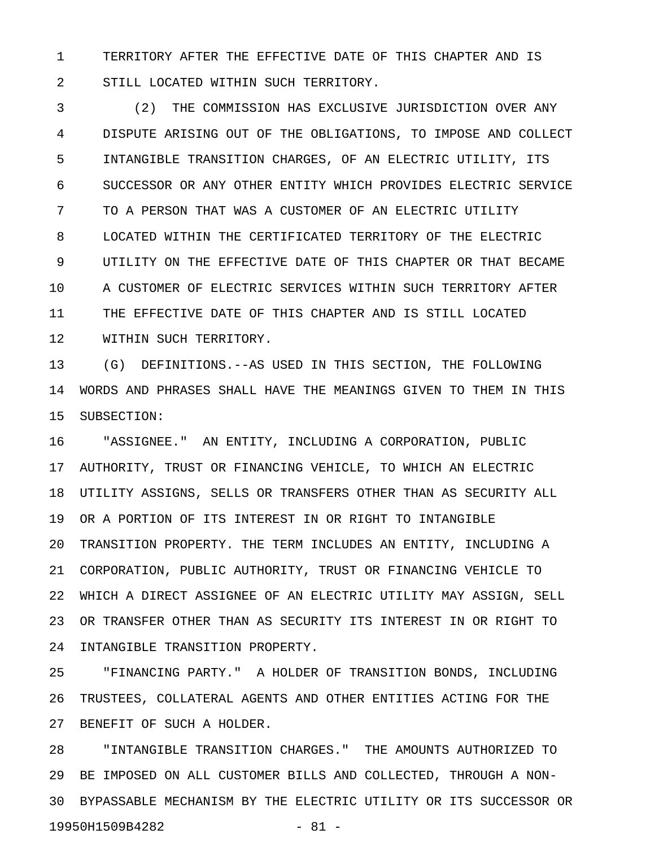1 TERRITORY AFTER THE EFFECTIVE DATE OF THIS CHAPTER AND IS 2 STILL LOCATED WITHIN SUCH TERRITORY.

3 (2) THE COMMISSION HAS EXCLUSIVE JURISDICTION OVER ANY 4 DISPUTE ARISING OUT OF THE OBLIGATIONS, TO IMPOSE AND COLLECT 5 INTANGIBLE TRANSITION CHARGES, OF AN ELECTRIC UTILITY, ITS 6 SUCCESSOR OR ANY OTHER ENTITY WHICH PROVIDES ELECTRIC SERVICE 7 TO A PERSON THAT WAS A CUSTOMER OF AN ELECTRIC UTILITY 8 LOCATED WITHIN THE CERTIFICATED TERRITORY OF THE ELECTRIC 9 UTILITY ON THE EFFECTIVE DATE OF THIS CHAPTER OR THAT BECAME 10 A CUSTOMER OF ELECTRIC SERVICES WITHIN SUCH TERRITORY AFTER 11 THE EFFECTIVE DATE OF THIS CHAPTER AND IS STILL LOCATED 12 WITHIN SUCH TERRITORY.

13 (G) DEFINITIONS.--AS USED IN THIS SECTION, THE FOLLOWING 14 WORDS AND PHRASES SHALL HAVE THE MEANINGS GIVEN TO THEM IN THIS 15 SUBSECTION:

16 "ASSIGNEE." AN ENTITY, INCLUDING A CORPORATION, PUBLIC 17 AUTHORITY, TRUST OR FINANCING VEHICLE, TO WHICH AN ELECTRIC 18 UTILITY ASSIGNS, SELLS OR TRANSFERS OTHER THAN AS SECURITY ALL 19 OR A PORTION OF ITS INTEREST IN OR RIGHT TO INTANGIBLE 20 TRANSITION PROPERTY. THE TERM INCLUDES AN ENTITY, INCLUDING A 21 CORPORATION, PUBLIC AUTHORITY, TRUST OR FINANCING VEHICLE TO 22 WHICH A DIRECT ASSIGNEE OF AN ELECTRIC UTILITY MAY ASSIGN, SELL 23 OR TRANSFER OTHER THAN AS SECURITY ITS INTEREST IN OR RIGHT TO 24 INTANGIBLE TRANSITION PROPERTY.

25 "FINANCING PARTY." A HOLDER OF TRANSITION BONDS, INCLUDING 26 TRUSTEES, COLLATERAL AGENTS AND OTHER ENTITIES ACTING FOR THE 27 BENEFIT OF SUCH A HOLDER.

28 "INTANGIBLE TRANSITION CHARGES." THE AMOUNTS AUTHORIZED TO 29 BE IMPOSED ON ALL CUSTOMER BILLS AND COLLECTED, THROUGH A NON-30 BYPASSABLE MECHANISM BY THE ELECTRIC UTILITY OR ITS SUCCESSOR OR 19950H1509B4282 - 81 -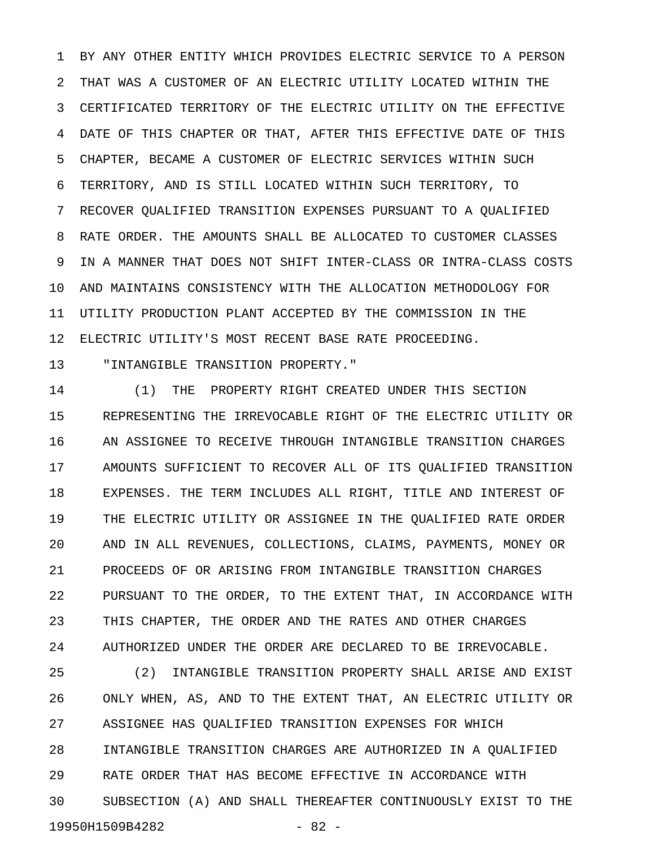1 BY ANY OTHER ENTITY WHICH PROVIDES ELECTRIC SERVICE TO A PERSON 2 THAT WAS A CUSTOMER OF AN ELECTRIC UTILITY LOCATED WITHIN THE 3 CERTIFICATED TERRITORY OF THE ELECTRIC UTILITY ON THE EFFECTIVE 4 DATE OF THIS CHAPTER OR THAT, AFTER THIS EFFECTIVE DATE OF THIS 5 CHAPTER, BECAME A CUSTOMER OF ELECTRIC SERVICES WITHIN SUCH 6 TERRITORY, AND IS STILL LOCATED WITHIN SUCH TERRITORY, TO 7 RECOVER QUALIFIED TRANSITION EXPENSES PURSUANT TO A QUALIFIED 8 RATE ORDER. THE AMOUNTS SHALL BE ALLOCATED TO CUSTOMER CLASSES 9 IN A MANNER THAT DOES NOT SHIFT INTER-CLASS OR INTRA-CLASS COSTS 10 AND MAINTAINS CONSISTENCY WITH THE ALLOCATION METHODOLOGY FOR 11 UTILITY PRODUCTION PLANT ACCEPTED BY THE COMMISSION IN THE 12 ELECTRIC UTILITY'S MOST RECENT BASE RATE PROCEEDING.

13 "INTANGIBLE TRANSITION PROPERTY."

14 (1) THE PROPERTY RIGHT CREATED UNDER THIS SECTION 15 REPRESENTING THE IRREVOCABLE RIGHT OF THE ELECTRIC UTILITY OR 16 AN ASSIGNEE TO RECEIVE THROUGH INTANGIBLE TRANSITION CHARGES 17 AMOUNTS SUFFICIENT TO RECOVER ALL OF ITS QUALIFIED TRANSITION 18 EXPENSES. THE TERM INCLUDES ALL RIGHT, TITLE AND INTEREST OF 19 THE ELECTRIC UTILITY OR ASSIGNEE IN THE QUALIFIED RATE ORDER 20 AND IN ALL REVENUES, COLLECTIONS, CLAIMS, PAYMENTS, MONEY OR 21 PROCEEDS OF OR ARISING FROM INTANGIBLE TRANSITION CHARGES 22 PURSUANT TO THE ORDER, TO THE EXTENT THAT, IN ACCORDANCE WITH 23 THIS CHAPTER, THE ORDER AND THE RATES AND OTHER CHARGES 24 AUTHORIZED UNDER THE ORDER ARE DECLARED TO BE IRREVOCABLE.

25 (2) INTANGIBLE TRANSITION PROPERTY SHALL ARISE AND EXIST 26 ONLY WHEN, AS, AND TO THE EXTENT THAT, AN ELECTRIC UTILITY OR 27 ASSIGNEE HAS QUALIFIED TRANSITION EXPENSES FOR WHICH 28 INTANGIBLE TRANSITION CHARGES ARE AUTHORIZED IN A QUALIFIED 29 RATE ORDER THAT HAS BECOME EFFECTIVE IN ACCORDANCE WITH 30 SUBSECTION (A) AND SHALL THEREAFTER CONTINUOUSLY EXIST TO THE 19950H1509B4282 - 82 -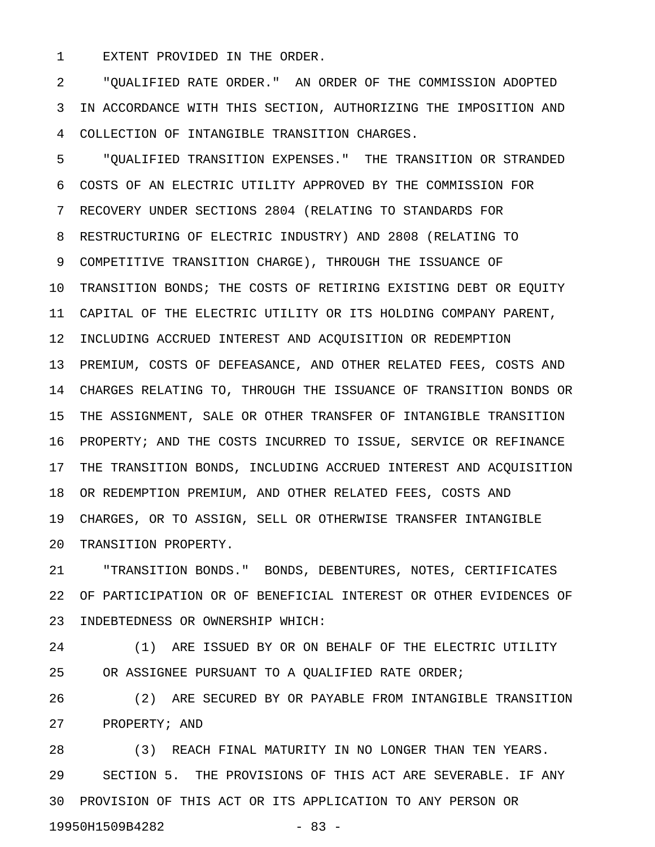1 EXTENT PROVIDED IN THE ORDER.

2 "QUALIFIED RATE ORDER." AN ORDER OF THE COMMISSION ADOPTED 3 IN ACCORDANCE WITH THIS SECTION, AUTHORIZING THE IMPOSITION AND 4 COLLECTION OF INTANGIBLE TRANSITION CHARGES.

5 "QUALIFIED TRANSITION EXPENSES." THE TRANSITION OR STRANDED 6 COSTS OF AN ELECTRIC UTILITY APPROVED BY THE COMMISSION FOR 7 RECOVERY UNDER SECTIONS 2804 (RELATING TO STANDARDS FOR 8 RESTRUCTURING OF ELECTRIC INDUSTRY) AND 2808 (RELATING TO 9 COMPETITIVE TRANSITION CHARGE), THROUGH THE ISSUANCE OF 10 TRANSITION BONDS; THE COSTS OF RETIRING EXISTING DEBT OR EQUITY 11 CAPITAL OF THE ELECTRIC UTILITY OR ITS HOLDING COMPANY PARENT, 12 INCLUDING ACCRUED INTEREST AND ACQUISITION OR REDEMPTION 13 PREMIUM, COSTS OF DEFEASANCE, AND OTHER RELATED FEES, COSTS AND 14 CHARGES RELATING TO, THROUGH THE ISSUANCE OF TRANSITION BONDS OR 15 THE ASSIGNMENT, SALE OR OTHER TRANSFER OF INTANGIBLE TRANSITION 16 PROPERTY; AND THE COSTS INCURRED TO ISSUE, SERVICE OR REFINANCE 17 THE TRANSITION BONDS, INCLUDING ACCRUED INTEREST AND ACQUISITION 18 OR REDEMPTION PREMIUM, AND OTHER RELATED FEES, COSTS AND 19 CHARGES, OR TO ASSIGN, SELL OR OTHERWISE TRANSFER INTANGIBLE 20 TRANSITION PROPERTY.

21 "TRANSITION BONDS." BONDS, DEBENTURES, NOTES, CERTIFICATES 22 OF PARTICIPATION OR OF BENEFICIAL INTEREST OR OTHER EVIDENCES OF 23 INDEBTEDNESS OR OWNERSHIP WHICH:

24 (1) ARE ISSUED BY OR ON BEHALF OF THE ELECTRIC UTILITY 25 OR ASSIGNEE PURSUANT TO A QUALIFIED RATE ORDER;

26 (2) ARE SECURED BY OR PAYABLE FROM INTANGIBLE TRANSITION 27 PROPERTY; AND

28 (3) REACH FINAL MATURITY IN NO LONGER THAN TEN YEARS. 29 SECTION 5. THE PROVISIONS OF THIS ACT ARE SEVERABLE. IF ANY 30 PROVISION OF THIS ACT OR ITS APPLICATION TO ANY PERSON OR 19950H1509B4282 - 83 -